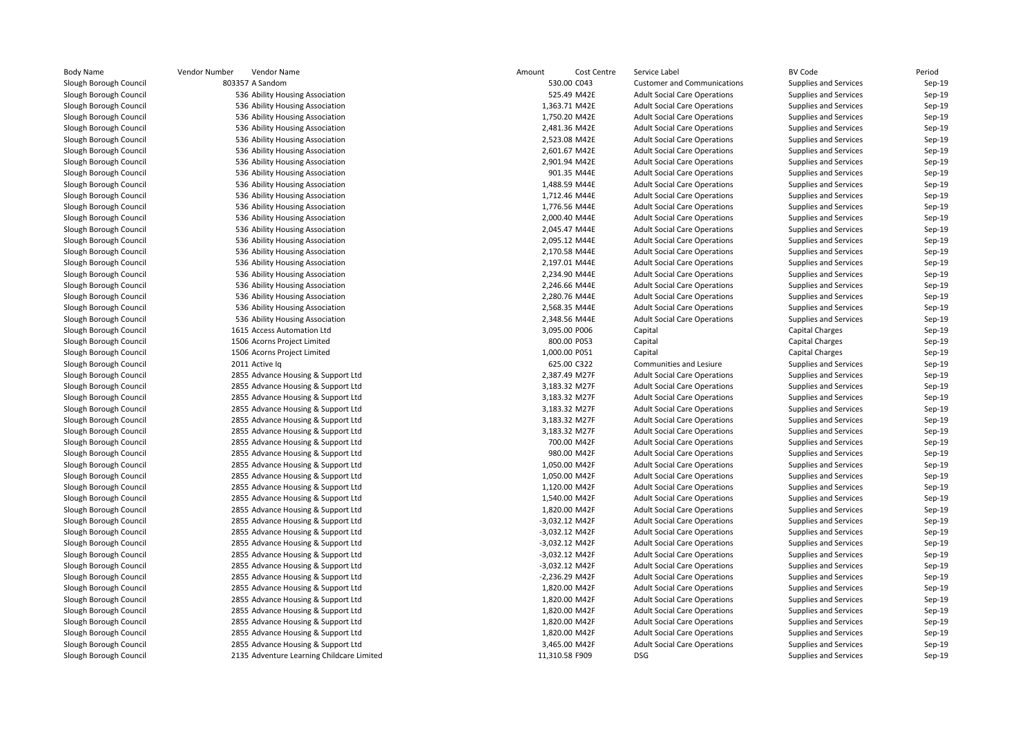| <b>Body Name</b>       | Vendor Number<br>Vendor Name              | Amount | Cost Centre                      | Service Label                       | BV Code                      | Period               |
|------------------------|-------------------------------------------|--------|----------------------------------|-------------------------------------|------------------------------|----------------------|
| Slough Borough Council | 803357 A Sandom                           |        | 530.00 C043                      | <b>Customer and Communications</b>  | Supplies and Services        | $Sep-19$             |
| Slough Borough Council | 536 Ability Housing Association           |        | 525.49 M42E                      | <b>Adult Social Care Operations</b> | Supplies and Services        | $Sep-19$             |
| Slough Borough Council | 536 Ability Housing Association           |        | 1,363.71 M42E                    | <b>Adult Social Care Operations</b> | Supplies and Services        | $Sep-19$             |
| Slough Borough Council | 536 Ability Housing Association           |        | 1,750.20 M42E                    | <b>Adult Social Care Operations</b> | Supplies and Services        | $Sep-19$             |
| Slough Borough Council | 536 Ability Housing Association           |        | 2,481.36 M42E                    | <b>Adult Social Care Operations</b> | Supplies and Services        | $Sep-19$             |
| Slough Borough Council | 536 Ability Housing Association           |        | 2,523.08 M42E                    | <b>Adult Social Care Operations</b> | Supplies and Services        | $Sep-19$             |
| Slough Borough Council | 536 Ability Housing Association           |        | 2,601.67 M42E                    | <b>Adult Social Care Operations</b> | Supplies and Services        | Sep-19               |
| Slough Borough Council | 536 Ability Housing Association           |        | 2,901.94 M42E                    | <b>Adult Social Care Operations</b> | Supplies and Services        | $Sep-19$             |
| Slough Borough Council | 536 Ability Housing Association           |        | 901.35 M44E                      | <b>Adult Social Care Operations</b> | Supplies and Services        | $Sep-19$             |
| Slough Borough Council | 536 Ability Housing Association           |        | 1,488.59 M44E                    | <b>Adult Social Care Operations</b> | Supplies and Services        | $Sep-19$             |
| Slough Borough Council | 536 Ability Housing Association           |        | 1,712.46 M44E                    | <b>Adult Social Care Operations</b> | Supplies and Services        | $Sep-19$             |
| Slough Borough Council | 536 Ability Housing Association           |        | 1,776.56 M44E                    | <b>Adult Social Care Operations</b> | Supplies and Services        | $Sep-19$             |
| Slough Borough Council | 536 Ability Housing Association           |        | 2,000.40 M44E                    | <b>Adult Social Care Operations</b> | Supplies and Services        | $Sep-19$             |
| Slough Borough Council | 536 Ability Housing Association           |        | 2,045.47 M44E                    | <b>Adult Social Care Operations</b> | Supplies and Services        | $Sep-19$             |
| Slough Borough Council | 536 Ability Housing Association           |        | 2,095.12 M44E                    | <b>Adult Social Care Operations</b> | Supplies and Services        | $Sep-19$             |
| Slough Borough Council | 536 Ability Housing Association           |        | 2,170.58 M44E                    | <b>Adult Social Care Operations</b> | Supplies and Services        | $Sep-19$             |
| Slough Borough Council | 536 Ability Housing Association           |        | 2,197.01 M44E                    | <b>Adult Social Care Operations</b> | Supplies and Services        | $Sep-19$             |
| Slough Borough Council | 536 Ability Housing Association           |        | 2,234.90 M44E                    | <b>Adult Social Care Operations</b> | Supplies and Services        | $Sep-19$             |
| Slough Borough Council | 536 Ability Housing Association           |        | 2,246.66 M44E                    | <b>Adult Social Care Operations</b> | <b>Supplies and Services</b> | Sep-19               |
| Slough Borough Council | 536 Ability Housing Association           |        | 2,280.76 M44E                    | <b>Adult Social Care Operations</b> | Supplies and Services        | $Sep-19$             |
| Slough Borough Council | 536 Ability Housing Association           |        | 2,568.35 M44E                    | <b>Adult Social Care Operations</b> | Supplies and Services        | Sep-19               |
| Slough Borough Council | 536 Ability Housing Association           |        | 2,348.56 M44E                    | <b>Adult Social Care Operations</b> | Supplies and Services        | Sep-19               |
| Slough Borough Council | 1615 Access Automation Ltd                |        | 3,095.00 P006                    | Capital                             | Capital Charges              | Sep-19               |
| Slough Borough Council | 1506 Acorns Project Limited               |        | 800.00 P053                      | Capital                             | <b>Capital Charges</b>       | $Sep-19$             |
| Slough Borough Council | 1506 Acorns Project Limited               |        | 1,000.00 P051                    | Capital                             | <b>Capital Charges</b>       | $Sep-19$             |
| Slough Borough Council | 2011 Active lg                            |        | 625.00 C322                      | Communities and Lesiure             | Supplies and Services        | Sep-19               |
| Slough Borough Council | 2855 Advance Housing & Support Ltd        |        | 2,387.49 M27F                    | <b>Adult Social Care Operations</b> | Supplies and Services        | $Sep-19$             |
| Slough Borough Council | 2855 Advance Housing & Support Ltd        |        | 3,183.32 M27F                    | <b>Adult Social Care Operations</b> | <b>Supplies and Services</b> | Sep-19               |
| Slough Borough Council | 2855 Advance Housing & Support Ltd        |        | 3,183.32 M27F                    | <b>Adult Social Care Operations</b> | Supplies and Services        | $Sep-19$             |
| Slough Borough Council | 2855 Advance Housing & Support Ltd        |        | 3,183.32 M27F                    | <b>Adult Social Care Operations</b> | Supplies and Services        | $Sep-19$             |
| Slough Borough Council | 2855 Advance Housing & Support Ltd        |        | 3,183.32 M27F                    | <b>Adult Social Care Operations</b> | Supplies and Services        | $Sep-19$             |
| Slough Borough Council | 2855 Advance Housing & Support Ltd        |        | 3,183.32 M27F                    | <b>Adult Social Care Operations</b> | Supplies and Services        | $Sep-19$             |
| Slough Borough Council | 2855 Advance Housing & Support Ltd        |        | 700.00 M42F                      | <b>Adult Social Care Operations</b> | Supplies and Services        | $Sep-19$             |
| Slough Borough Council | 2855 Advance Housing & Support Ltd        |        | 980.00 M42F                      | <b>Adult Social Care Operations</b> | Supplies and Services        | Sep-19               |
| Slough Borough Council | 2855 Advance Housing & Support Ltd        |        | 1,050.00 M42F                    | <b>Adult Social Care Operations</b> | Supplies and Services        | $Sep-19$             |
| Slough Borough Council | 2855 Advance Housing & Support Ltd        |        | 1,050.00 M42F                    | <b>Adult Social Care Operations</b> | Supplies and Services        | $Sep-19$             |
| Slough Borough Council | 2855 Advance Housing & Support Ltd        |        | 1,120.00 M42F                    | <b>Adult Social Care Operations</b> | Supplies and Services        | $Sep-19$             |
| Slough Borough Council | 2855 Advance Housing & Support Ltd        |        | 1,540.00 M42F                    | <b>Adult Social Care Operations</b> | Supplies and Services        | $Sep-19$             |
| Slough Borough Council | 2855 Advance Housing & Support Ltd        |        | 1,820.00 M42F                    | <b>Adult Social Care Operations</b> | Supplies and Services        | $Sep-19$             |
| Slough Borough Council | 2855 Advance Housing & Support Ltd        |        | -3,032.12 M42F                   | <b>Adult Social Care Operations</b> | Supplies and Services        | $Sep-19$             |
| Slough Borough Council | 2855 Advance Housing & Support Ltd        |        | -3,032.12 M42F                   | <b>Adult Social Care Operations</b> | Supplies and Services        | $Sep-19$             |
| Slough Borough Council |                                           |        | -3,032.12 M42F                   | <b>Adult Social Care Operations</b> | Supplies and Services        | $Sep-19$             |
|                        | 2855 Advance Housing & Support Ltd        |        |                                  |                                     |                              |                      |
| Slough Borough Council | 2855 Advance Housing & Support Ltd        |        | -3,032.12 M42F<br>-3,032.12 M42F | <b>Adult Social Care Operations</b> | Supplies and Services        | $Sep-19$<br>$Sep-19$ |
| Slough Borough Council | 2855 Advance Housing & Support Ltd        |        |                                  | <b>Adult Social Care Operations</b> | Supplies and Services        |                      |
| Slough Borough Council | 2855 Advance Housing & Support Ltd        |        | -2,236.29 M42F                   | <b>Adult Social Care Operations</b> | Supplies and Services        | $Sep-19$             |
| Slough Borough Council | 2855 Advance Housing & Support Ltd        |        | 1,820.00 M42F                    | <b>Adult Social Care Operations</b> | Supplies and Services        | $Sep-19$             |
| Slough Borough Council | 2855 Advance Housing & Support Ltd        |        | 1,820.00 M42F                    | <b>Adult Social Care Operations</b> | Supplies and Services        | $Sep-19$             |
| Slough Borough Council | 2855 Advance Housing & Support Ltd        |        | 1,820.00 M42F                    | <b>Adult Social Care Operations</b> | Supplies and Services        | $Sep-19$             |
| Slough Borough Council | 2855 Advance Housing & Support Ltd        |        | 1,820.00 M42F                    | <b>Adult Social Care Operations</b> | Supplies and Services        | $Sep-19$             |
| Slough Borough Council | 2855 Advance Housing & Support Ltd        |        | 1,820.00 M42F                    | <b>Adult Social Care Operations</b> | <b>Supplies and Services</b> | $Sep-19$             |
| Slough Borough Council | 2855 Advance Housing & Support Ltd        |        | 3,465.00 M42F                    | <b>Adult Social Care Operations</b> | Supplies and Services        | $Sep-19$             |
| Slough Borough Council | 2135 Adventure Learning Childcare Limited |        | 11,310.58 F909                   | <b>DSG</b>                          | Supplies and Services        | $Sep-19$             |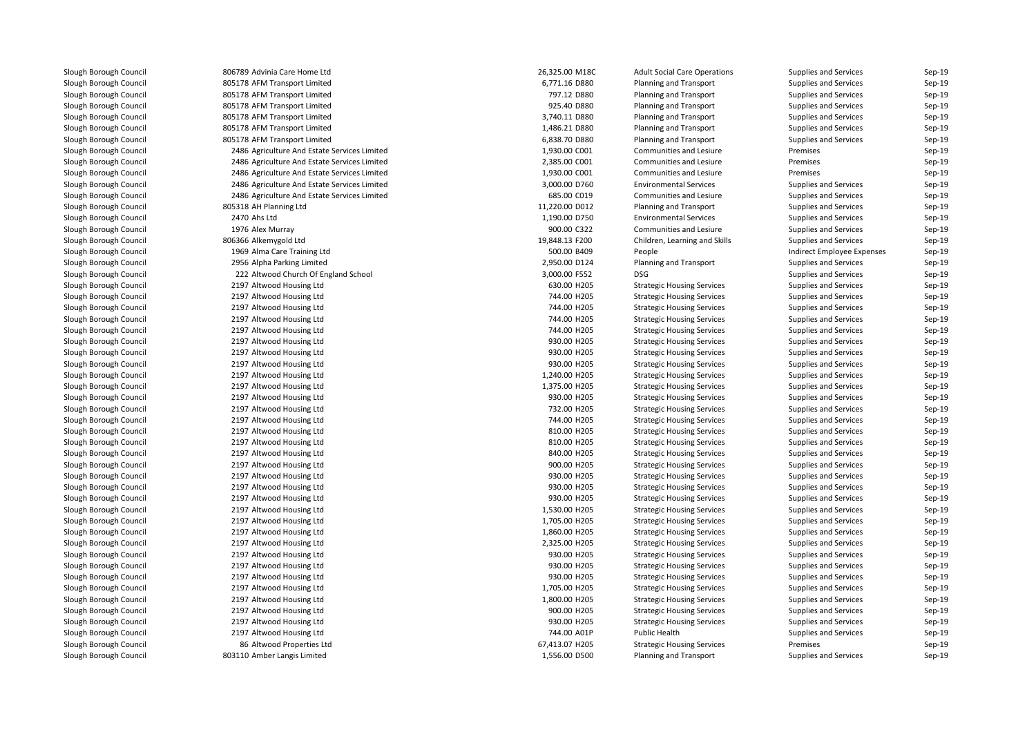806789 Advinia Care Home Ltd 805178 AFM Transport Limited 805178 AFM Transport Limited 805178 AFM Transport Limited 805178 AFM Transport Limited 805178 AFM Transport Limited 805178 AFM Transport Limited 2486 Agriculture And Estate Services Limited 2486 Agriculture And Estate Services Limited 2486 Agriculture And Estate Services Limited 2486 Agriculture And Estate Services Limited 2486 Agriculture And Estate Services Limited 805318 AH Planning Ltd 2470 Ahs Ltd1976 Alex Murray 806366 Alkemygold Ltd 1969 Alma Care Training Ltd 2956 Alpha Parking Limited 222 Altwood Church Of England School 3,000.00 F552 DSG 2197 Altwood Housing Ltd 2197 Altwood Housing Ltd 2197 Altwood Housing Ltd 2197 Altwood Housing Ltd 2197 Altwood Housing Ltd 2197 Altwood Housing Ltd 2197 Altwood Housing Ltd 2197 Altwood Housing Ltd 2197 Altwood Housing Ltd 2197 Altwood Housing Ltd 2197 Altwood Housing Ltd 2197 Altwood Housing Ltd 2197 Altwood Housing Ltd 2197 Altwood Housing Ltd 2197 Altwood Housing Ltd 2197 Altwood Housing Ltd 2197 Altwood Housing Ltd 2197 Altwood Housing Ltd 2197 Altwood Housing Ltd 2197 Altwood Housing Ltd 2197 Altwood Housing Ltd 2197 Altwood Housing Ltd 2197 Altwood Housing Ltd 2197 Altwood Housing Ltd 2197 Altwood Housing Ltd 2197 Altwood Housing Ltd 2197 Altwood Housing Ltd 2197 Altwood Housing Ltd 2197 Altwood Housing Ltd 2197 Altwood Housing Ltd 2197 Altwood Housing Ltd 2197 Altwood Housing Ltd 8686 Altwood Properties Ltd 803110 Amber Langis Limited

| 9 Advinia Care Home Ltd                        | 26,325.00 M18C             | <b>Adult Social Care Operations</b> | <b>Supplies and Services</b> | Sep-19           |
|------------------------------------------------|----------------------------|-------------------------------------|------------------------------|------------------|
| 8 AFM Transport Limited                        | 6,771.16 D880              | <b>Planning and Transport</b>       | <b>Supplies and Services</b> | Sep-19           |
| 8 AFM Transport Limited                        | 797.12 D880                | Planning and Transport              | Supplies and Services        | Sep-19           |
| 8 AFM Transport Limited                        | 925.40 D880                | <b>Planning and Transport</b>       | <b>Supplies and Services</b> | Sep-19           |
| 8 AFM Transport Limited                        | 3,740.11 D880              | <b>Planning and Transport</b>       | <b>Supplies and Services</b> | Sep-19           |
| 8 AFM Transport Limited                        | 1,486.21 D880              | Planning and Transport              | Supplies and Services        | Sep-19           |
| 8 AFM Transport Limited                        | 6,838.70 D880              | Planning and Transport              | Supplies and Services        | Sep-19           |
| 6 Agriculture And Estate Services Limited      | 1,930.00 C001              | Communities and Lesiure             | Premises                     | Sep-19           |
| 6 Agriculture And Estate Services Limited      | 2,385.00 C001              | Communities and Lesiure             | Premises                     | Sep-19           |
| 6 Agriculture And Estate Services Limited      | 1,930.00 C001              | Communities and Lesiure             | Premises                     | Sep-19           |
| 6 Agriculture And Estate Services Limited      | 3,000.00 D760              | <b>Environmental Services</b>       | <b>Supplies and Services</b> | Sep-19           |
| 6 Agriculture And Estate Services Limited      | 685.00 C019                | Communities and Lesiure             | <b>Supplies and Services</b> | Sep-19           |
| 8 AH Planning Ltd                              | 11,220.00 D012             | <b>Planning and Transport</b>       | <b>Supplies and Services</b> | Sep-19           |
| 0 Ahs Ltd                                      | 1,190.00 D750              | <b>Environmental Services</b>       | Supplies and Services        | Sep-19           |
| 6 Alex Murray                                  | 900.00 C322                | <b>Communities and Lesiure</b>      | Supplies and Services        | Sep-19           |
| 6 Alkemygold Ltd                               | 19,848.13 F200             | Children, Learning and Skills       | Supplies and Services        | Sep-19           |
| 9 Alma Care Training Ltd                       | 500.00 B409                | People                              | Indirect Employee Expenses   | Sep-19           |
| 6 Alpha Parking Limited                        | 2,950.00 D124              | Planning and Transport              | Supplies and Services        | Sep-19           |
| 2 Altwood Church Of England School             | 3,000.00 F552              | <b>DSG</b>                          | Supplies and Services        | Sep-19           |
| 7 Altwood Housing Ltd                          | 630.00 H205                | <b>Strategic Housing Services</b>   | Supplies and Services        | Sep-19           |
| 7 Altwood Housing Ltd                          | 744.00 H205                | <b>Strategic Housing Services</b>   | Supplies and Services        | Sep-19           |
| 7 Altwood Housing Ltd                          | 744.00 H205                | <b>Strategic Housing Services</b>   | Supplies and Services        | Sep-19           |
| 7 Altwood Housing Ltd                          | 744.00 H205                | <b>Strategic Housing Services</b>   | Supplies and Services        | Sep-19           |
| 7 Altwood Housing Ltd                          | 744.00 H205                | <b>Strategic Housing Services</b>   | Supplies and Services        | Sep-19           |
| 7 Altwood Housing Ltd                          | 930.00 H205                | <b>Strategic Housing Services</b>   | Supplies and Services        | Sep-19           |
| 7 Altwood Housing Ltd                          | 930.00 H205                | <b>Strategic Housing Services</b>   | Supplies and Services        | Sep-19           |
| 7 Altwood Housing Ltd                          | 930.00 H205                | <b>Strategic Housing Services</b>   | Supplies and Services        | Sep-19           |
| 7 Altwood Housing Ltd                          | 1,240.00 H205              | <b>Strategic Housing Services</b>   | Supplies and Services        | Sep-19           |
| 7 Altwood Housing Ltd                          | 1,375.00 H205              | <b>Strategic Housing Services</b>   | Supplies and Services        | Sep-19           |
| 7 Altwood Housing Ltd                          | 930.00 H205                | <b>Strategic Housing Services</b>   | Supplies and Services        | Sep-19           |
| 7 Altwood Housing Ltd                          | 732.00 H205                | <b>Strategic Housing Services</b>   | Supplies and Services        | Sep-19           |
| 7 Altwood Housing Ltd                          | 744.00 H205                | <b>Strategic Housing Services</b>   | Supplies and Services        | Sep-19           |
| 7 Altwood Housing Ltd                          | 810.00 H205                | <b>Strategic Housing Services</b>   | Supplies and Services        | Sep-19           |
|                                                |                            |                                     |                              |                  |
| 7 Altwood Housing Ltd<br>7 Altwood Housing Ltd | 810.00 H205                | <b>Strategic Housing Services</b>   | Supplies and Services        | Sep-19<br>Sep-19 |
|                                                | 840.00 H205<br>900.00 H205 | <b>Strategic Housing Services</b>   | <b>Supplies and Services</b> |                  |
| 7 Altwood Housing Ltd                          |                            | <b>Strategic Housing Services</b>   | Supplies and Services        | Sep-19           |
| 7 Altwood Housing Ltd                          | 930.00 H205                | <b>Strategic Housing Services</b>   | Supplies and Services        | Sep-19           |
| 7 Altwood Housing Ltd                          | 930.00 H205                | <b>Strategic Housing Services</b>   | Supplies and Services        | Sep-19           |
| 7 Altwood Housing Ltd                          | 930.00 H205                | <b>Strategic Housing Services</b>   | Supplies and Services        | Sep-19           |
| 7 Altwood Housing Ltd                          | 1,530.00 H205              | <b>Strategic Housing Services</b>   | Supplies and Services        | Sep-19           |
| 7 Altwood Housing Ltd                          | 1,705.00 H205              | <b>Strategic Housing Services</b>   | Supplies and Services        | Sep-19           |
| 7 Altwood Housing Ltd                          | 1,860.00 H205              | <b>Strategic Housing Services</b>   | Supplies and Services        | Sep-19           |
| 7 Altwood Housing Ltd                          | 2,325.00 H205              | <b>Strategic Housing Services</b>   | Supplies and Services        | Sep-19           |
| 7 Altwood Housing Ltd                          | 930.00 H205                | <b>Strategic Housing Services</b>   | Supplies and Services        | Sep-19           |
| 7 Altwood Housing Ltd                          | 930.00 H205                | <b>Strategic Housing Services</b>   | Supplies and Services        | Sep-19           |
| 7 Altwood Housing Ltd                          | 930.00 H205                | <b>Strategic Housing Services</b>   | Supplies and Services        | Sep-19           |
| 7 Altwood Housing Ltd                          | 1,705.00 H205              | <b>Strategic Housing Services</b>   | <b>Supplies and Services</b> | Sep-19           |
| 7 Altwood Housing Ltd                          | 1,800.00 H205              | <b>Strategic Housing Services</b>   | Supplies and Services        | Sep-19           |
| 7 Altwood Housing Ltd                          | 900.00 H205                | <b>Strategic Housing Services</b>   | Supplies and Services        | Sep-19           |
| 7 Altwood Housing Ltd                          | 930.00 H205                | <b>Strategic Housing Services</b>   | Supplies and Services        | Sep-19           |
| 7 Altwood Housing Ltd                          | 744.00 A01P                | <b>Public Health</b>                | Supplies and Services        | Sep-19           |
| 6 Altwood Properties Ltd                       | 67,413.07 H205             | <b>Strategic Housing Services</b>   | Premises                     | Sep-19           |
| 0 Amber Langis Limited                         | 1,556.00 D500              | <b>Planning and Transport</b>       | Supplies and Services        | Sep-19           |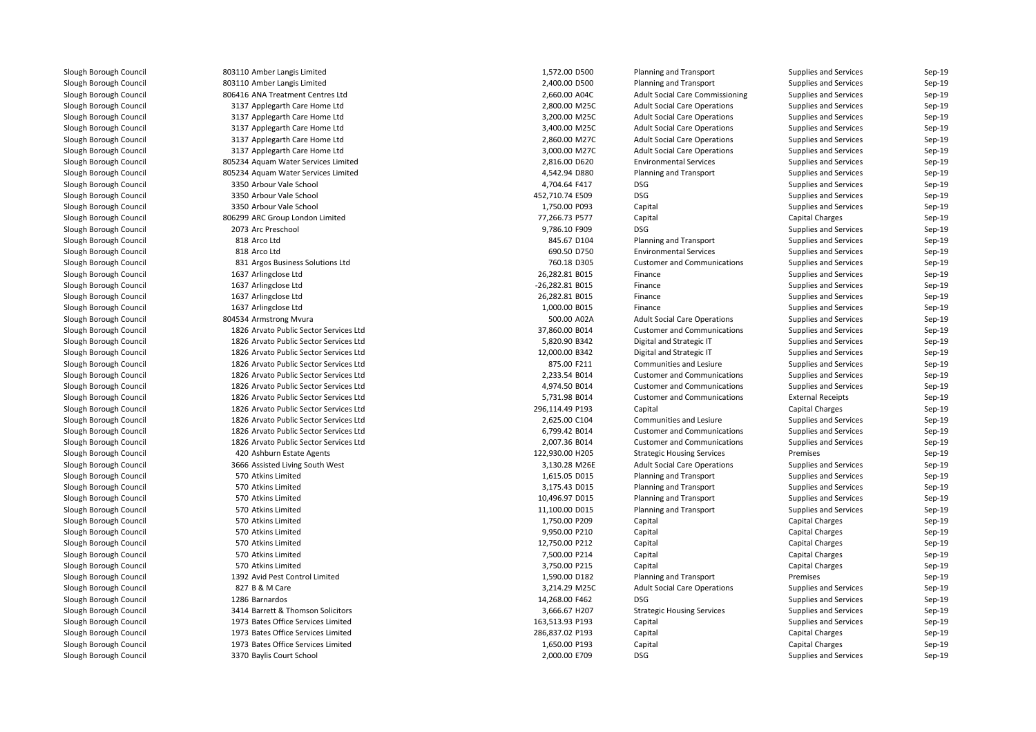803110 Amber Langis Limited 803110 Amber Langis Limited 806416 ANA Treatment Centres Ltd 3137 Applegarth Care Home Ltd 3137 Applegarth Care Home Ltd 3137 Applegarth Care Home Ltd 3137 Applegarth Care Home Ltd 3137 Applegarth Care Home Ltd 805234 Aquam Water Services Limited 805234 Aquam Water Services Limited 3350 Arbour Vale School 4,704.64 F417 DSG 3350 Arbour Vale School 452,710.74 E509 DSG3350 Arbour Vale School 806299 ARC Group London Limited2073 Arc Preschool Arc Preschool DSG و9,786.10 F909 DSG 818 Arco Ltd 818 Arco Ltd 831 Argos Business Solutions Ltd 1637 Arlingclose Ltd 1637 Arlingclose Ltd 1637 Arlingclose Ltd 1637 Arlingclose Ltd804534 Armstrong Mvura **500.00 A02A** 500.00 A02A 1826 Arvato Public Sector Services Ltd 1826 Arvato Public Sector Services Ltd 1826 Arvato Public Sector Services Ltd 1826 Arvato Public Sector Services Ltd 1826 Arvato Public Sector Services Ltd 1826 Arvato Public Sector Services Ltd 1826 Arvato Public Sector Services Ltd 1826 Arvato Public Sector Services Ltd 1826 Arvato Public Sector Services Ltd 1826 Arvato Public Sector Services Ltd 1826 Arvato Public Sector Services Ltd420 Ashburn Estate Agents 3666 Assisted Living South West 570 Atkins Limited 570 Atkins Limited 570 Atkins Limited 570 Atkins Limited 570 Atkins Limited 570 Atkins Limited 570570 Atkins Limited 570570 Atkins Limited 570 Atkins Limited 1392 Avid Pest Control Limited827 B & M Care 7 B & M Care 3,214.29 M25C 1286 Barnardos Barnardos 14,268.00 F462 DSG3414 Barrett & Thomson Solicitors 1973 Bates Office Services Limited 1973 Bates Office Services Limited 1973 Bates Office Services Limited3370 Baylis Court School 2,000.00 E709 DSG

| 0 Amber Langis Limited              | 1,572.00 D500   | Planning and Transport                 | Supplies and Services        | Sep-19 |
|-------------------------------------|-----------------|----------------------------------------|------------------------------|--------|
| 0 Amber Langis Limited              | 2,400.00 D500   | <b>Planning and Transport</b>          | Supplies and Services        | Sep-19 |
| 6 ANA Treatment Centres Ltd         | 2,660.00 A04C   | <b>Adult Social Care Commissioning</b> | Supplies and Services        | Sep-19 |
| 7 Applegarth Care Home Ltd          | 2,800.00 M25C   | <b>Adult Social Care Operations</b>    | Supplies and Services        | Sep-19 |
| 7 Applegarth Care Home Ltd          | 3,200.00 M25C   | <b>Adult Social Care Operations</b>    | Supplies and Services        | Sep-19 |
| 7 Applegarth Care Home Ltd          | 3,400.00 M25C   | <b>Adult Social Care Operations</b>    | Supplies and Services        | Sep-19 |
| 7 Applegarth Care Home Ltd          | 2,860.00 M27C   | <b>Adult Social Care Operations</b>    | Supplies and Services        | Sep-19 |
| 7 Applegarth Care Home Ltd          | 3,000.00 M27C   | <b>Adult Social Care Operations</b>    | Supplies and Services        | Sep-19 |
| 4 Aquam Water Services Limited      | 2,816.00 D620   | <b>Environmental Services</b>          | Supplies and Services        | Sep-19 |
| 4 Aquam Water Services Limited      | 4,542.94 D880   | <b>Planning and Transport</b>          | Supplies and Services        | Sep-19 |
| 0 Arbour Vale School                | 4,704.64 F417   | <b>DSG</b>                             | Supplies and Services        | Sep-19 |
| 0 Arbour Vale School                | 452,710.74 E509 | <b>DSG</b>                             | Supplies and Services        | Sep-19 |
| 0 Arbour Vale School                | 1,750.00 P093   | Capital                                | Supplies and Services        | Sep-19 |
| 9 ARC Group London Limited          | 77,266.73 P577  | Capital                                | <b>Capital Charges</b>       | Sep-19 |
| 3 Arc Preschool                     | 9,786.10 F909   | <b>DSG</b>                             | Supplies and Services        | Sep-19 |
| 8 Arco Ltd                          | 845.67 D104     | Planning and Transport                 | Supplies and Services        | Sep-19 |
| 8 Arco Ltd                          | 690.50 D750     | <b>Environmental Services</b>          | <b>Supplies and Services</b> | Sep-19 |
| 1 Argos Business Solutions Ltd      | 760.18 D305     | <b>Customer and Communications</b>     | Supplies and Services        | Sep-19 |
| 7 Arlingclose Ltd                   | 26,282.81 B015  | Finance                                | Supplies and Services        | Sep-19 |
| 7 Arlingclose Ltd                   | -26,282.81 B015 | Finance                                | <b>Supplies and Services</b> | Sep-19 |
| 7 Arlingclose Ltd                   | 26,282.81 B015  | Finance                                | Supplies and Services        | Sep-19 |
| 7 Arlingclose Ltd                   | 1,000.00 B015   | Finance                                | Supplies and Services        | Sep-19 |
| 4 Armstrong Mvura                   | 500.00 A02A     | <b>Adult Social Care Operations</b>    | Supplies and Services        | Sep-19 |
| 6 Arvato Public Sector Services Ltd | 37,860.00 B014  | <b>Customer and Communications</b>     | Supplies and Services        | Sep-19 |
| 6 Arvato Public Sector Services Ltd | 5,820.90 B342   | Digital and Strategic IT               | Supplies and Services        | Sep-19 |
| 6 Arvato Public Sector Services Ltd | 12,000.00 B342  | Digital and Strategic IT               | <b>Supplies and Services</b> | Sep-19 |
| 6 Arvato Public Sector Services Ltd | 875.00 F211     | Communities and Lesiure                | Supplies and Services        | Sep-19 |
| 6 Arvato Public Sector Services Ltd | 2,233.54 B014   | <b>Customer and Communications</b>     | Supplies and Services        | Sep-19 |
| 6 Arvato Public Sector Services Ltd | 4,974.50 B014   | <b>Customer and Communications</b>     | Supplies and Services        | Sep-19 |
| 6 Arvato Public Sector Services Ltd | 5,731.98 B014   | <b>Customer and Communications</b>     | <b>External Receipts</b>     | Sep-19 |
| 6 Arvato Public Sector Services Ltd | 296,114.49 P193 | Capital                                | <b>Capital Charges</b>       | Sep-19 |
| 6 Arvato Public Sector Services Ltd | 2,625.00 C104   | Communities and Lesiure                | Supplies and Services        | Sep-19 |
| 6 Arvato Public Sector Services Ltd | 6,799.42 B014   | <b>Customer and Communications</b>     | Supplies and Services        | Sep-19 |
| 6 Arvato Public Sector Services Ltd | 2,007.36 B014   | <b>Customer and Communications</b>     | Supplies and Services        | Sep-19 |
| 0 Ashburn Estate Agents             | 122,930.00 H205 | <b>Strategic Housing Services</b>      | Premises                     | Sep-19 |
| 6 Assisted Living South West        | 3,130.28 M26E   | <b>Adult Social Care Operations</b>    | Supplies and Services        | Sep-19 |
| 0 Atkins Limited                    | 1,615.05 D015   | <b>Planning and Transport</b>          | Supplies and Services        | Sep-19 |
| 0 Atkins Limited                    | 3,175.43 D015   | <b>Planning and Transport</b>          | Supplies and Services        | Sep-19 |
| 0 Atkins Limited                    | 10,496.97 D015  | <b>Planning and Transport</b>          | Supplies and Services        | Sep-19 |
| 0 Atkins Limited                    | 11,100.00 D015  | <b>Planning and Transport</b>          | Supplies and Services        | Sep-19 |
| 0 Atkins Limited                    | 1,750.00 P209   | Capital                                | <b>Capital Charges</b>       | Sep-19 |
| 0 Atkins Limited                    | 9,950.00 P210   | Capital                                | <b>Capital Charges</b>       | Sep-19 |
| 0 Atkins Limited                    | 12,750.00 P212  | Capital                                | <b>Capital Charges</b>       | Sep-19 |
| 0 Atkins Limited                    | 7,500.00 P214   | Capital                                | <b>Capital Charges</b>       | Sep-19 |
| 0 Atkins Limited                    | 3,750.00 P215   | Capital                                | <b>Capital Charges</b>       | Sep-19 |
| 2 Avid Pest Control Limited         | 1,590.00 D182   | <b>Planning and Transport</b>          | Premises                     | Sep-19 |
| 7 B & M Care                        | 3,214.29 M25C   | <b>Adult Social Care Operations</b>    | Supplies and Services        | Sep-19 |
| 6 Barnardos                         | 14,268.00 F462  | <b>DSG</b>                             | <b>Supplies and Services</b> | Sep-19 |
| 4 Barrett & Thomson Solicitors      | 3,666.67 H207   | <b>Strategic Housing Services</b>      | Supplies and Services        | Sep-19 |
| 3 Bates Office Services Limited     | 163,513.93 P193 | Capital                                | Supplies and Services        | Sep-19 |
| 3 Bates Office Services Limited     | 286,837.02 P193 | Capital                                | <b>Capital Charges</b>       | Sep-19 |
| 3 Bates Office Services Limited     | 1,650.00 P193   | Capital                                | <b>Capital Charges</b>       | Sep-19 |
| 0 Baylis Court School               | 2,000.00 E709   | <b>DSG</b>                             | Supplies and Services        | Sep-19 |
|                                     |                 |                                        |                              |        |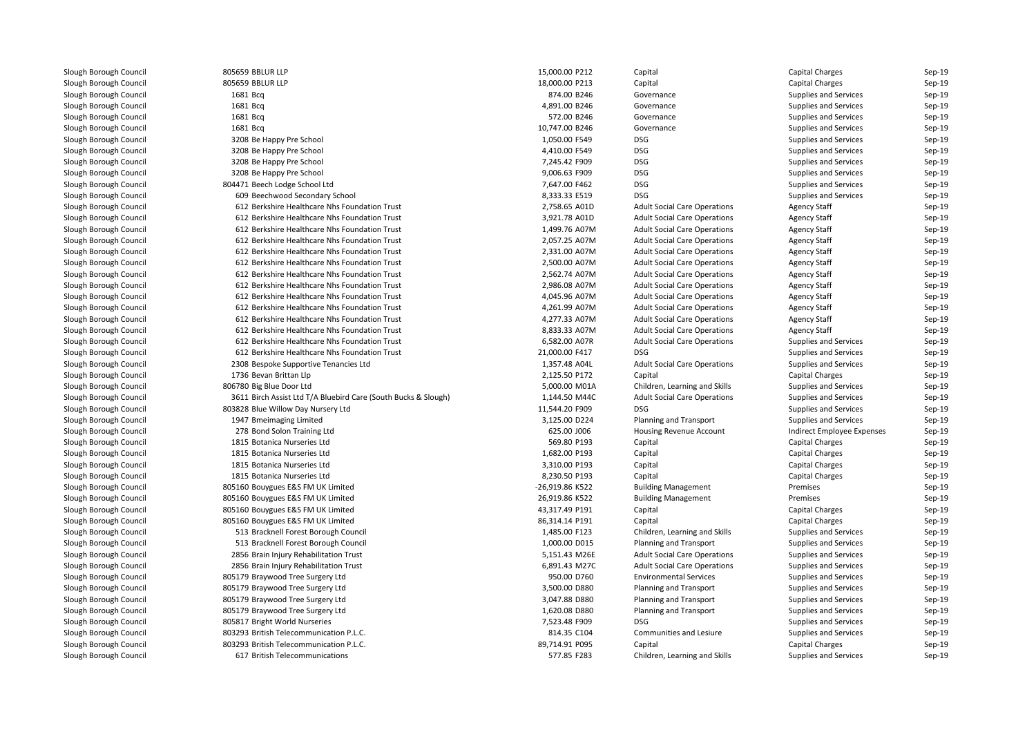| Slough Borough Council | 805659 BBLUR LLP                                               | 15,000.00 P212  | Capital                             | <b>Capital Charges</b>     | Sep-19             |
|------------------------|----------------------------------------------------------------|-----------------|-------------------------------------|----------------------------|--------------------|
| Slough Borough Council | 805659 BBLUR LLP                                               | 18,000.00 P213  | Capital                             | <b>Capital Charges</b>     | $Sep-19$           |
| Slough Borough Council | 1681 Bcg                                                       | 874.00 B246     | Governance                          | Supplies and Services      | Sep-19             |
| Slough Borough Council | 1681 Bcg                                                       | 4,891.00 B246   | Governance                          | Supplies and Services      | $Sep-19$           |
| Slough Borough Council | 1681 Bcq                                                       | 572.00 B246     | Governance                          | Supplies and Services      | $Sep-19$           |
| Slough Borough Council | 1681 Bcg                                                       | 10,747.00 B246  | Governance                          | Supplies and Services      | Sep-19             |
| Slough Borough Council | 3208 Be Happy Pre School                                       | 1,050.00 F549   | <b>DSG</b>                          | Supplies and Services      | Sep-19             |
| Slough Borough Council | 3208 Be Happy Pre School                                       | 4,410.00 F549   | <b>DSG</b>                          | Supplies and Services      | $Sep-19$           |
| Slough Borough Council | 3208 Be Happy Pre School                                       | 7,245.42 F909   | <b>DSG</b>                          | Supplies and Services      | Sep-19             |
| Slough Borough Council | 3208 Be Happy Pre School                                       | 9,006.63 F909   | <b>DSG</b>                          | Supplies and Services      | Sep-19             |
| Slough Borough Council | 804471 Beech Lodge School Ltd                                  | 7,647.00 F462   | <b>DSG</b>                          | Supplies and Services      | $Sep-19$           |
| Slough Borough Council | 609 Beechwood Secondary School                                 | 8,333.33 E519   | <b>DSG</b>                          | Supplies and Services      | Sep-19             |
| Slough Borough Council | 612 Berkshire Healthcare Nhs Foundation Trust                  | 2,758.65 A01D   | <b>Adult Social Care Operations</b> | <b>Agency Staff</b>        | Sep-19             |
| Slough Borough Council | 612 Berkshire Healthcare Nhs Foundation Trust                  | 3,921.78 A01D   | <b>Adult Social Care Operations</b> | <b>Agency Staff</b>        | $Sep-19$           |
| Slough Borough Council | 612 Berkshire Healthcare Nhs Foundation Trust                  | 1,499.76 A07M   | <b>Adult Social Care Operations</b> | <b>Agency Staff</b>        | Sep-19             |
| Slough Borough Council | 612 Berkshire Healthcare Nhs Foundation Trust                  | 2,057.25 A07M   | <b>Adult Social Care Operations</b> | <b>Agency Staff</b>        | Sep-19             |
| Slough Borough Council | 612 Berkshire Healthcare Nhs Foundation Trust                  | 2,331.00 A07M   | <b>Adult Social Care Operations</b> | <b>Agency Staff</b>        | $Sep-19$           |
| Slough Borough Council | 612 Berkshire Healthcare Nhs Foundation Trust                  | 2,500.00 A07M   | <b>Adult Social Care Operations</b> | <b>Agency Staff</b>        | Sep-19             |
| Slough Borough Council | 612 Berkshire Healthcare Nhs Foundation Trust                  | 2,562.74 A07M   | <b>Adult Social Care Operations</b> | <b>Agency Staff</b>        | Sep-19             |
| Slough Borough Council | 612 Berkshire Healthcare Nhs Foundation Trust                  | 2,986.08 A07M   | <b>Adult Social Care Operations</b> | <b>Agency Staff</b>        | $Sep-19$           |
| Slough Borough Council | 612 Berkshire Healthcare Nhs Foundation Trust                  | 4,045.96 A07M   | <b>Adult Social Care Operations</b> | <b>Agency Staff</b>        | Sep-19             |
| Slough Borough Council | 612 Berkshire Healthcare Nhs Foundation Trust                  | 4,261.99 A07M   | <b>Adult Social Care Operations</b> | <b>Agency Staff</b>        | Sep-19             |
| Slough Borough Council | 612 Berkshire Healthcare Nhs Foundation Trust                  | 4,277.33 A07M   | <b>Adult Social Care Operations</b> | <b>Agency Staff</b>        | $Sep-19$           |
| Slough Borough Council | 612 Berkshire Healthcare Nhs Foundation Trust                  | 8,833.33 A07M   | <b>Adult Social Care Operations</b> | <b>Agency Staff</b>        | Sep-19             |
| Slough Borough Council | 612 Berkshire Healthcare Nhs Foundation Trust                  | 6,582.00 A07R   | <b>Adult Social Care Operations</b> | Supplies and Services      | $Sep-19$           |
| Slough Borough Council | 612 Berkshire Healthcare Nhs Foundation Trust                  | 21,000.00 F417  | <b>DSG</b>                          | Supplies and Services      | $Sep-19$           |
| Slough Borough Council | 2308 Bespoke Supportive Tenancies Ltd                          | 1,357.48 A04L   | <b>Adult Social Care Operations</b> | Supplies and Services      | Sep-19             |
| Slough Borough Council | 1736 Bevan Brittan Llp                                         | 2,125.50 P172   | Capital                             | <b>Capital Charges</b>     | $Sep-19$           |
| Slough Borough Council | 806780 Big Blue Door Ltd                                       | 5,000.00 M01A   | Children, Learning and Skills       | Supplies and Services      | $Sep-19$           |
| Slough Borough Council | 3611 Birch Assist Ltd T/A Bluebird Care (South Bucks & Slough) | 1,144.50 M44C   | <b>Adult Social Care Operations</b> | Supplies and Services      | Sep-19             |
| Slough Borough Council | 803828 Blue Willow Day Nursery Ltd                             | 11,544.20 F909  | <b>DSG</b>                          | Supplies and Services      | $Sep-19$           |
| Slough Borough Council | 1947 Bmeimaging Limited                                        | 3,125.00 D224   | <b>Planning and Transport</b>       | Supplies and Services      | $Sep-19$           |
| Slough Borough Council | 278 Bond Solon Training Ltd                                    | 625.00 J006     | Housing Revenue Account             | Indirect Employee Expenses | Sep-19             |
| Slough Borough Council | 1815 Botanica Nurseries Ltd                                    | 569.80 P193     | Capital                             | <b>Capital Charges</b>     | $Sep-19$           |
| Slough Borough Council | 1815 Botanica Nurseries Ltd                                    | 1,682.00 P193   | Capital                             | <b>Capital Charges</b>     | $Sep-19$           |
| Slough Borough Council | 1815 Botanica Nurseries Ltd                                    | 3,310.00 P193   | Capital                             | <b>Capital Charges</b>     | Sep-19             |
| Slough Borough Council | 1815 Botanica Nurseries Ltd                                    | 8,230.50 P193   | Capital                             | <b>Capital Charges</b>     | $Sep-19$           |
| Slough Borough Council | 805160 Bouygues E&S FM UK Limited                              | -26,919.86 K522 | <b>Building Management</b>          | Premises                   | $Sep-19$           |
| Slough Borough Council | 805160 Bouygues E&S FM UK Limited                              | 26,919.86 K522  | <b>Building Management</b>          | Premises                   | Sep-19             |
| Slough Borough Council | 805160 Bouygues E&S FM UK Limited                              | 43,317.49 P191  | Capital                             | <b>Capital Charges</b>     | $Sep-19$           |
| Slough Borough Council | 805160 Bouygues E&S FM UK Limited                              | 86,314.14 P191  | Capital                             | <b>Capital Charges</b>     | $Sep-19$           |
| Slough Borough Council | 513 Bracknell Forest Borough Council                           | 1,485.00 F123   |                                     |                            |                    |
|                        |                                                                | 1,000.00 D015   | Children, Learning and Skills       | Supplies and Services      | Sep-19<br>$Sep-19$ |
| Slough Borough Council | 513 Bracknell Forest Borough Council                           |                 | Planning and Transport              | Supplies and Services      |                    |
| Slough Borough Council | 2856 Brain Injury Rehabilitation Trust                         | 5,151.43 M26E   | <b>Adult Social Care Operations</b> | Supplies and Services      | $Sep-19$           |
| Slough Borough Council | 2856 Brain Injury Rehabilitation Trust                         | 6,891.43 M27C   | <b>Adult Social Care Operations</b> | Supplies and Services      | Sep-19             |
| Slough Borough Council | 805179 Braywood Tree Surgery Ltd                               | 950.00 D760     | <b>Environmental Services</b>       | Supplies and Services      | $Sep-19$           |
| Slough Borough Council | 805179 Braywood Tree Surgery Ltd                               | 3,500.00 D880   | <b>Planning and Transport</b>       | Supplies and Services      | $Sep-19$           |
| Slough Borough Council | 805179 Braywood Tree Surgery Ltd                               | 3,047.88 D880   | <b>Planning and Transport</b>       | Supplies and Services      | Sep-19             |
| Slough Borough Council | 805179 Braywood Tree Surgery Ltd                               | 1,620.08 D880   | <b>Planning and Transport</b>       | Supplies and Services      | $Sep-19$           |
| Slough Borough Council | 805817 Bright World Nurseries                                  | 7,523.48 F909   | <b>DSG</b>                          | Supplies and Services      | $Sep-19$           |
| Slough Borough Council | 803293 British Telecommunication P.L.C.                        | 814.35 C104     | Communities and Lesiure             | Supplies and Services      | Sep-19             |
| Slough Borough Council | 803293 British Telecommunication P.L.C.                        | 89,714.91 P095  | Capital                             | <b>Capital Charges</b>     | $Sep-19$           |
| Slough Borough Council | 617 British Telecommunications                                 | 577.85 F283     | Children, Learning and Skills       | Supplies and Services      | $Sep-19$           |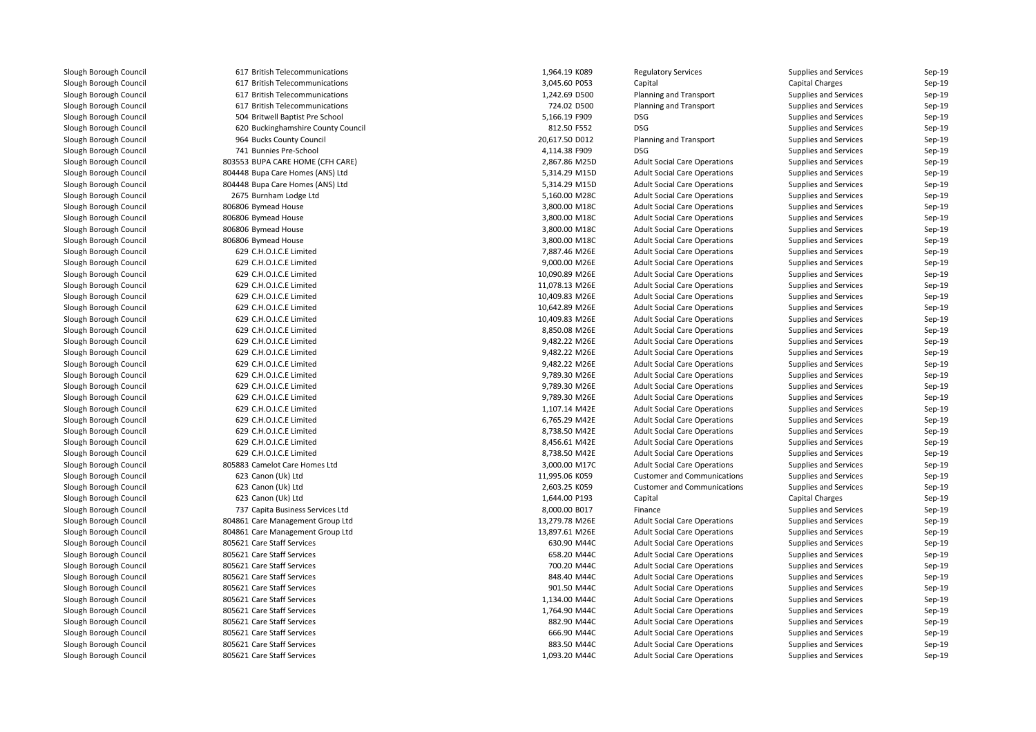| 617 British Telecommunications     | 1,964.19 K089  | <b>Regulatory Services</b>          | <b>Supplies and Services</b> | Sep-19 |
|------------------------------------|----------------|-------------------------------------|------------------------------|--------|
| 617 British Telecommunications     | 3,045.60 P053  | Capital                             | <b>Capital Charges</b>       | Sep-19 |
| 617 British Telecommunications     | 1,242.69 D500  | <b>Planning and Transport</b>       | Supplies and Services        | Sep-19 |
| 617 British Telecommunications     | 724.02 D500    | Planning and Transport              | Supplies and Services        | Sep-19 |
| 504 Britwell Baptist Pre School    | 5,166.19 F909  | <b>DSG</b>                          | Supplies and Services        | Sep-19 |
| 620 Buckinghamshire County Council | 812.50 F552    | <b>DSG</b>                          | Supplies and Services        | Sep-19 |
| 964 Bucks County Council           | 20,617.50 D012 | Planning and Transport              | Supplies and Services        | Sep-19 |
| 741 Bunnies Pre-School             | 4,114.38 F909  | <b>DSG</b>                          | Supplies and Services        | Sep-19 |
| 803553 BUPA CARE HOME (CFH CARE)   | 2,867.86 M25D  | <b>Adult Social Care Operations</b> | Supplies and Services        | Sep-19 |
| 804448 Bupa Care Homes (ANS) Ltd   | 5,314.29 M15D  | <b>Adult Social Care Operations</b> | Supplies and Services        | Sep-19 |
| 804448 Bupa Care Homes (ANS) Ltd   | 5,314.29 M15D  | <b>Adult Social Care Operations</b> | Supplies and Services        | Sep-19 |
| 2675 Burnham Lodge Ltd             | 5,160.00 M28C  | <b>Adult Social Care Operations</b> | Supplies and Services        | Sep-19 |
| 806806 Bymead House                | 3,800.00 M18C  | <b>Adult Social Care Operations</b> | Supplies and Services        | Sep-19 |
| 806806 Bymead House                | 3,800.00 M18C  | <b>Adult Social Care Operations</b> | <b>Supplies and Services</b> | Sep-19 |
| 806806 Bymead House                | 3,800.00 M18C  | <b>Adult Social Care Operations</b> | Supplies and Services        | Sep-19 |
| 806806 Bymead House                | 3,800.00 M18C  | <b>Adult Social Care Operations</b> | Supplies and Services        | Sep-19 |
| 629 C.H.O.I.C.E Limited            | 7,887.46 M26E  | <b>Adult Social Care Operations</b> | Supplies and Services        | Sep-19 |
| 629 C.H.O.I.C.E Limited            | 9,000.00 M26E  | <b>Adult Social Care Operations</b> | <b>Supplies and Services</b> | Sep-19 |
| 629 C.H.O.I.C.E Limited            | 10,090.89 M26E | <b>Adult Social Care Operations</b> | Supplies and Services        | Sep-19 |
| 629 C.H.O.I.C.E Limited            | 11,078.13 M26E | <b>Adult Social Care Operations</b> | Supplies and Services        | Sep-19 |
| 629 C.H.O.I.C.E Limited            | 10,409.83 M26E | <b>Adult Social Care Operations</b> | Supplies and Services        | Sep-19 |
| 629 C.H.O.I.C.E Limited            | 10,642.89 M26E | <b>Adult Social Care Operations</b> | Supplies and Services        | Sep-19 |
| 629 C.H.O.I.C.E Limited            | 10,409.83 M26E | <b>Adult Social Care Operations</b> | Supplies and Services        | Sep-19 |
| 629 C.H.O.I.C.E Limited            | 8,850.08 M26E  | <b>Adult Social Care Operations</b> | Supplies and Services        | Sep-19 |
| 629 C.H.O.I.C.E Limited            | 9,482.22 M26E  | <b>Adult Social Care Operations</b> | Supplies and Services        | Sep-19 |
| 629 C.H.O.I.C.E Limited            | 9,482.22 M26E  | <b>Adult Social Care Operations</b> | Supplies and Services        | Sep-19 |
| 629 C.H.O.I.C.E Limited            | 9,482.22 M26E  | <b>Adult Social Care Operations</b> | Supplies and Services        | Sep-19 |
| 629 C.H.O.I.C.E Limited            | 9,789.30 M26E  | <b>Adult Social Care Operations</b> | Supplies and Services        | Sep-19 |
| 629 C.H.O.I.C.E Limited            | 9,789.30 M26E  | <b>Adult Social Care Operations</b> | Supplies and Services        | Sep-19 |
| 629 C.H.O.I.C.E Limited            | 9,789.30 M26E  | <b>Adult Social Care Operations</b> | Supplies and Services        | Sep-19 |
| 629 C.H.O.I.C.E Limited            | 1,107.14 M42E  | <b>Adult Social Care Operations</b> | Supplies and Services        | Sep-19 |
| 629 C.H.O.I.C.E Limited            | 6,765.29 M42E  | <b>Adult Social Care Operations</b> | Supplies and Services        | Sep-19 |
| 629 C.H.O.I.C.E Limited            | 8,738.50 M42E  | <b>Adult Social Care Operations</b> | <b>Supplies and Services</b> | Sep-19 |
| 629 C.H.O.I.C.E Limited            | 8,456.61 M42E  | <b>Adult Social Care Operations</b> | Supplies and Services        | Sep-19 |
| 629 C.H.O.I.C.E Limited            | 8,738.50 M42E  | <b>Adult Social Care Operations</b> | Supplies and Services        | Sep-19 |
| 805883 Camelot Care Homes Ltd      | 3,000.00 M17C  | <b>Adult Social Care Operations</b> | Supplies and Services        | Sep-19 |
| 623 Canon (Uk) Ltd                 | 11,995.06 K059 | <b>Customer and Communications</b>  | Supplies and Services        | Sep-19 |
| 623 Canon (Uk) Ltd                 | 2,603.25 K059  | <b>Customer and Communications</b>  | Supplies and Services        | Sep-19 |
| 623 Canon (Uk) Ltd                 | 1,644.00 P193  | Capital                             | <b>Capital Charges</b>       | Sep-19 |
| 737 Capita Business Services Ltd   | 8,000.00 B017  | Finance                             | Supplies and Services        | Sep-19 |
| 804861 Care Management Group Ltd   | 13,279.78 M26E | <b>Adult Social Care Operations</b> | Supplies and Services        | Sep-19 |
| 804861 Care Management Group Ltd   | 13,897.61 M26E | <b>Adult Social Care Operations</b> | Supplies and Services        | Sep-19 |
| 805621 Care Staff Services         | 630.90 M44C    | <b>Adult Social Care Operations</b> | Supplies and Services        | Sep-19 |
| 805621 Care Staff Services         | 658.20 M44C    | <b>Adult Social Care Operations</b> | Supplies and Services        | Sep-19 |
| 805621 Care Staff Services         | 700.20 M44C    | <b>Adult Social Care Operations</b> | Supplies and Services        | Sep-19 |
| 805621 Care Staff Services         | 848.40 M44C    | <b>Adult Social Care Operations</b> | Supplies and Services        | Sep-19 |
| 805621 Care Staff Services         | 901.50 M44C    | <b>Adult Social Care Operations</b> | Supplies and Services        | Sep-19 |
| 805621 Care Staff Services         | 1,134.00 M44C  | <b>Adult Social Care Operations</b> | Supplies and Services        | Sep-19 |
| 805621 Care Staff Services         | 1,764.90 M44C  | <b>Adult Social Care Operations</b> | Supplies and Services        | Sep-19 |
| 805621 Care Staff Services         | 882.90 M44C    | <b>Adult Social Care Operations</b> | Supplies and Services        | Sep-19 |
| 805621 Care Staff Services         | 666.90 M44C    | <b>Adult Social Care Operations</b> | <b>Supplies and Services</b> | Sep-19 |
| 805621 Care Staff Services         | 883.50 M44C    | <b>Adult Social Care Operations</b> | <b>Supplies and Services</b> | Sep-19 |
| 805621 Care Staff Services         | 1,093.20 M44C  | <b>Adult Social Care Operations</b> | Supplies and Services        | Sep-19 |
|                                    |                |                                     |                              |        |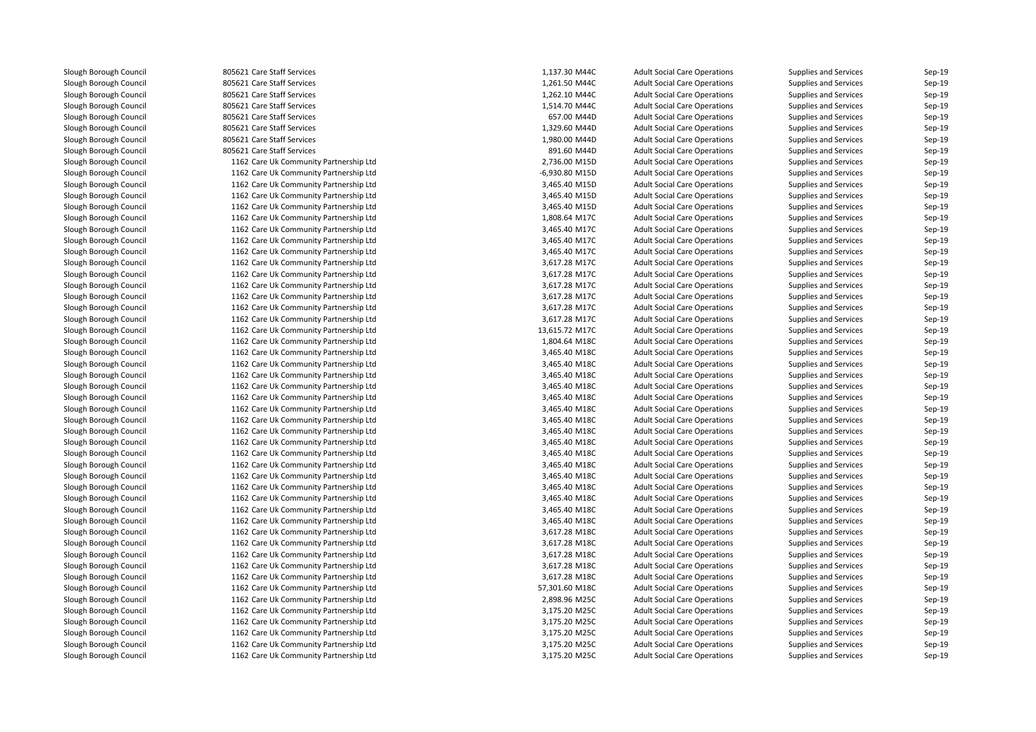**1** 805621 Care Staff Services **1,137.30 M44C 805621 Care Staff Services** 1,261.50 M44C 805621 Care Staff Services 1,262.10 M44C**805621 Care Staff Services** 1,514.70 M44C 805621 Care Staff Services 657.00 M44D 805621 Care Staff Services 1,329.60 M44D**1** 805621 Care Staff Services **1,980.00 M44D**  805621 Care Staff Services 891.60 M44D 1162 Care Uk Community Partnership Ltd 1162 Care Uk Community Partnership Ltd 1162 Care Uk Community Partnership Ltd 1162 Care Uk Community Partnership Ltd 1162 Care Uk Community Partnership Ltd 1162 Care Uk Community Partnership Ltd 1162 Care Uk Community Partnership Ltd 1162 Care Uk Community Partnership Ltd 1162 Care Uk Community Partnership Ltd 1162 Care Uk Community Partnership Ltd 1162 Care Uk Community Partnership Ltd 1162 Care Uk Community Partnership Ltd 1162 Care Uk Community Partnership Ltd 1162 Care Uk Community Partnership Ltd 1162 Care Uk Community Partnership Ltd 1162 Care Uk Community Partnership Ltd 1162 Care Uk Community Partnership Ltd 1162 Care Uk Community Partnership Ltd 1162 Care Uk Community Partnership Ltd 1162 Care Uk Community Partnership Ltd 1162 Care Uk Community Partnership Ltd 1162 Care Uk Community Partnership Ltd 1162 Care Uk Community Partnership Ltd 1162 Care Uk Community Partnership Ltd 1162 Care Uk Community Partnership Ltd 1162 Care Uk Community Partnership Ltd 1162 Care Uk Community Partnership Ltd 1162 Care Uk Community Partnership Ltd 1162 Care Uk Community Partnership Ltd 1162 Care Uk Community Partnership Ltd 1162 Care Uk Community Partnership Ltd 1162 Care Uk Community Partnership Ltd 1162 Care Uk Community Partnership Ltd 1162 Care Uk Community Partnership Ltd 1162 Care Uk Community Partnership Ltd 1162 Care Uk Community Partnership Ltd 1162 Care Uk Community Partnership Ltd 1162 Care Uk Community Partnership Ltd 1162 Care Uk Community Partnership Ltd 1162 Care Uk Community Partnership Ltd 1162 Care Uk Community Partnership Ltd 1162 Care Uk Community Partnership Ltd 1162 Care Uk Community Partnership Ltd 1162 Care Uk Community Partnership Ltd1162 Care Uk Community Partnership Ltd

|   | 1,137.30 M44C  | <b>Adult Social Care Operations</b> | <b>Supplies and Services</b> | $Sep-19$             |
|---|----------------|-------------------------------------|------------------------------|----------------------|
|   | 1,261.50 M44C  | <b>Adult Social Care Operations</b> | Supplies and Services        | $Sep-19$             |
|   | 1,262.10 M44C  | <b>Adult Social Care Operations</b> | Supplies and Services        | Sep-19               |
|   | 1,514.70 M44C  | <b>Adult Social Care Operations</b> | <b>Supplies and Services</b> | $Sep-19$             |
|   | 657.00 M44D    | <b>Adult Social Care Operations</b> | Supplies and Services        | $Sep-19$             |
|   | 1,329.60 M44D  | <b>Adult Social Care Operations</b> | Supplies and Services        | $Sep-19$             |
|   | 1,980.00 M44D  | <b>Adult Social Care Operations</b> | Supplies and Services        | $Sep-19$             |
|   | 891.60 M44D    | <b>Adult Social Care Operations</b> | Supplies and Services        | Sep-19               |
| d | 2,736.00 M15D  | <b>Adult Social Care Operations</b> | Supplies and Services        | $Sep-19$             |
| d | -6,930.80 M15D | <b>Adult Social Care Operations</b> | Supplies and Services        | $Sep-19$             |
| d | 3,465.40 M15D  | <b>Adult Social Care Operations</b> | Supplies and Services        | $Sep-19$             |
| d | 3,465.40 M15D  | <b>Adult Social Care Operations</b> | Supplies and Services        | Sep-19               |
| d | 3,465.40 M15D  | <b>Adult Social Care Operations</b> | Supplies and Services        | $Sep-19$             |
| d | 1,808.64 M17C  | <b>Adult Social Care Operations</b> | <b>Supplies and Services</b> | $Sep-19$             |
| d | 3,465.40 M17C  | <b>Adult Social Care Operations</b> | Supplies and Services        | Sep-19               |
| d | 3,465.40 M17C  | <b>Adult Social Care Operations</b> | Supplies and Services        | $Sep-19$             |
| d | 3,465.40 M17C  | <b>Adult Social Care Operations</b> | <b>Supplies and Services</b> | $Sep-19$             |
| d | 3,617.28 M17C  | <b>Adult Social Care Operations</b> | Supplies and Services        | $Sep-19$             |
| d | 3,617.28 M17C  | <b>Adult Social Care Operations</b> | Supplies and Services        | Sep-19               |
| d | 3,617.28 M17C  | <b>Adult Social Care Operations</b> | Supplies and Services        | Sep-19               |
| d | 3,617.28 M17C  | <b>Adult Social Care Operations</b> | <b>Supplies and Services</b> | $Sep-19$             |
| d | 3,617.28 M17C  | <b>Adult Social Care Operations</b> | <b>Supplies and Services</b> | $Sep-19$             |
| d | 3,617.28 M17C  | <b>Adult Social Care Operations</b> | <b>Supplies and Services</b> | $Sep-19$             |
| d | 13,615.72 M17C | <b>Adult Social Care Operations</b> | Supplies and Services        | Sep-19               |
| d | 1,804.64 M18C  | <b>Adult Social Care Operations</b> | Supplies and Services        | Sep-19               |
| d | 3,465.40 M18C  | <b>Adult Social Care Operations</b> | <b>Supplies and Services</b> | $Sep-19$             |
| d | 3,465.40 M18C  | <b>Adult Social Care Operations</b> | <b>Supplies and Services</b> | $Sep-19$             |
| d | 3,465.40 M18C  | <b>Adult Social Care Operations</b> | Supplies and Services        | Sep-19               |
| d | 3,465.40 M18C  | <b>Adult Social Care Operations</b> | <b>Supplies and Services</b> | Sep-19               |
| d | 3,465.40 M18C  | <b>Adult Social Care Operations</b> | <b>Supplies and Services</b> | $Sep-19$             |
| d | 3,465.40 M18C  | <b>Adult Social Care Operations</b> | <b>Supplies and Services</b> | Sep-19               |
| d | 3,465.40 M18C  | <b>Adult Social Care Operations</b> | <b>Supplies and Services</b> | Sep-19               |
| d | 3,465.40 M18C  | <b>Adult Social Care Operations</b> | Supplies and Services        | $Sep-19$             |
| d | 3,465.40 M18C  | <b>Adult Social Care Operations</b> | <b>Supplies and Services</b> | $Sep-19$             |
| d | 3,465.40 M18C  | <b>Adult Social Care Operations</b> | <b>Supplies and Services</b> | $Sep-19$             |
| d | 3,465.40 M18C  | <b>Adult Social Care Operations</b> | <b>Supplies and Services</b> | $Sep-19$             |
| d | 3,465.40 M18C  | <b>Adult Social Care Operations</b> | Supplies and Services        | Sep-19               |
| d | 3,465.40 M18C  | <b>Adult Social Care Operations</b> | <b>Supplies and Services</b> | Sep-19               |
| d | 3,465.40 M18C  | <b>Adult Social Care Operations</b> | <b>Supplies and Services</b> | $Sep-19$             |
| d | 3,465.40 M18C  | <b>Adult Social Care Operations</b> | Supplies and Services        | Sep-19               |
| d | 3,465.40 M18C  | <b>Adult Social Care Operations</b> | <b>Supplies and Services</b> | $Sep-19$             |
| d | 3,617.28 M18C  | <b>Adult Social Care Operations</b> | Supplies and Services        |                      |
| d | 3,617.28 M18C  | <b>Adult Social Care Operations</b> | <b>Supplies and Services</b> | $Sep-19$<br>$Sep-19$ |
|   |                |                                     |                              |                      |
| d | 3,617.28 M18C  | <b>Adult Social Care Operations</b> | <b>Supplies and Services</b> | $Sep-19$             |
| d | 3,617.28 M18C  | <b>Adult Social Care Operations</b> | <b>Supplies and Services</b> | $Sep-19$             |
| d | 3,617.28 M18C  | <b>Adult Social Care Operations</b> | Supplies and Services        | Sep-19               |
| d | 57,301.60 M18C | <b>Adult Social Care Operations</b> | <b>Supplies and Services</b> | $Sep-19$             |
| d | 2,898.96 M25C  | <b>Adult Social Care Operations</b> | <b>Supplies and Services</b> | $Sep-19$             |
| d | 3,175.20 M25C  | <b>Adult Social Care Operations</b> | Supplies and Services        | $Sep-19$             |
| d | 3,175.20 M25C  | <b>Adult Social Care Operations</b> | Supplies and Services        | $Sep-19$             |
| d | 3,175.20 M25C  | <b>Adult Social Care Operations</b> | Supplies and Services        | Sep-19               |
| d | 3,175.20 M25C  | <b>Adult Social Care Operations</b> | Supplies and Services        | $Sep-19$             |
| d | 3,175.20 M25C  | <b>Adult Social Care Operations</b> | <b>Supplies and Services</b> | $Sep-19$             |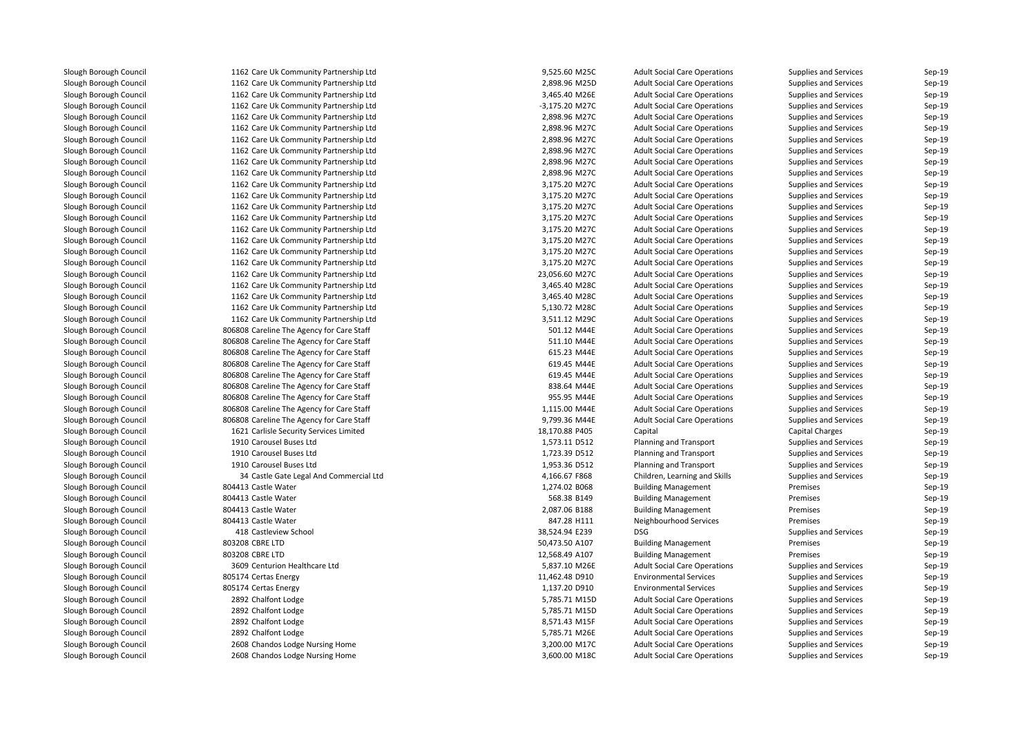| 1162 Care Uk Community Partnership Ltd     | 9,525.60 M25C                | <b>Adult Social Care Operations</b>                      | <b>Supplies and Services</b> | Sep-19 |
|--------------------------------------------|------------------------------|----------------------------------------------------------|------------------------------|--------|
| 1162 Care Uk Community Partnership Ltd     | 2,898.96 M25D                | <b>Adult Social Care Operations</b>                      | Supplies and Services        | Sep-19 |
| 1162 Care Uk Community Partnership Ltd     | 3,465.40 M26E                | <b>Adult Social Care Operations</b>                      | Supplies and Services        | Sep-19 |
| 1162 Care Uk Community Partnership Ltd     | -3,175.20 M27C               | <b>Adult Social Care Operations</b>                      | Supplies and Services        | Sep-19 |
| 1162 Care Uk Community Partnership Ltd     | 2,898.96 M27C                | <b>Adult Social Care Operations</b>                      | Supplies and Services        | Sep-19 |
| 1162 Care Uk Community Partnership Ltd     | 2,898.96 M27C                | <b>Adult Social Care Operations</b>                      | Supplies and Services        | Sep-19 |
| 1162 Care Uk Community Partnership Ltd     | 2,898.96 M27C                | <b>Adult Social Care Operations</b>                      | <b>Supplies and Services</b> | Sep-19 |
| 1162 Care Uk Community Partnership Ltd     | 2,898.96 M27C                | <b>Adult Social Care Operations</b>                      | Supplies and Services        | Sep-19 |
| 1162 Care Uk Community Partnership Ltd     | 2,898.96 M27C                | <b>Adult Social Care Operations</b>                      | Supplies and Services        | Sep-19 |
| 1162 Care Uk Community Partnership Ltd     | 2,898.96 M27C                | <b>Adult Social Care Operations</b>                      | Supplies and Services        | Sep-19 |
| 1162 Care Uk Community Partnership Ltd     | 3,175.20 M27C                | <b>Adult Social Care Operations</b>                      | Supplies and Services        | Sep-19 |
| 1162 Care Uk Community Partnership Ltd     | 3,175.20 M27C                | <b>Adult Social Care Operations</b>                      | Supplies and Services        | Sep-19 |
| 1162 Care Uk Community Partnership Ltd     | 3,175.20 M27C                | <b>Adult Social Care Operations</b>                      | Supplies and Services        | Sep-19 |
| 1162 Care Uk Community Partnership Ltd     | 3,175.20 M27C                | <b>Adult Social Care Operations</b>                      | Supplies and Services        | Sep-19 |
| 1162 Care Uk Community Partnership Ltd     | 3,175.20 M27C                | <b>Adult Social Care Operations</b>                      | Supplies and Services        | Sep-19 |
| 1162 Care Uk Community Partnership Ltd     | 3,175.20 M27C                | <b>Adult Social Care Operations</b>                      | Supplies and Services        | Sep-19 |
| 1162 Care Uk Community Partnership Ltd     | 3,175.20 M27C                | <b>Adult Social Care Operations</b>                      | Supplies and Services        | Sep-19 |
| 1162 Care Uk Community Partnership Ltd     | 3,175.20 M27C                | <b>Adult Social Care Operations</b>                      | Supplies and Services        | Sep-19 |
| 1162 Care Uk Community Partnership Ltd     | 23,056.60 M27C               | <b>Adult Social Care Operations</b>                      | Supplies and Services        | Sep-19 |
| 1162 Care Uk Community Partnership Ltd     | 3,465.40 M28C                | <b>Adult Social Care Operations</b>                      | Supplies and Services        | Sep-19 |
| 1162 Care Uk Community Partnership Ltd     | 3,465.40 M28C                | <b>Adult Social Care Operations</b>                      | Supplies and Services        | Sep-19 |
| 1162 Care Uk Community Partnership Ltd     | 5,130.72 M28C                | <b>Adult Social Care Operations</b>                      | Supplies and Services        | Sep-19 |
| 1162 Care Uk Community Partnership Ltd     | 3,511.12 M29C                | <b>Adult Social Care Operations</b>                      | <b>Supplies and Services</b> | Sep-19 |
| 806808 Careline The Agency for Care Staff  | 501.12 M44E                  | <b>Adult Social Care Operations</b>                      | Supplies and Services        | Sep-19 |
| 806808 Careline The Agency for Care Staff  | 511.10 M44E                  | <b>Adult Social Care Operations</b>                      | Supplies and Services        | Sep-19 |
| 806808 Careline The Agency for Care Staff  | 615.23 M44E                  | <b>Adult Social Care Operations</b>                      | Supplies and Services        | Sep-19 |
| 806808 Careline The Agency for Care Staff  | 619.45 M44E                  | <b>Adult Social Care Operations</b>                      | Supplies and Services        | Sep-19 |
| 806808 Careline The Agency for Care Staff  | 619.45 M44E                  | <b>Adult Social Care Operations</b>                      | Supplies and Services        | Sep-19 |
| 806808 Careline The Agency for Care Staff  | 838.64 M44E                  | <b>Adult Social Care Operations</b>                      | Supplies and Services        | Sep-19 |
| 806808 Careline The Agency for Care Staff  | 955.95 M44E                  | <b>Adult Social Care Operations</b>                      | Supplies and Services        | Sep-19 |
| 806808 Careline The Agency for Care Staff  | 1,115.00 M44E                | <b>Adult Social Care Operations</b>                      | Supplies and Services        | Sep-19 |
| 806808 Careline The Agency for Care Staff  | 9,799.36 M44E                | <b>Adult Social Care Operations</b>                      | Supplies and Services        | Sep-19 |
| 1621 Carlisle Security Services Limited    | 18,170.88 P405               | Capital                                                  | <b>Capital Charges</b>       | Sep-19 |
| 1910 Carousel Buses Ltd                    | 1,573.11 D512                | <b>Planning and Transport</b>                            | Supplies and Services        | Sep-19 |
| 1910 Carousel Buses Ltd                    | 1,723.39 D512                | <b>Planning and Transport</b>                            | <b>Supplies and Services</b> | Sep-19 |
| 1910 Carousel Buses Ltd                    | 1,953.36 D512                | <b>Planning and Transport</b>                            | Supplies and Services        | Sep-19 |
| 34 Castle Gate Legal And Commercial Ltd    |                              | Children, Learning and Skills                            | Supplies and Services        | Sep-19 |
|                                            | 4,166.67 F868                |                                                          |                              | Sep-19 |
| 804413 Castle Water<br>804413 Castle Water | 1,274.02 B068<br>568.38 B149 | <b>Building Management</b><br><b>Building Management</b> | Premises<br>Premises         | Sep-19 |
| 804413 Castle Water                        | 2,087.06 B188                |                                                          | Premises                     | Sep-19 |
|                                            |                              | <b>Building Management</b>                               |                              |        |
| 804413 Castle Water                        | 847.28 H111                  | Neighbourhood Services                                   | Premises                     | Sep-19 |
| 418 Castleview School                      | 38,524.94 E239               | <b>DSG</b>                                               | Supplies and Services        | Sep-19 |
| 803208 CBRE LTD                            | 50,473.50 A107               | <b>Building Management</b>                               | Premises                     | Sep-19 |
| 803208 CBRE LTD                            | 12,568.49 A107               | <b>Building Management</b>                               | Premises                     | Sep-19 |
| 3609 Centurion Healthcare Ltd              | 5,837.10 M26E                | <b>Adult Social Care Operations</b>                      | Supplies and Services        | Sep-19 |
| 805174 Certas Energy                       | 11,462.48 D910               | <b>Environmental Services</b>                            | Supplies and Services        | Sep-19 |
| 805174 Certas Energy                       | 1,137.20 D910                | <b>Environmental Services</b>                            | Supplies and Services        | Sep-19 |
| 2892 Chalfont Lodge                        | 5,785.71 M15D                | <b>Adult Social Care Operations</b>                      | Supplies and Services        | Sep-19 |
| 2892 Chalfont Lodge                        | 5,785.71 M15D                | <b>Adult Social Care Operations</b>                      | Supplies and Services        | Sep-19 |
| 2892 Chalfont Lodge                        | 8,571.43 M15F                | <b>Adult Social Care Operations</b>                      | Supplies and Services        | Sep-19 |
| 2892 Chalfont Lodge                        | 5,785.71 M26E                | <b>Adult Social Care Operations</b>                      | <b>Supplies and Services</b> | Sep-19 |
| 2608 Chandos Lodge Nursing Home            | 3,200.00 M17C                | <b>Adult Social Care Operations</b>                      | Supplies and Services        | Sep-19 |
| 2608 Chandos Lodge Nursing Home            | 3,600.00 M18C                | <b>Adult Social Care Operations</b>                      | Supplies and Services        | Sep-19 |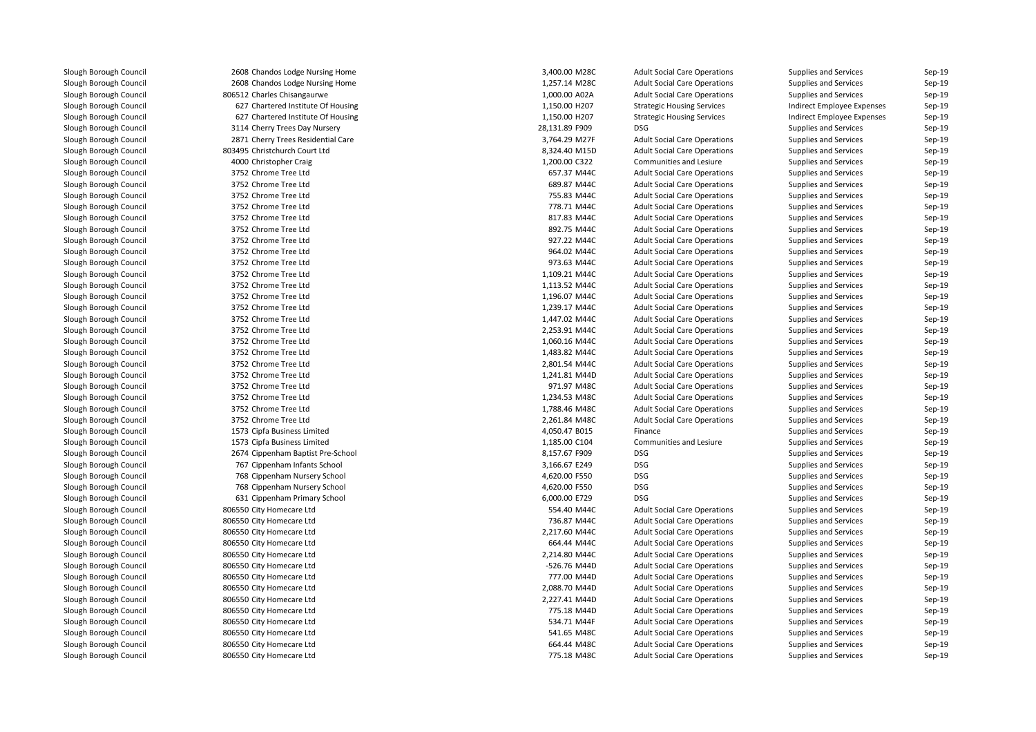| 2608 Chandos Lodge Nursing Home    | 3,400.00 M28C  | <b>Adult Social Care Operations</b> | Supplies and Services      | Sep-19   |
|------------------------------------|----------------|-------------------------------------|----------------------------|----------|
| 2608 Chandos Lodge Nursing Home    | 1,257.14 M28C  | <b>Adult Social Care Operations</b> | Supplies and Services      | Sep-19   |
| 806512 Charles Chisangaurwe        | 1,000.00 A02A  | <b>Adult Social Care Operations</b> | Supplies and Services      | $Sep-19$ |
| 627 Chartered Institute Of Housing | 1,150.00 H207  | <b>Strategic Housing Services</b>   | Indirect Employee Expenses | Sep-19   |
| 627 Chartered Institute Of Housing | 1,150.00 H207  | <b>Strategic Housing Services</b>   | Indirect Employee Expenses | $Sep-19$ |
| 3114 Cherry Trees Day Nursery      | 28,131.89 F909 | <b>DSG</b>                          | Supplies and Services      | Sep-19   |
| 2871 Cherry Trees Residential Care | 3,764.29 M27F  | <b>Adult Social Care Operations</b> | Supplies and Services      | Sep-19   |
| 803495 Christchurch Court Ltd      | 8,324.40 M15D  | <b>Adult Social Care Operations</b> | Supplies and Services      | Sep-19   |
| 4000 Christopher Craig             | 1,200.00 C322  | Communities and Lesiure             | Supplies and Services      | Sep-19   |
| 3752 Chrome Tree Ltd               | 657.37 M44C    | <b>Adult Social Care Operations</b> | Supplies and Services      | Sep-19   |
| 3752 Chrome Tree Ltd               | 689.87 M44C    | <b>Adult Social Care Operations</b> | Supplies and Services      | Sep-19   |
| 3752 Chrome Tree Ltd               | 755.83 M44C    | <b>Adult Social Care Operations</b> | Supplies and Services      | $Sep-19$ |
| 3752 Chrome Tree Ltd               | 778.71 M44C    | <b>Adult Social Care Operations</b> | Supplies and Services      | Sep-19   |
| 3752 Chrome Tree Ltd               | 817.83 M44C    | <b>Adult Social Care Operations</b> | Supplies and Services      | Sep-19   |
| 3752 Chrome Tree Ltd               | 892.75 M44C    | <b>Adult Social Care Operations</b> | Supplies and Services      | Sep-19   |
| 3752 Chrome Tree Ltd               | 927.22 M44C    | <b>Adult Social Care Operations</b> | Supplies and Services      | $Sep-19$ |
| 3752 Chrome Tree Ltd               | 964.02 M44C    | <b>Adult Social Care Operations</b> | Supplies and Services      | $Sep-19$ |
| 3752 Chrome Tree Ltd               | 973.63 M44C    | <b>Adult Social Care Operations</b> | Supplies and Services      | Sep-19   |
| 3752 Chrome Tree Ltd               | 1,109.21 M44C  | <b>Adult Social Care Operations</b> | Supplies and Services      | Sep-19   |
| 3752 Chrome Tree Ltd               | 1,113.52 M44C  | <b>Adult Social Care Operations</b> | Supplies and Services      | Sep-19   |
| 3752 Chrome Tree Ltd               | 1,196.07 M44C  | <b>Adult Social Care Operations</b> | Supplies and Services      | Sep-19   |
| 3752 Chrome Tree Ltd               | 1,239.17 M44C  | <b>Adult Social Care Operations</b> | Supplies and Services      | $Sep-19$ |
| 3752 Chrome Tree Ltd               | 1,447.02 M44C  | <b>Adult Social Care Operations</b> | Supplies and Services      | $Sep-19$ |
| 3752 Chrome Tree Ltd               | 2,253.91 M44C  | <b>Adult Social Care Operations</b> | Supplies and Services      | $Sep-19$ |
| 3752 Chrome Tree Ltd               | 1,060.16 M44C  | <b>Adult Social Care Operations</b> | Supplies and Services      | Sep-19   |
| 3752 Chrome Tree Ltd               | 1,483.82 M44C  | <b>Adult Social Care Operations</b> | Supplies and Services      | Sep-19   |
| 3752 Chrome Tree Ltd               | 2,801.54 M44C  | <b>Adult Social Care Operations</b> | Supplies and Services      | $Sep-19$ |
| 3752 Chrome Tree Ltd               | 1,241.81 M44D  | <b>Adult Social Care Operations</b> | Supplies and Services      | Sep-19   |
| 3752 Chrome Tree Ltd               | 971.97 M48C    | <b>Adult Social Care Operations</b> | Supplies and Services      | $Sep-19$ |
| 3752 Chrome Tree Ltd               | 1,234.53 M48C  | <b>Adult Social Care Operations</b> | Supplies and Services      | Sep-19   |
| 3752 Chrome Tree Ltd               | 1,788.46 M48C  | <b>Adult Social Care Operations</b> | Supplies and Services      | Sep-19   |
| 3752 Chrome Tree Ltd               | 2,261.84 M48C  | <b>Adult Social Care Operations</b> | Supplies and Services      | $Sep-19$ |
| 1573 Cipfa Business Limited        | 4,050.47 B015  | Finance                             | Supplies and Services      | Sep-19   |
| 1573 Cipfa Business Limited        | 1,185.00 C104  | Communities and Lesiure             | Supplies and Services      | $Sep-19$ |
| 2674 Cippenham Baptist Pre-School  | 8,157.67 F909  | <b>DSG</b>                          | Supplies and Services      | $Sep-19$ |
| 767 Cippenham Infants School       | 3,166.67 E249  | <b>DSG</b>                          | Supplies and Services      | Sep-19   |
| 768 Cippenham Nursery School       | 4,620.00 F550  | <b>DSG</b>                          | Supplies and Services      | Sep-19   |
| 768 Cippenham Nursery School       | 4,620.00 F550  | <b>DSG</b>                          | Supplies and Services      | $Sep-19$ |
| 631 Cippenham Primary School       | 6,000.00 E729  | <b>DSG</b>                          | Supplies and Services      | $Sep-19$ |
| 806550 City Homecare Ltd           | 554.40 M44C    | <b>Adult Social Care Operations</b> | Supplies and Services      | Sep-19   |
| 806550 City Homecare Ltd           | 736.87 M44C    | <b>Adult Social Care Operations</b> | Supplies and Services      | Sep-19   |
| 806550 City Homecare Ltd           | 2,217.60 M44C  | <b>Adult Social Care Operations</b> | Supplies and Services      | Sep-19   |
| 806550 City Homecare Ltd           | 664.44 M44C    | <b>Adult Social Care Operations</b> | Supplies and Services      | Sep-19   |
| 806550 City Homecare Ltd           | 2,214.80 M44C  | <b>Adult Social Care Operations</b> | Supplies and Services      | $Sep-19$ |
| 806550 City Homecare Ltd           | -526.76 M44D   | <b>Adult Social Care Operations</b> | Supplies and Services      | Sep-19   |
| 806550 City Homecare Ltd           | 777.00 M44D    | <b>Adult Social Care Operations</b> | Supplies and Services      | $Sep-19$ |
| 806550 City Homecare Ltd           | 2,088.70 M44D  | <b>Adult Social Care Operations</b> | Supplies and Services      | $Sep-19$ |
| 806550 City Homecare Ltd           | 2,227.41 M44D  | <b>Adult Social Care Operations</b> | Supplies and Services      | Sep-19   |
| 806550 City Homecare Ltd           | 775.18 M44D    | <b>Adult Social Care Operations</b> | Supplies and Services      | $Sep-19$ |
| 806550 City Homecare Ltd           | 534.71 M44F    | <b>Adult Social Care Operations</b> | Supplies and Services      | $Sep-19$ |
| 806550 City Homecare Ltd           | 541.65 M48C    | <b>Adult Social Care Operations</b> | Supplies and Services      | Sep-19   |
| 806550 City Homecare Ltd           | 664.44 M48C    | <b>Adult Social Care Operations</b> | Supplies and Services      | Sep-19   |
| 806550 City Homecare Ltd           | 775.18 M48C    | <b>Adult Social Care Operations</b> | Supplies and Services      | Sep-19   |
|                                    |                |                                     |                            |          |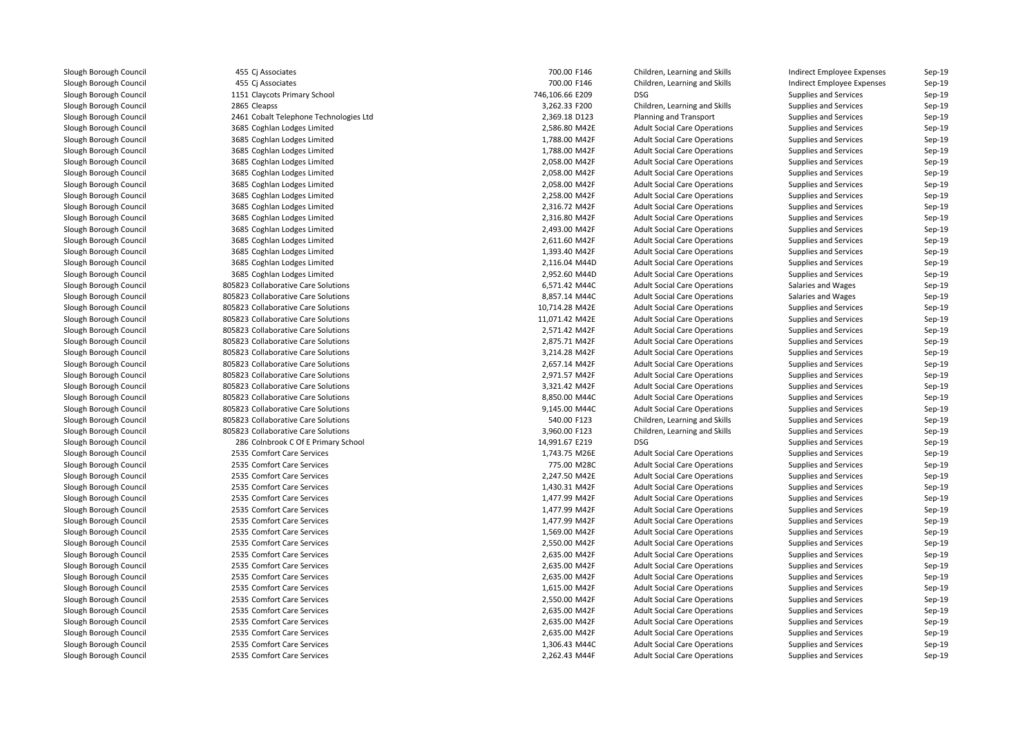455 Ci Associates 455 Cj Associates 1151 Claycots Primary School 746,106.66 E209 DSG2865 Cleapss 2461 Cobalt Telephone Technologies Ltd 3685 Coghlan Lodges Limited 3685 Coghlan Lodges Limited 3685 Coghlan Lodges Limited 3685 Coghlan Lodges Limited 3685 Coghlan Lodges Limited 3685 Coghlan Lodges Limited 3685 Coghlan Lodges Limited 3685 Coghlan Lodges Limited 3685 Coghlan Lodges Limited 3685 Coghlan Lodges Limited 3685 Coghlan Lodges Limited 3685 Coghlan Lodges Limited 3685 Coghlan Lodges Limited 3685 Coghlan Lodges Limited805823 Collaborative Care Solutions 6,571.42 M44C 805823 Collaborative Care Solutions **8,857.14 M44C** 8,857.14 M44C 805823 Collaborative Care Solutions 805823 Collaborative Care Solutions 805823 Collaborative Care Solutions 805823 Collaborative Care Solutions 805823 Collaborative Care Solutions 805823 Collaborative Care Solutions 805823 Collaborative Care Solutions 805823 Collaborative Care Solutions 805823 Collaborative Care Solutions **8,850.00 M44C** 8,850.00 M44C 805823 Collaborative Care Solutions and the control of the second basic second basic second basic second basic second basic second basic second basic second basic second basic second basic second basic second basic second 805823 Collaborative Care Solutions 805823 Collaborative Care Solutions 286 Colnbrook C Of E Primary School 14,991.67 E219 DSG2535 Comfort Care Services 2535 Comfort Care Services 775.00 M28C2535 Comfort Care Services 2535 Comfort Care Services 2535 Comfort Care Services 2535 Comfort Care Services 2535 Comfort Care Services 2535 Comfort Care Services 2535 Comfort Care Services 2535 Comfort Care Services 2535 Comfort Care Services 2535 Comfort Care Services 2535 Comfort Care Services 2535 Comfort Care Services 2535 Comfort Care Services 2535 Comfort Care Services 2535 Comfort Care Services 2535 Comfort Care Services 1,306.43 M44C2535 Comfort Care Services

| 5 Cj Associates                     | 700.00 F146     | Children, Learning and Skills       | Indirect Employee Expenses   | Sep-19 |
|-------------------------------------|-----------------|-------------------------------------|------------------------------|--------|
| 5 Cj Associates                     | 700.00 F146     | Children, Learning and Skills       | Indirect Employee Expenses   | Sep-19 |
| 1 Claycots Primary School           | 746,106.66 E209 | <b>DSG</b>                          | Supplies and Services        | Sep-19 |
| 5 Cleapss                           | 3,262.33 F200   | Children, Learning and Skills       | <b>Supplies and Services</b> | Sep-19 |
| 1 Cobalt Telephone Technologies Ltd | 2,369.18 D123   | Planning and Transport              | Supplies and Services        | Sep-19 |
| 5 Coghlan Lodges Limited            | 2,586.80 M42E   | <b>Adult Social Care Operations</b> | Supplies and Services        | Sep-19 |
| 5 Coghlan Lodges Limited            | 1,788.00 M42F   | <b>Adult Social Care Operations</b> | Supplies and Services        | Sep-19 |
| 5 Coghlan Lodges Limited            | 1,788.00 M42F   | <b>Adult Social Care Operations</b> | Supplies and Services        | Sep-19 |
| 5 Coghlan Lodges Limited            | 2,058.00 M42F   | <b>Adult Social Care Operations</b> | Supplies and Services        | Sep-19 |
| 5 Coghlan Lodges Limited            | 2,058.00 M42F   | <b>Adult Social Care Operations</b> | Supplies and Services        | Sep-19 |
| 5 Coghlan Lodges Limited            | 2,058.00 M42F   | <b>Adult Social Care Operations</b> | Supplies and Services        | Sep-19 |
| 5 Coghlan Lodges Limited            | 2,258.00 M42F   | <b>Adult Social Care Operations</b> | Supplies and Services        | Sep-19 |
| 5 Coghlan Lodges Limited            | 2,316.72 M42F   | <b>Adult Social Care Operations</b> | Supplies and Services        | Sep-19 |
| 5 Coghlan Lodges Limited            | 2,316.80 M42F   | <b>Adult Social Care Operations</b> | <b>Supplies and Services</b> | Sep-19 |
| 5 Coghlan Lodges Limited            | 2,493.00 M42F   | <b>Adult Social Care Operations</b> | Supplies and Services        | Sep-19 |
| 5 Coghlan Lodges Limited            | 2,611.60 M42F   | <b>Adult Social Care Operations</b> | Supplies and Services        | Sep-19 |
| 5 Coghlan Lodges Limited            | 1,393.40 M42F   | <b>Adult Social Care Operations</b> | Supplies and Services        | Sep-19 |
| 5 Coghlan Lodges Limited            | 2,116.04 M44D   | <b>Adult Social Care Operations</b> | Supplies and Services        | Sep-19 |
| 5 Coghlan Lodges Limited            | 2,952.60 M44D   | <b>Adult Social Care Operations</b> | Supplies and Services        | Sep-19 |
| 3 Collaborative Care Solutions      | 6,571.42 M44C   | <b>Adult Social Care Operations</b> | Salaries and Wages           | Sep-19 |
| 3 Collaborative Care Solutions      | 8,857.14 M44C   | <b>Adult Social Care Operations</b> | Salaries and Wages           | Sep-19 |
| 3 Collaborative Care Solutions      | 10,714.28 M42E  | <b>Adult Social Care Operations</b> | Supplies and Services        | Sep-19 |
| 3 Collaborative Care Solutions      | 11,071.42 M42E  | <b>Adult Social Care Operations</b> | Supplies and Services        | Sep-19 |
| 3 Collaborative Care Solutions      | 2,571.42 M42F   | <b>Adult Social Care Operations</b> | Supplies and Services        | Sep-19 |
| 3 Collaborative Care Solutions      | 2,875.71 M42F   | <b>Adult Social Care Operations</b> | Supplies and Services        | Sep-19 |
| 3 Collaborative Care Solutions      | 3,214.28 M42F   | <b>Adult Social Care Operations</b> | <b>Supplies and Services</b> | Sep-19 |
| 3 Collaborative Care Solutions      | 2,657.14 M42F   | <b>Adult Social Care Operations</b> | Supplies and Services        | Sep-19 |
| 3 Collaborative Care Solutions      | 2,971.57 M42F   | <b>Adult Social Care Operations</b> | Supplies and Services        | Sep-19 |
| 3 Collaborative Care Solutions      | 3,321.42 M42F   | <b>Adult Social Care Operations</b> | Supplies and Services        | Sep-19 |
| 3 Collaborative Care Solutions      | 8,850.00 M44C   | <b>Adult Social Care Operations</b> | Supplies and Services        | Sep-19 |
| 3 Collaborative Care Solutions      | 9,145.00 M44C   | <b>Adult Social Care Operations</b> | Supplies and Services        | Sep-19 |
| 3 Collaborative Care Solutions      | 540.00 F123     | Children, Learning and Skills       | Supplies and Services        | Sep-19 |
| 3 Collaborative Care Solutions      | 3,960.00 F123   | Children, Learning and Skills       | Supplies and Services        | Sep-19 |
| 6 Colnbrook C Of E Primary School   | 14,991.67 E219  | DSG                                 | Supplies and Services        | Sep-19 |
| 5 Comfort Care Services             | 1,743.75 M26E   | <b>Adult Social Care Operations</b> | <b>Supplies and Services</b> | Sep-19 |
| 5 Comfort Care Services             | 775.00 M28C     | <b>Adult Social Care Operations</b> | Supplies and Services        | Sep-19 |
| 5 Comfort Care Services             | 2,247.50 M42E   | <b>Adult Social Care Operations</b> | <b>Supplies and Services</b> | Sep-19 |
| 5 Comfort Care Services             | 1,430.31 M42F   | <b>Adult Social Care Operations</b> | <b>Supplies and Services</b> | Sep-19 |
| 5 Comfort Care Services             | 1,477.99 M42F   | <b>Adult Social Care Operations</b> | <b>Supplies and Services</b> | Sep-19 |
| 5 Comfort Care Services             | 1,477.99 M42F   | <b>Adult Social Care Operations</b> | <b>Supplies and Services</b> | Sep-19 |
| 5 Comfort Care Services             | 1,477.99 M42F   | <b>Adult Social Care Operations</b> | <b>Supplies and Services</b> | Sep-19 |
| 5 Comfort Care Services             | 1,569.00 M42F   | <b>Adult Social Care Operations</b> | Supplies and Services        | Sep-19 |
| 5 Comfort Care Services             | 2,550.00 M42F   | <b>Adult Social Care Operations</b> | Supplies and Services        | Sep-19 |
| 5 Comfort Care Services             | 2,635.00 M42F   | <b>Adult Social Care Operations</b> | <b>Supplies and Services</b> | Sep-19 |
| 5 Comfort Care Services             | 2,635.00 M42F   | <b>Adult Social Care Operations</b> | Supplies and Services        | Sep-19 |
| 5 Comfort Care Services             | 2,635.00 M42F   | <b>Adult Social Care Operations</b> | Supplies and Services        | Sep-19 |
| 5 Comfort Care Services             | 1,615.00 M42F   | <b>Adult Social Care Operations</b> | <b>Supplies and Services</b> | Sep-19 |
| 5 Comfort Care Services             | 2,550.00 M42F   | <b>Adult Social Care Operations</b> | <b>Supplies and Services</b> | Sep-19 |
| 5 Comfort Care Services             | 2,635.00 M42F   | <b>Adult Social Care Operations</b> | <b>Supplies and Services</b> | Sep-19 |
| 5 Comfort Care Services             | 2,635.00 M42F   | <b>Adult Social Care Operations</b> | <b>Supplies and Services</b> | Sep-19 |
| 5 Comfort Care Services             | 2,635.00 M42F   | <b>Adult Social Care Operations</b> | <b>Supplies and Services</b> | Sep-19 |
| 5 Comfort Care Services             | 1,306.43 M44C   | <b>Adult Social Care Operations</b> | <b>Supplies and Services</b> | Sep-19 |
| 5 Comfort Care Services             | 2,262.43 M44F   | <b>Adult Social Care Operations</b> | <b>Supplies and Services</b> | Sep-19 |
|                                     |                 |                                     |                              |        |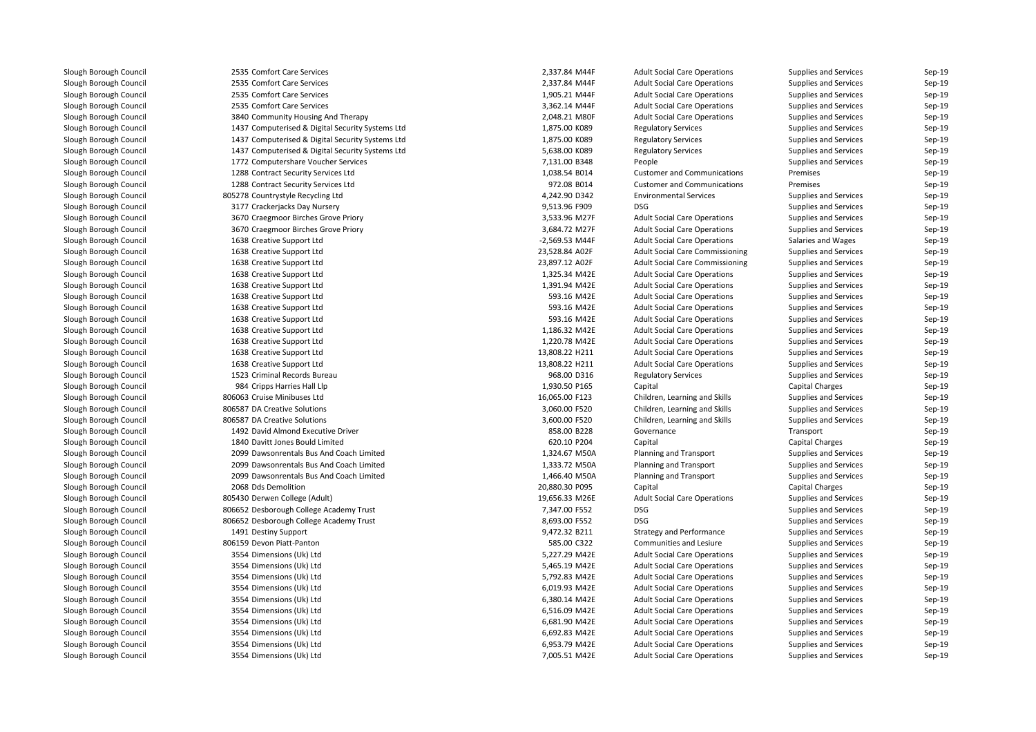| 2535 Comfort Care Services                       | 2,337.84 M44F  | <b>Adult Social Care Operations</b>    | Supplies and Services                          | Sep-19           |
|--------------------------------------------------|----------------|----------------------------------------|------------------------------------------------|------------------|
| 2535 Comfort Care Services                       | 2,337.84 M44F  | <b>Adult Social Care Operations</b>    | Supplies and Services                          | Sep-19           |
| 2535 Comfort Care Services                       | 1,905.21 M44F  | <b>Adult Social Care Operations</b>    | Supplies and Services                          | Sep-19           |
| 2535 Comfort Care Services                       | 3,362.14 M44F  | <b>Adult Social Care Operations</b>    | Supplies and Services                          | Sep-19           |
| 3840 Community Housing And Therapy               | 2,048.21 M80F  | <b>Adult Social Care Operations</b>    | Supplies and Services                          | Sep-19           |
| 1437 Computerised & Digital Security Systems Ltd | 1,875.00 K089  | <b>Regulatory Services</b>             | Supplies and Services                          | Sep-19           |
| 1437 Computerised & Digital Security Systems Ltd | 1,875.00 K089  | <b>Regulatory Services</b>             | Supplies and Services                          | Sep-19           |
| 1437 Computerised & Digital Security Systems Ltd | 5,638.00 K089  | <b>Regulatory Services</b>             | Supplies and Services                          | Sep-19           |
| 1772 Computershare Voucher Services              | 7,131.00 B348  | People                                 | Supplies and Services                          | Sep-19           |
| 1288 Contract Security Services Ltd              | 1,038.54 B014  | <b>Customer and Communications</b>     | Premises                                       | Sep-19           |
| 1288 Contract Security Services Ltd              | 972.08 B014    | <b>Customer and Communications</b>     | Premises                                       | Sep-19           |
| 805278 Countrystyle Recycling Ltd                | 4,242.90 D342  | <b>Environmental Services</b>          | Supplies and Services                          | Sep-19           |
| 3177 Crackerjacks Day Nursery                    | 9,513.96 F909  | <b>DSG</b>                             | Supplies and Services                          | Sep-19           |
| 3670 Craegmoor Birches Grove Priory              | 3,533.96 M27F  | <b>Adult Social Care Operations</b>    | Supplies and Services                          | Sep-19           |
| 3670 Craegmoor Birches Grove Priory              | 3,684.72 M27F  | <b>Adult Social Care Operations</b>    | Supplies and Services                          | Sep-19           |
| 1638 Creative Support Ltd                        | -2,569.53 M44F | <b>Adult Social Care Operations</b>    | Salaries and Wages                             | Sep-19           |
| 1638 Creative Support Ltd                        | 23,528.84 A02F | <b>Adult Social Care Commissioning</b> | Supplies and Services                          | Sep-19           |
| 1638 Creative Support Ltd                        | 23,897.12 A02F | <b>Adult Social Care Commissioning</b> | Supplies and Services                          | Sep-19           |
| 1638 Creative Support Ltd                        | 1,325.34 M42E  | <b>Adult Social Care Operations</b>    | Supplies and Services                          | Sep-19           |
| 1638 Creative Support Ltd                        | 1,391.94 M42E  | <b>Adult Social Care Operations</b>    | Supplies and Services                          | Sep-19           |
| 1638 Creative Support Ltd                        | 593.16 M42E    | <b>Adult Social Care Operations</b>    | Supplies and Services                          | Sep-19           |
| 1638 Creative Support Ltd                        | 593.16 M42E    | <b>Adult Social Care Operations</b>    | Supplies and Services                          | Sep-19           |
| 1638 Creative Support Ltd                        | 593.16 M42E    | <b>Adult Social Care Operations</b>    | Supplies and Services                          | Sep-19           |
| 1638 Creative Support Ltd                        | 1,186.32 M42E  | <b>Adult Social Care Operations</b>    | Supplies and Services                          | Sep-19           |
| 1638 Creative Support Ltd                        | 1,220.78 M42E  | <b>Adult Social Care Operations</b>    | Supplies and Services                          | Sep-19           |
| 1638 Creative Support Ltd                        | 13,808.22 H211 | <b>Adult Social Care Operations</b>    | Supplies and Services                          | Sep-19           |
| 1638 Creative Support Ltd                        | 13,808.22 H211 | <b>Adult Social Care Operations</b>    | Supplies and Services                          | Sep-19           |
| 1523 Criminal Records Bureau                     | 968.00 D316    | <b>Regulatory Services</b>             | Supplies and Services                          | Sep-19           |
| 984 Cripps Harries Hall Llp                      | 1,930.50 P165  | Capital                                | <b>Capital Charges</b>                         | Sep-19           |
| 806063 Cruise Minibuses Ltd                      | 16,065.00 F123 | Children, Learning and Skills          | Supplies and Services                          | Sep-19           |
| 806587 DA Creative Solutions                     | 3,060.00 F520  | Children, Learning and Skills          | Supplies and Services                          | Sep-19           |
| 806587 DA Creative Solutions                     | 3,600.00 F520  | Children, Learning and Skills          | Supplies and Services                          | Sep-19           |
| 1492 David Almond Executive Driver               | 858.00 B228    | Governance                             | Transport                                      | Sep-19           |
| 1840 Davitt Jones Bould Limited                  | 620.10 P204    | Capital                                | <b>Capital Charges</b>                         | Sep-19           |
| 2099 Dawsonrentals Bus And Coach Limited         | 1,324.67 M50A  |                                        |                                                | Sep-19           |
| 2099 Dawsonrentals Bus And Coach Limited         | 1,333.72 M50A  | Planning and Transport                 | Supplies and Services<br>Supplies and Services | Sep-19           |
| 2099 Dawsonrentals Bus And Coach Limited         |                | Planning and Transport                 |                                                | Sep-19           |
|                                                  | 1,466.40 M50A  | <b>Planning and Transport</b>          | Supplies and Services                          |                  |
| 2068 Dds Demolition                              | 20,880.30 P095 | Capital                                | <b>Capital Charges</b>                         | Sep-19           |
| 805430 Derwen College (Adult)                    | 19,656.33 M26E | <b>Adult Social Care Operations</b>    | Supplies and Services                          | Sep-19<br>Sep-19 |
| 806652 Desborough College Academy Trust          | 7,347.00 F552  | <b>DSG</b>                             | Supplies and Services                          |                  |
| 806652 Desborough College Academy Trust          | 8,693.00 F552  | <b>DSG</b>                             | Supplies and Services                          | Sep-19           |
| 1491 Destiny Support                             | 9,472.32 B211  | <b>Strategy and Performance</b>        | Supplies and Services                          | Sep-19           |
| 806159 Devon Piatt-Panton                        | 585.00 C322    | Communities and Lesiure                | Supplies and Services                          | Sep-19           |
| 3554 Dimensions (Uk) Ltd                         | 5,227.29 M42E  | <b>Adult Social Care Operations</b>    | Supplies and Services                          | Sep-19           |
| 3554 Dimensions (Uk) Ltd                         | 5,465.19 M42E  | <b>Adult Social Care Operations</b>    | Supplies and Services                          | Sep-19           |
| 3554 Dimensions (Uk) Ltd                         | 5,792.83 M42E  | <b>Adult Social Care Operations</b>    | Supplies and Services                          | Sep-19           |
| 3554 Dimensions (Uk) Ltd                         | 6,019.93 M42E  | <b>Adult Social Care Operations</b>    | Supplies and Services                          | Sep-19           |
| 3554 Dimensions (Uk) Ltd                         | 6,380.14 M42E  | <b>Adult Social Care Operations</b>    | Supplies and Services                          | Sep-19           |
| 3554 Dimensions (Uk) Ltd                         | 6,516.09 M42E  | <b>Adult Social Care Operations</b>    | Supplies and Services                          | Sep-19           |
| 3554 Dimensions (Uk) Ltd                         | 6,681.90 M42E  | <b>Adult Social Care Operations</b>    | Supplies and Services                          | Sep-19           |
| 3554 Dimensions (Uk) Ltd                         | 6,692.83 M42E  | <b>Adult Social Care Operations</b>    | Supplies and Services                          | Sep-19           |
| 3554 Dimensions (Uk) Ltd                         | 6,953.79 M42E  | <b>Adult Social Care Operations</b>    | Supplies and Services                          | Sep-19           |
| 3554 Dimensions (Uk) Ltd                         | 7,005.51 M42E  | <b>Adult Social Care Operations</b>    | Supplies and Services                          | Sep-19           |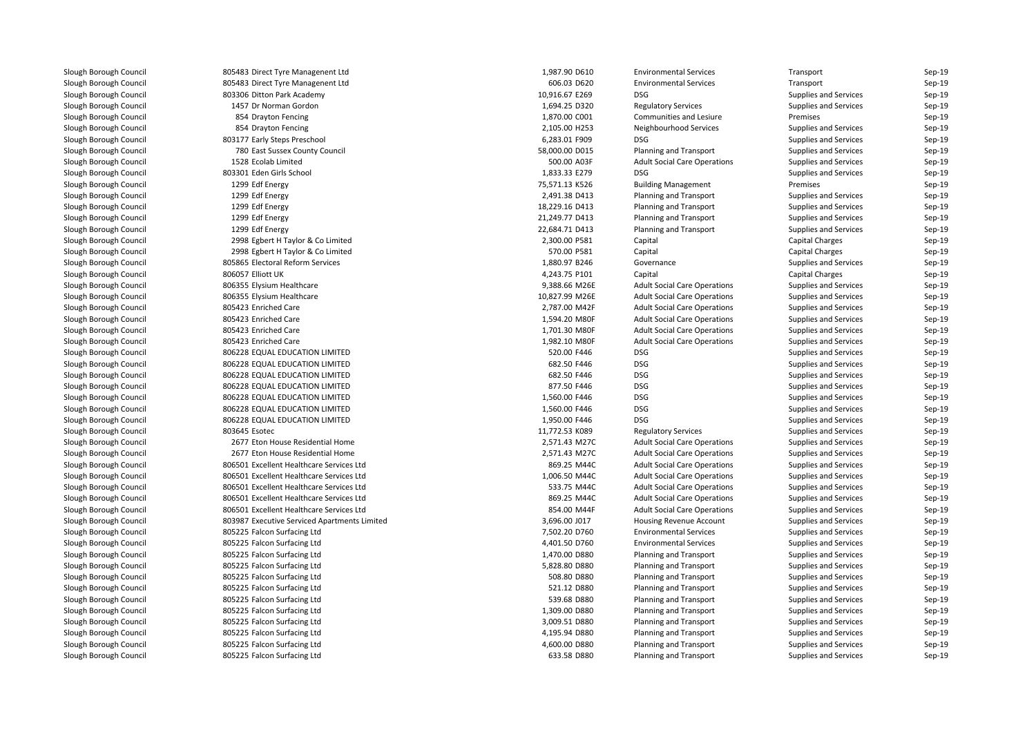| 805483 Direct Tyre Managenent Ltd            | 1,987.90 D610  | <b>Environmental Services</b>                            | Transport                                             | Sep-19 |
|----------------------------------------------|----------------|----------------------------------------------------------|-------------------------------------------------------|--------|
| 805483 Direct Tyre Managenent Ltd            | 606.03 D620    | <b>Environmental Services</b>                            | Transport                                             | Sep-19 |
| 803306 Ditton Park Academy                   | 10,916.67 E269 | <b>DSG</b>                                               | Supplies and Services                                 | Sep-19 |
| 1457 Dr Norman Gordon                        | 1,694.25 D320  | <b>Regulatory Services</b>                               | Supplies and Services                                 | Sep-19 |
| 854 Drayton Fencing                          | 1,870.00 C001  | Communities and Lesiure                                  | Premises                                              | Sep-19 |
| 854 Drayton Fencing                          | 2,105.00 H253  | Neighbourhood Services                                   | Supplies and Services                                 | Sep-19 |
| 803177 Early Steps Preschool                 | 6,283.01 F909  | <b>DSG</b>                                               | Supplies and Services                                 | Sep-19 |
| 780 East Sussex County Council               | 58,000.00 D015 | <b>Planning and Transport</b>                            | Supplies and Services                                 | Sep-19 |
| 1528 Ecolab Limited                          | 500.00 A03F    | <b>Adult Social Care Operations</b>                      | Supplies and Services                                 | Sep-19 |
| 803301 Eden Girls School                     | 1,833.33 E279  | <b>DSG</b>                                               | Supplies and Services                                 | Sep-19 |
| 1299 Edf Energy                              | 75,571.13 K526 | <b>Building Management</b>                               | Premises                                              | Sep-19 |
| 1299 Edf Energy                              | 2,491.38 D413  | Planning and Transport                                   | Supplies and Services                                 | Sep-19 |
| 1299 Edf Energy                              | 18,229.16 D413 | <b>Planning and Transport</b>                            | Supplies and Services                                 | Sep-19 |
| 1299 Edf Energy                              | 21,249.77 D413 | <b>Planning and Transport</b>                            | Supplies and Services                                 | Sep-19 |
| 1299 Edf Energy                              | 22,684.71 D413 | <b>Planning and Transport</b>                            | Supplies and Services                                 | Sep-19 |
| 2998 Egbert H Taylor & Co Limited            | 2,300.00 P581  | Capital                                                  | <b>Capital Charges</b>                                | Sep-19 |
| 2998 Egbert H Taylor & Co Limited            | 570.00 P581    | Capital                                                  | <b>Capital Charges</b>                                | Sep-19 |
| 805865 Electoral Reform Services             | 1,880.97 B246  | Governance                                               | Supplies and Services                                 | Sep-19 |
| 806057 Elliott UK                            | 4,243.75 P101  | Capital                                                  | <b>Capital Charges</b>                                | Sep-19 |
| 806355 Elysium Healthcare                    | 9,388.66 M26E  | <b>Adult Social Care Operations</b>                      | Supplies and Services                                 | Sep-19 |
| 806355 Elysium Healthcare                    | 10,827.99 M26E | <b>Adult Social Care Operations</b>                      | Supplies and Services                                 | Sep-19 |
| 805423 Enriched Care                         | 2,787.00 M42F  | <b>Adult Social Care Operations</b>                      | Supplies and Services                                 | Sep-19 |
| 805423 Enriched Care                         | 1,594.20 M80F  | <b>Adult Social Care Operations</b>                      | Supplies and Services                                 | Sep-19 |
| 805423 Enriched Care                         | 1,701.30 M80F  | <b>Adult Social Care Operations</b>                      | Supplies and Services                                 | Sep-19 |
| 805423 Enriched Care                         | 1,982.10 M80F  | <b>Adult Social Care Operations</b>                      | Supplies and Services                                 | Sep-19 |
| 806228 EQUAL EDUCATION LIMITED               | 520.00 F446    | <b>DSG</b>                                               | Supplies and Services                                 | Sep-19 |
| 806228 EQUAL EDUCATION LIMITED               | 682.50 F446    | <b>DSG</b>                                               | <b>Supplies and Services</b>                          | Sep-19 |
| 806228 EQUAL EDUCATION LIMITED               | 682.50 F446    | DSG                                                      | Supplies and Services                                 | Sep-19 |
| 806228 EQUAL EDUCATION LIMITED               | 877.50 F446    | <b>DSG</b>                                               | Supplies and Services                                 | Sep-19 |
| 806228 EQUAL EDUCATION LIMITED               | 1,560.00 F446  | DSG                                                      | Supplies and Services                                 | Sep-19 |
| 806228 EQUAL EDUCATION LIMITED               | 1,560.00 F446  | DSG                                                      | Supplies and Services                                 | Sep-19 |
| 806228 EQUAL EDUCATION LIMITED               | 1,950.00 F446  | <b>DSG</b>                                               | Supplies and Services                                 | Sep-19 |
| 803645 Esotec                                | 11,772.53 K089 | <b>Regulatory Services</b>                               | Supplies and Services                                 | Sep-19 |
| 2677 Eton House Residential Home             | 2,571.43 M27C  | <b>Adult Social Care Operations</b>                      | Supplies and Services                                 | Sep-19 |
| 2677 Eton House Residential Home             | 2,571.43 M27C  | <b>Adult Social Care Operations</b>                      | Supplies and Services                                 | Sep-19 |
| 806501 Excellent Healthcare Services Ltd     | 869.25 M44C    | <b>Adult Social Care Operations</b>                      | Supplies and Services                                 | Sep-19 |
| 806501 Excellent Healthcare Services Ltd     | 1,006.50 M44C  | <b>Adult Social Care Operations</b>                      | Supplies and Services                                 | Sep-19 |
| 806501 Excellent Healthcare Services Ltd     | 533.75 M44C    | <b>Adult Social Care Operations</b>                      | <b>Supplies and Services</b>                          | Sep-19 |
| 806501 Excellent Healthcare Services Ltd     | 869.25 M44C    | <b>Adult Social Care Operations</b>                      | Supplies and Services                                 | Sep-19 |
| 806501 Excellent Healthcare Services Ltd     | 854.00 M44F    |                                                          |                                                       | Sep-19 |
| 803987 Executive Serviced Apartments Limited | 3,696.00 J017  | <b>Adult Social Care Operations</b>                      | Supplies and Services<br><b>Supplies and Services</b> | Sep-19 |
|                                              | 7,502.20 D760  | Housing Revenue Account<br><b>Environmental Services</b> |                                                       |        |
| 805225 Falcon Surfacing Ltd                  |                |                                                          | Supplies and Services                                 | Sep-19 |
| 805225 Falcon Surfacing Ltd                  | 4,401.50 D760  | <b>Environmental Services</b>                            | Supplies and Services                                 | Sep-19 |
| 805225 Falcon Surfacing Ltd                  | 1,470.00 D880  | <b>Planning and Transport</b>                            | Supplies and Services                                 | Sep-19 |
| 805225 Falcon Surfacing Ltd                  | 5,828.80 D880  | <b>Planning and Transport</b>                            | Supplies and Services                                 | Sep-19 |
| 805225 Falcon Surfacing Ltd                  | 508.80 D880    | <b>Planning and Transport</b>                            | Supplies and Services                                 | Sep-19 |
| 805225 Falcon Surfacing Ltd                  | 521.12 D880    | <b>Planning and Transport</b>                            | Supplies and Services                                 | Sep-19 |
| 805225 Falcon Surfacing Ltd                  | 539.68 D880    | Planning and Transport                                   | Supplies and Services                                 | Sep-19 |
| 805225 Falcon Surfacing Ltd                  | 1,309.00 D880  | <b>Planning and Transport</b>                            | Supplies and Services                                 | Sep-19 |
| 805225 Falcon Surfacing Ltd                  | 3,009.51 D880  | <b>Planning and Transport</b>                            | Supplies and Services                                 | Sep-19 |
| 805225 Falcon Surfacing Ltd                  | 4,195.94 D880  | Planning and Transport                                   | Supplies and Services                                 | Sep-19 |
| 805225 Falcon Surfacing Ltd                  | 4,600.00 D880  | <b>Planning and Transport</b>                            | Supplies and Services                                 | Sep-19 |
| 805225 Falcon Surfacing Ltd                  | 633.58 D880    | Planning and Transport                                   | Supplies and Services                                 | Sep-19 |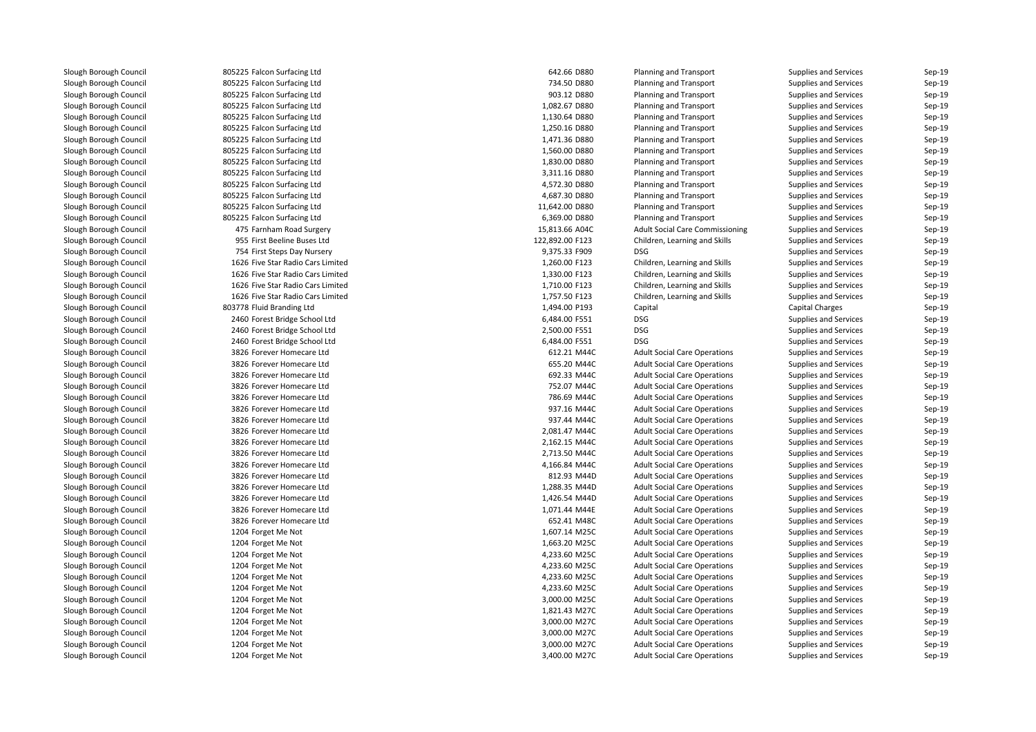805225 Falcon Surfacing Ltd 805225 Falcon Surfacing Ltd 805225 Falcon Surfacing Ltd 805225 Falcon Surfacing Ltd 805225 Falcon Surfacing Ltd 805225 Falcon Surfacing Ltd 805225 Falcon Surfacing Ltd 805225 Falcon Surfacing Ltd 805225 Falcon Surfacing Ltd 805225 Falcon Surfacing Ltd 805225 Falcon Surfacing Ltd 805225 Falcon Surfacing Ltd 805225 Falcon Surfacing Ltd 805225 Falcon Surfacing Ltd 475 Farnham Road Surgery 15,813.66 A04C 955 First Beeline Buses Ltd 754 First Steps Day Nursery 9,375.33 F909 DSG 1626 Five Star Radio Cars Limited 1626 Five Star Radio Cars Limited 1626 Five Star Radio Cars Limited 1626 Five Star Radio Cars Limited 803778 Fluid Branding Ltd 2460 Forest Bridge School Ltd 2460 Forest Bridge School Ltd 2460 Forest Bridge School Ltd 3826 Forever Homecare Ltd 3826 Forever Homecare Ltd 3826 Forever Homecare Ltd 3826 Forever Homecare Ltd 3826 Forever Homecare Ltd 3826 Forever Homecare Ltd 3826 Forever Homecare Ltd 3826 Forever Homecare Ltd 3826 Forever Homecare Ltd 3826 Forever Homecare Ltd 3826 Forever Homecare Ltd 3826 Forever Homecare Ltd 3826 Forever Homecare Ltd 3826 Forever Homecare Ltd 3826 Forever Homecare Ltd 3826 Forever Homecare Ltd1204 Forget Me Not 4 Forget Me Not 1,607.14 M25C  $1204$  Forget Me Not 1,663.20 M25C  $1204$  Forget Me Not  $4,233.60$  M25C 1204 Forget Me Not 4,233.60 M25C  $1204$  Forget Me Not  $4,233.60$  M25C  $1204$  Forget Me Not  $4,233.60$  M25C 1204 Forget Me Not 3,000.00 M25C 3,000.00 M25C 3,000.00 M25C 3,000.00 M25C 3,000.00 M25C 3,000.00 M25C 3,000.00 M25C 1.2004 Forget Me Not 1,821.43 M27C 1204 Forget Me Not 3,000.00 M27C 3,000.00 M27C 3,000.00 M27C 1204 Forget Me Not 3,000.00 M27C 3,000.00 M27C 3,000.00 M27C 1204 Forget Me Not 3,000.00 M27C 3,000.00 M27C 3,000.00 M27C 1204 Forget Me Not 3,400.00 M27C 3,400.00 M27C

| Ltd         | 642.66 D880                  | <b>Planning and Transport</b>          | <b>Supplies and Services</b> | Sep-19   |
|-------------|------------------------------|----------------------------------------|------------------------------|----------|
| Ltd         | 734.50 D880                  | Planning and Transport                 | <b>Supplies and Services</b> | Sep-19   |
| Ltd         | 903.12 D880                  | Planning and Transport                 | <b>Supplies and Services</b> | Sep-19   |
| Ltd         | 1,082.67 D880                | Planning and Transport                 | <b>Supplies and Services</b> | Sep-19   |
| Ltd         | 1,130.64 D880                | Planning and Transport                 | <b>Supplies and Services</b> | Sep-19   |
| Ltd         | 1,250.16 D880                | Planning and Transport                 | <b>Supplies and Services</b> | Sep-19   |
| Ltd         | 1,471.36 D880                | Planning and Transport                 | <b>Supplies and Services</b> | Sep-19   |
| Ltd         | 1,560.00 D880                | Planning and Transport                 | <b>Supplies and Services</b> | Sep-19   |
| Ltd         | 1,830.00 D880                | Planning and Transport                 | <b>Supplies and Services</b> | Sep-19   |
| Ltd         | 3,311.16 D880                | Planning and Transport                 | <b>Supplies and Services</b> | Sep-19   |
| Ltd         | 4,572.30 D880                | Planning and Transport                 | <b>Supplies and Services</b> | Sep-19   |
| Ltd         | 4,687.30 D880                | Planning and Transport                 | <b>Supplies and Services</b> | Sep-19   |
| Ltd         | 11,642.00 D880               | Planning and Transport                 | <b>Supplies and Services</b> | Sep-19   |
| Ltd         | 6,369.00 D880                | <b>Planning and Transport</b>          | <b>Supplies and Services</b> | Sep-19   |
| urgery      | 15,813.66 A04C               | <b>Adult Social Care Commissioning</b> | <b>Supplies and Services</b> | Sep-19   |
| es Ltd      | 122,892.00 F123              | Children, Learning and Skills          | <b>Supplies and Services</b> | Sep-19   |
| ursery      | 9,375.33 F909                | <b>DSG</b>                             | <b>Supplies and Services</b> | Sep-19   |
| ars Limited | 1,260.00 F123                | Children, Learning and Skills          | <b>Supplies and Services</b> | Sep-19   |
| ars Limited | 1,330.00 F123                | Children, Learning and Skills          | <b>Supplies and Services</b> | Sep-19   |
| ars Limited | 1,710.00 F123                | Children, Learning and Skills          | <b>Supplies and Services</b> | Sep-19   |
| ars Limited | 1,757.50 F123                | Children, Learning and Skills          | <b>Supplies and Services</b> | Sep-19   |
| d           | 1,494.00 P193                | Capital                                | <b>Capital Charges</b>       | Sep-19   |
| ool Ltd     | 6,484.00 F551                | <b>DSG</b>                             | <b>Supplies and Services</b> | Sep-19   |
| ool Ltd     | 2,500.00 F551                | <b>DSG</b>                             | <b>Supplies and Services</b> | Sep-19   |
| เool Ltd    | 6,484.00 F551                | <b>DSG</b>                             | <b>Supplies and Services</b> | Sep-19   |
| re Ltd      | 612.21 M44C                  | <b>Adult Social Care Operations</b>    | <b>Supplies and Services</b> | Sep-19   |
| re Ltd      | 655.20 M44C                  | <b>Adult Social Care Operations</b>    | <b>Supplies and Services</b> | Sep-19   |
| re Ltd      | 692.33 M44C                  | <b>Adult Social Care Operations</b>    | <b>Supplies and Services</b> | Sep-19   |
| re Ltd      | 752.07 M44C                  | <b>Adult Social Care Operations</b>    | <b>Supplies and Services</b> | Sep-19   |
| re Ltd      | 786.69 M44C                  | <b>Adult Social Care Operations</b>    | <b>Supplies and Services</b> | Sep-19   |
| re Ltd      | 937.16 M44C                  | <b>Adult Social Care Operations</b>    | <b>Supplies and Services</b> | Sep-19   |
| re Ltd      | 937.44 M44C                  | <b>Adult Social Care Operations</b>    | <b>Supplies and Services</b> | Sep-19   |
| re Ltd      | 2,081.47 M44C                | <b>Adult Social Care Operations</b>    | <b>Supplies and Services</b> | Sep-19   |
| re Ltd      | 2,162.15 M44C                | <b>Adult Social Care Operations</b>    | <b>Supplies and Services</b> | Sep-19   |
| re Ltd      | 2,713.50 M44C                | <b>Adult Social Care Operations</b>    | <b>Supplies and Services</b> | Sep-19   |
| re Ltd      | 4,166.84 M44C                | <b>Adult Social Care Operations</b>    | <b>Supplies and Services</b> | Sep-19   |
|             |                              |                                        |                              | Sep-19   |
| re Ltd      | 812.93 M44D<br>1,288.35 M44D | <b>Adult Social Care Operations</b>    | <b>Supplies and Services</b> | Sep-19   |
| re Ltd      |                              | <b>Adult Social Care Operations</b>    | <b>Supplies and Services</b> |          |
| re Ltd      | 1,426.54 M44D                | <b>Adult Social Care Operations</b>    | <b>Supplies and Services</b> | Sep-19   |
| re Ltd      | 1,071.44 M44E                | <b>Adult Social Care Operations</b>    | <b>Supplies and Services</b> | Sep-19   |
| re Ltd      | 652.41 M48C                  | <b>Adult Social Care Operations</b>    | <b>Supplies and Services</b> | Sep-19   |
|             | 1,607.14 M25C                | <b>Adult Social Care Operations</b>    | <b>Supplies and Services</b> | Sep-19   |
|             | 1,663.20 M25C                | <b>Adult Social Care Operations</b>    | <b>Supplies and Services</b> | Sep-19   |
|             | 4,233.60 M25C                | <b>Adult Social Care Operations</b>    | <b>Supplies and Services</b> | $Sep-19$ |
|             | 4,233.60 M25C                | <b>Adult Social Care Operations</b>    | <b>Supplies and Services</b> | Sep-19   |
|             | 4,233.60 M25C                | <b>Adult Social Care Operations</b>    | <b>Supplies and Services</b> | Sep-19   |
|             | 4,233.60 M25C                | <b>Adult Social Care Operations</b>    | <b>Supplies and Services</b> | Sep-19   |
|             | 3,000.00 M25C                | <b>Adult Social Care Operations</b>    | <b>Supplies and Services</b> | Sep-19   |
|             | 1,821.43 M27C                | <b>Adult Social Care Operations</b>    | <b>Supplies and Services</b> | Sep-19   |
|             | 3,000.00 M27C                | <b>Adult Social Care Operations</b>    | <b>Supplies and Services</b> | Sep-19   |
|             | 3,000.00 M27C                | <b>Adult Social Care Operations</b>    | <b>Supplies and Services</b> | Sep-19   |
|             | 3,000.00 M27C                | <b>Adult Social Care Operations</b>    | <b>Supplies and Services</b> | Sep-19   |
|             | 3,400.00 M27C                | <b>Adult Social Care Operations</b>    | <b>Supplies and Services</b> | Sep-19   |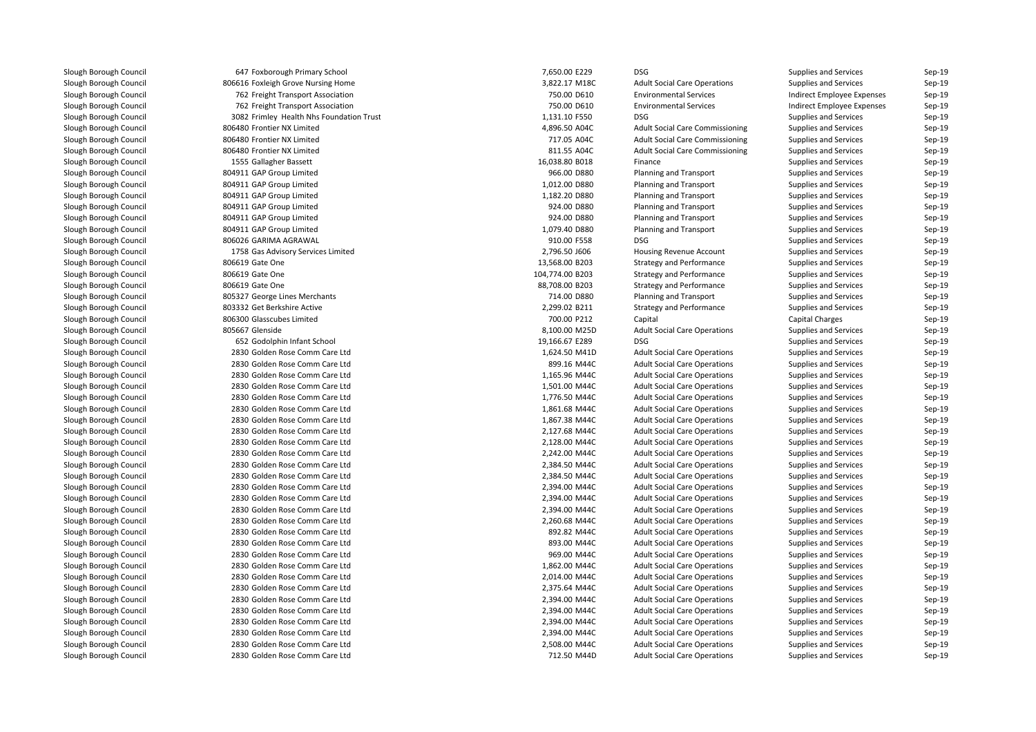| 647 Foxborough Primary School            | 7,650.00 E229   | <b>DSG</b>                             | Supplies and Services      | $Sep-19$ |
|------------------------------------------|-----------------|----------------------------------------|----------------------------|----------|
| 806616 Foxleigh Grove Nursing Home       | 3,822.17 M18C   | <b>Adult Social Care Operations</b>    | Supplies and Services      | $Sep-19$ |
| 762 Freight Transport Association        | 750.00 D610     | <b>Environmental Services</b>          | Indirect Employee Expenses | Sep-19   |
| 762 Freight Transport Association        | 750.00 D610     | <b>Environmental Services</b>          | Indirect Employee Expenses | Sep-19   |
| 3082 Frimley Health Nhs Foundation Trust | 1,131.10 F550   | <b>DSG</b>                             | Supplies and Services      | $Sep-19$ |
| 806480 Frontier NX Limited               | 4,896.50 A04C   | <b>Adult Social Care Commissioning</b> | Supplies and Services      | $Sep-19$ |
| 806480 Frontier NX Limited               | 717.05 A04C     | <b>Adult Social Care Commissioning</b> | Supplies and Services      | Sep-19   |
| 806480 Frontier NX Limited               | 811.55 A04C     | <b>Adult Social Care Commissioning</b> | Supplies and Services      | $Sep-19$ |
| 1555 Gallagher Bassett                   | 16,038.80 B018  | Finance                                | Supplies and Services      | Sep-19   |
| 804911 GAP Group Limited                 | 966.00 D880     | <b>Planning and Transport</b>          | Supplies and Services      | $Sep-19$ |
| 804911 GAP Group Limited                 | 1,012.00 D880   | Planning and Transport                 | Supplies and Services      | $Sep-19$ |
| 804911 GAP Group Limited                 | 1,182.20 D880   | <b>Planning and Transport</b>          | Supplies and Services      | Sep-19   |
| 804911 GAP Group Limited                 | 924.00 D880     | <b>Planning and Transport</b>          | Supplies and Services      | $Sep-19$ |
| 804911 GAP Group Limited                 | 924.00 D880     | <b>Planning and Transport</b>          | Supplies and Services      | $Sep-19$ |
| 804911 GAP Group Limited                 | 1,079.40 D880   | <b>Planning and Transport</b>          | Supplies and Services      | $Sep-19$ |
| 806026 GARIMA AGRAWAL                    | 910.00 F558     | <b>DSG</b>                             | Supplies and Services      | Sep-19   |
| 1758 Gas Advisory Services Limited       | 2,796.50 J606   | <b>Housing Revenue Account</b>         | Supplies and Services      | Sep-19   |
| 806619 Gate One                          | 13,568.00 B203  | Strategy and Performance               | Supplies and Services      | $Sep-19$ |
| 806619 Gate One                          | 104,774.00 B203 | <b>Strategy and Performance</b>        | Supplies and Services      | Sep-19   |
| 806619 Gate One                          | 88,708.00 B203  | <b>Strategy and Performance</b>        | Supplies and Services      | Sep-19   |
| 805327 George Lines Merchants            | 714.00 D880     | <b>Planning and Transport</b>          | Supplies and Services      | $Sep-19$ |
| 803332 Get Berkshire Active              | 2,299.02 B211   | <b>Strategy and Performance</b>        | Supplies and Services      | $Sep-19$ |
| 806300 Glasscubes Limited                | 700.00 P212     | Capital                                | <b>Capital Charges</b>     | $Sep-19$ |
| 805667 Glenside                          | 8,100.00 M25D   | <b>Adult Social Care Operations</b>    | Supplies and Services      | Sep-19   |
| 652 Godolphin Infant School              | 19,166.67 E289  | <b>DSG</b>                             | Supplies and Services      | $Sep-19$ |
| 2830 Golden Rose Comm Care Ltd           | 1,624.50 M41D   | <b>Adult Social Care Operations</b>    | Supplies and Services      | Sep-19   |
| 2830 Golden Rose Comm Care Ltd           | 899.16 M44C     | <b>Adult Social Care Operations</b>    | Supplies and Services      | $Sep-19$ |
| 2830 Golden Rose Comm Care Ltd           | 1,165.96 M44C   | <b>Adult Social Care Operations</b>    | Supplies and Services      | $Sep-19$ |
| 2830 Golden Rose Comm Care Ltd           | 1,501.00 M44C   | <b>Adult Social Care Operations</b>    | Supplies and Services      | $Sep-19$ |
| 2830 Golden Rose Comm Care Ltd           | 1,776.50 M44C   | <b>Adult Social Care Operations</b>    | Supplies and Services      | $Sep-19$ |
| 2830 Golden Rose Comm Care Ltd           | 1,861.68 M44C   | <b>Adult Social Care Operations</b>    | Supplies and Services      | Sep-19   |
| 2830 Golden Rose Comm Care Ltd           | 1,867.38 M44C   | <b>Adult Social Care Operations</b>    | Supplies and Services      | $Sep-19$ |
| 2830 Golden Rose Comm Care Ltd           | 2,127.68 M44C   | <b>Adult Social Care Operations</b>    | Supplies and Services      | $Sep-19$ |
| 2830 Golden Rose Comm Care Ltd           | 2,128.00 M44C   | <b>Adult Social Care Operations</b>    | Supplies and Services      | $Sep-19$ |
| 2830 Golden Rose Comm Care Ltd           | 2,242.00 M44C   | <b>Adult Social Care Operations</b>    | Supplies and Services      | $Sep-19$ |
| 2830 Golden Rose Comm Care Ltd           | 2,384.50 M44C   | <b>Adult Social Care Operations</b>    | Supplies and Services      | $Sep-19$ |
| 2830 Golden Rose Comm Care Ltd           | 2,384.50 M44C   | <b>Adult Social Care Operations</b>    | Supplies and Services      | $Sep-19$ |
| 2830 Golden Rose Comm Care Ltd           | 2,394.00 M44C   | <b>Adult Social Care Operations</b>    | Supplies and Services      | $Sep-19$ |
| 2830 Golden Rose Comm Care Ltd           | 2,394.00 M44C   | <b>Adult Social Care Operations</b>    | Supplies and Services      | $Sep-19$ |
| 2830 Golden Rose Comm Care Ltd           | 2,394.00 M44C   | <b>Adult Social Care Operations</b>    | Supplies and Services      | $Sep-19$ |
| 2830 Golden Rose Comm Care Ltd           | 2,260.68 M44C   | <b>Adult Social Care Operations</b>    | Supplies and Services      | $Sep-19$ |
| 2830 Golden Rose Comm Care Ltd           | 892.82 M44C     | <b>Adult Social Care Operations</b>    | Supplies and Services      | $Sep-19$ |
| 2830 Golden Rose Comm Care Ltd           | 893.00 M44C     | <b>Adult Social Care Operations</b>    | Supplies and Services      | Sep-19   |
| 2830 Golden Rose Comm Care Ltd           | 969.00 M44C     | <b>Adult Social Care Operations</b>    | Supplies and Services      | $Sep-19$ |
| 2830 Golden Rose Comm Care Ltd           | 1,862.00 M44C   | <b>Adult Social Care Operations</b>    | Supplies and Services      | $Sep-19$ |
| 2830 Golden Rose Comm Care Ltd           | 2,014.00 M44C   | <b>Adult Social Care Operations</b>    | Supplies and Services      | $Sep-19$ |
| 2830 Golden Rose Comm Care Ltd           | 2,375.64 M44C   | <b>Adult Social Care Operations</b>    | Supplies and Services      | $Sep-19$ |
| 2830 Golden Rose Comm Care Ltd           | 2,394.00 M44C   | <b>Adult Social Care Operations</b>    | Supplies and Services      | Sep-19   |
| 2830 Golden Rose Comm Care Ltd           | 2,394.00 M44C   | <b>Adult Social Care Operations</b>    | Supplies and Services      | $Sep-19$ |
| 2830 Golden Rose Comm Care Ltd           | 2,394.00 M44C   | <b>Adult Social Care Operations</b>    | Supplies and Services      | $Sep-19$ |
| 2830 Golden Rose Comm Care Ltd           | 2,394.00 M44C   | <b>Adult Social Care Operations</b>    | Supplies and Services      | $Sep-19$ |
| 2830 Golden Rose Comm Care Ltd           | 2,508.00 M44C   | <b>Adult Social Care Operations</b>    | Supplies and Services      | $Sep-19$ |
| 2830 Golden Rose Comm Care Ltd           | 712.50 M44D     | <b>Adult Social Care Operations</b>    | Supplies and Services      | Sep-19   |
|                                          |                 |                                        |                            |          |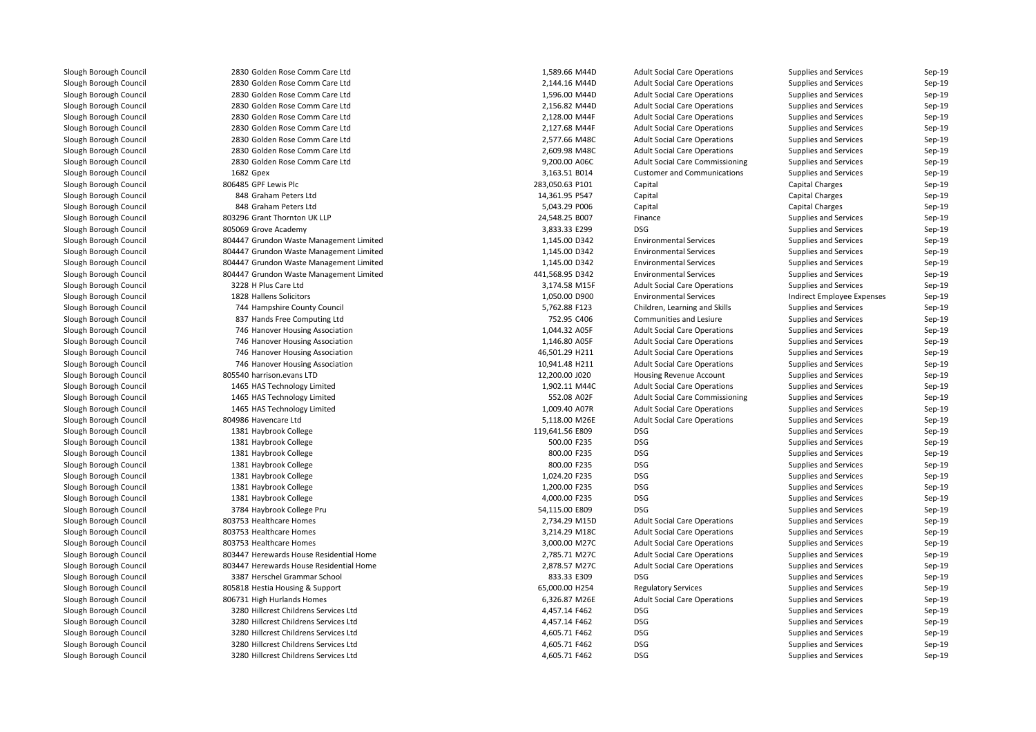2830 Golden Rose Comm Care Ltd 2830 Golden Rose Comm Care Ltd 2830 Golden Rose Comm Care Ltd 2830 Golden Rose Comm Care Ltd 2830 Golden Rose Comm Care Ltd 2830 Golden Rose Comm Care Ltd 2830 Golden Rose Comm Care Ltd 2830 Golden Rose Comm Care Ltd 2830 Golden Rose Comm Care Ltd 1682806485 GPF Lewis Plc 848 Graham Peters Ltd 848 Graham Peters Ltd 803296 Grant Thornton UK LLP805069 Grove Academy 9 Grove Academy 2008 DSG 2009 By 2008 2009 By 2009 By 3,833.33 E299 DSG 804447 Grundon Waste Management Limited 804447 Grundon Waste Management Limited 804447 Grundon Waste Management Limited 804447 Grundon Waste Management Limited 3228 H Plus Care Ltd1828 Hallens Solicitors 744 Hampshire County Council 837 Hands Free Computing Ltd 746 Hanover Housing Association 746 Hanover Housing Association 746 Hanover Housing Association 746 Hanover Housing Association 805540 harrison.evans LTD 1465 HAS Technology Limited 1465 HAS Technology Limited 1465 HAS Technology Limited 804986 Havencare Ltd 1381 Haybrook College 119,641.56 E809 DSG1381 Haybrook College 1988 College 1988 and the state of the Superior Society of the Superior Society of the Superior Society of the Superior Society of the Superior Society of the Superior Society of the Superior Superior l 1381 Haybrook College 800.00 F235 DSG 800.00 F235 DSG 800.00 F235 DSG 800.00 F235 DSG l 1381 Haybrook College 800.00 F235 DSG 800.00 F235 DSG 800.00 F235 DSG 800.00 F235 DSG 1381 Haybrook College 1,024.20 F235 DSG 1381 Haybrook College 1,200.00 F235 DSG 1381 Haybrook College 4,000.00 F235 DSG 3784 Haybrook College Pru**1** 2,734.29 M15D 803753 Healthcare Homes 2,688 and 2,734.29 M15D 803753 Healthcare Homes 803753 Healthcare Homes 3,214.29 M18C **803753 Healthcare Homes** 3,000.00 M27C 3,000.00 M27C 803447 Herewards House Residential Home 2,785.71 M27C 2,785.71 M27C 803447 Herewards House Residential Home 2,878.57 M27C 2,878.57 M27C 3387 Herschel Grammar School 833.33 E309 DSG805818 Hestia Housing & Support 806731 High Hurlands Homes 3280 Hillcrest Childrens Services Ltd 3280 Hillcrest Childrens Services Ltd 3280 Hillcrest Childrens Services Ltd 3280 Hillcrest Childrens Services Ltd3280 Hillcrest Childrens Services Ltd

| 0 Golden Rose Comm Care Ltd        | 1,589.66 M44D   | <b>Adult Social Care Operations</b>    | <b>Supplies and Services</b> | Sep-19 |
|------------------------------------|-----------------|----------------------------------------|------------------------------|--------|
| 0 Golden Rose Comm Care Ltd        | 2,144.16 M44D   | <b>Adult Social Care Operations</b>    | <b>Supplies and Services</b> | Sep-19 |
| 0 Golden Rose Comm Care Ltd        | 1,596.00 M44D   | <b>Adult Social Care Operations</b>    | Supplies and Services        | Sep-19 |
| 0 Golden Rose Comm Care Ltd        | 2,156.82 M44D   | <b>Adult Social Care Operations</b>    | <b>Supplies and Services</b> | Sep-19 |
| 0 Golden Rose Comm Care Ltd        | 2,128.00 M44F   | <b>Adult Social Care Operations</b>    | <b>Supplies and Services</b> | Sep-19 |
| 0 Golden Rose Comm Care Ltd        | 2,127.68 M44F   | <b>Adult Social Care Operations</b>    | <b>Supplies and Services</b> | Sep-19 |
| 0 Golden Rose Comm Care Ltd        | 2,577.66 M48C   | <b>Adult Social Care Operations</b>    | <b>Supplies and Services</b> | Sep-19 |
| 0 Golden Rose Comm Care Ltd        | 2,609.98 M48C   | <b>Adult Social Care Operations</b>    | <b>Supplies and Services</b> | Sep-19 |
| 0 Golden Rose Comm Care Ltd        | 9,200.00 A06C   | <b>Adult Social Care Commissioning</b> | Supplies and Services        | Sep-19 |
| 2 Gpex                             | 3,163.51 B014   | <b>Customer and Communications</b>     | <b>Supplies and Services</b> | Sep-19 |
| 5 GPF Lewis Plc                    | 283,050.63 P101 | Capital                                | <b>Capital Charges</b>       | Sep-19 |
| 8 Graham Peters Ltd                | 14,361.95 P547  | Capital                                | <b>Capital Charges</b>       | Sep-19 |
| 8 Graham Peters Ltd                | 5,043.29 P006   | Capital                                | <b>Capital Charges</b>       | Sep-19 |
| 6 Grant Thornton UK LLP            | 24,548.25 B007  | Finance                                | <b>Supplies and Services</b> | Sep-19 |
| 9 Grove Academy                    | 3,833.33 E299   | <b>DSG</b>                             | <b>Supplies and Services</b> | Sep-19 |
| 7 Grundon Waste Management Limited | 1,145.00 D342   | <b>Environmental Services</b>          | Supplies and Services        | Sep-19 |
| 7 Grundon Waste Management Limited | 1,145.00 D342   | <b>Environmental Services</b>          | Supplies and Services        | Sep-19 |
| 7 Grundon Waste Management Limited | 1,145.00 D342   | <b>Environmental Services</b>          | Supplies and Services        | Sep-19 |
| 7 Grundon Waste Management Limited | 441,568.95 D342 | <b>Environmental Services</b>          | Supplies and Services        | Sep-19 |
| 8 H Plus Care Ltd                  | 3,174.58 M15F   | <b>Adult Social Care Operations</b>    | Supplies and Services        | Sep-19 |
| 8 Hallens Solicitors               | 1,050.00 D900   | <b>Environmental Services</b>          | Indirect Employee Expenses   | Sep-19 |
| 4 Hampshire County Council         | 5,762.88 F123   | Children, Learning and Skills          | Supplies and Services        | Sep-19 |
| 7 Hands Free Computing Ltd         | 752.95 C406     | Communities and Lesiure                | Supplies and Services        | Sep-19 |
| 6 Hanover Housing Association      | 1,044.32 A05F   | <b>Adult Social Care Operations</b>    | Supplies and Services        | Sep-19 |
| 6 Hanover Housing Association      | 1,146.80 A05F   | <b>Adult Social Care Operations</b>    | Supplies and Services        | Sep-19 |
| 6 Hanover Housing Association      | 46,501.29 H211  | <b>Adult Social Care Operations</b>    | <b>Supplies and Services</b> | Sep-19 |
| 6 Hanover Housing Association      | 10,941.48 H211  | <b>Adult Social Care Operations</b>    | Supplies and Services        | Sep-19 |
| 0 harrison.evans LTD               | 12,200.00 J020  | Housing Revenue Account                | Supplies and Services        | Sep-19 |
| 5 HAS Technology Limited           | 1,902.11 M44C   | <b>Adult Social Care Operations</b>    | Supplies and Services        | Sep-19 |
| 5 HAS Technology Limited           | 552.08 A02F     | <b>Adult Social Care Commissioning</b> | Supplies and Services        | Sep-19 |
| 5 HAS Technology Limited           | 1,009.40 A07R   | <b>Adult Social Care Operations</b>    | Supplies and Services        | Sep-19 |
| 6 Havencare Ltd                    | 5,118.00 M26E   | <b>Adult Social Care Operations</b>    | <b>Supplies and Services</b> | Sep-19 |
| 1 Haybrook College                 | 119,641.56 E809 | <b>DSG</b>                             | Supplies and Services        | Sep-19 |
| 1 Haybrook College                 | 500.00 F235     | DSG                                    | Supplies and Services        | Sep-19 |
| 1 Haybrook College                 | 800.00 F235     | <b>DSG</b>                             | Supplies and Services        | Sep-19 |
| 1 Haybrook College                 | 800.00 F235     | <b>DSG</b>                             | Supplies and Services        | Sep-19 |
| 1 Haybrook College                 | 1,024.20 F235   | DSG                                    | Supplies and Services        | Sep-19 |
| 1 Haybrook College                 | 1,200.00 F235   | <b>DSG</b>                             | <b>Supplies and Services</b> | Sep-19 |
| 1 Haybrook College                 | 4,000.00 F235   | <b>DSG</b>                             | Supplies and Services        | Sep-19 |
| 4 Haybrook College Pru             | 54,115.00 E809  | <b>DSG</b>                             | Supplies and Services        | Sep-19 |
| 3 Healthcare Homes                 | 2,734.29 M15D   | <b>Adult Social Care Operations</b>    | Supplies and Services        | Sep-19 |
| 3 Healthcare Homes                 | 3,214.29 M18C   | <b>Adult Social Care Operations</b>    | Supplies and Services        | Sep-19 |
| 3 Healthcare Homes                 | 3,000.00 M27C   | <b>Adult Social Care Operations</b>    | Supplies and Services        | Sep-19 |
| 7 Herewards House Residential Home | 2,785.71 M27C   | <b>Adult Social Care Operations</b>    | <b>Supplies and Services</b> | Sep-19 |
| 7 Herewards House Residential Home | 2,878.57 M27C   | <b>Adult Social Care Operations</b>    | Supplies and Services        | Sep-19 |
| 7 Herschel Grammar School          | 833.33 E309     | <b>DSG</b>                             | Supplies and Services        | Sep-19 |
| 8 Hestia Housing & Support         | 65,000.00 H254  | <b>Regulatory Services</b>             | Supplies and Services        | Sep-19 |
| 1 High Hurlands Homes              | 6,326.87 M26E   | <b>Adult Social Care Operations</b>    | Supplies and Services        | Sep-19 |
| 0 Hillcrest Childrens Services Ltd | 4,457.14 F462   | <b>DSG</b>                             | <b>Supplies and Services</b> | Sep-19 |
| 0 Hillcrest Childrens Services Ltd | 4,457.14 F462   | <b>DSG</b>                             | <b>Supplies and Services</b> | Sep-19 |
| 0 Hillcrest Childrens Services Ltd | 4,605.71 F462   | <b>DSG</b>                             | <b>Supplies and Services</b> | Sep-19 |
| 0 Hillcrest Childrens Services Ltd | 4,605.71 F462   | <b>DSG</b>                             | <b>Supplies and Services</b> | Sep-19 |
| 0 Hillcrest Childrens Services Ltd | 4,605.71 F462   | <b>DSG</b>                             | Supplies and Services        | Sep-19 |
|                                    |                 |                                        |                              |        |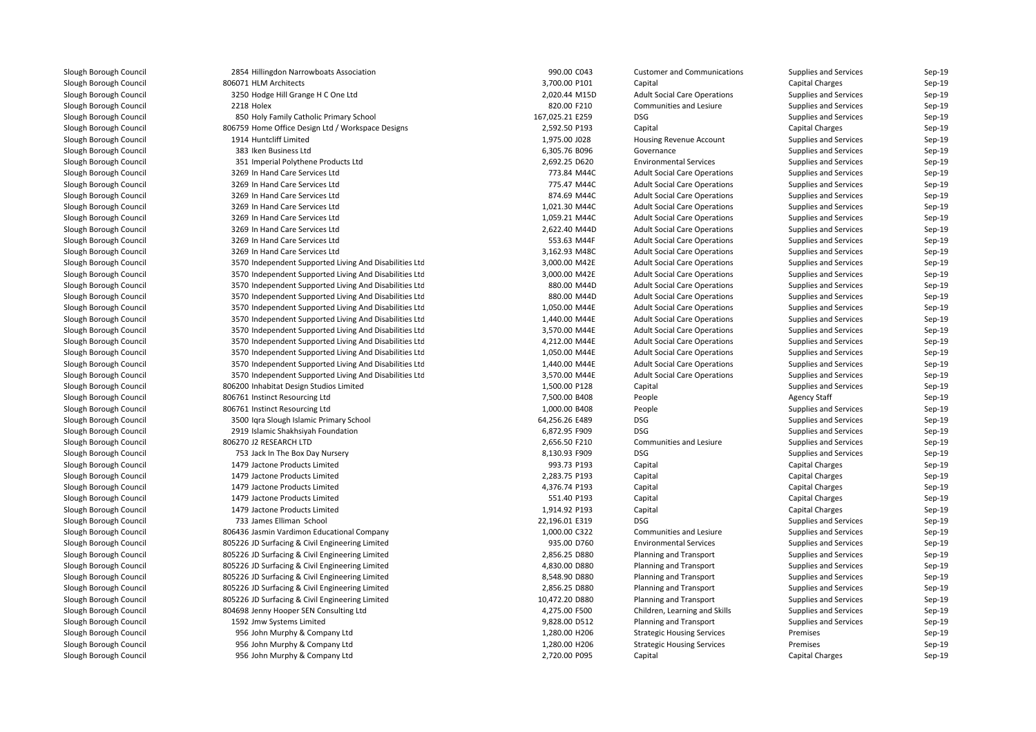| 2854 Hillingdon Narrowboats Association                | 990.00 C043     | <b>Customer and Communications</b>  | Supplies and Services        | Sep-19 |
|--------------------------------------------------------|-----------------|-------------------------------------|------------------------------|--------|
| 806071 HLM Architects                                  | 3,700.00 P101   | Capital                             | <b>Capital Charges</b>       | Sep-19 |
| 3250 Hodge Hill Grange H C One Ltd                     | 2,020.44 M15D   | <b>Adult Social Care Operations</b> | Supplies and Services        | Sep-19 |
| 2218 Holex                                             | 820.00 F210     | Communities and Lesiure             | Supplies and Services        | Sep-19 |
| 850 Holy Family Catholic Primary School                | 167,025.21 E259 | <b>DSG</b>                          | Supplies and Services        | Sep-19 |
| 806759 Home Office Design Ltd / Workspace Designs      | 2,592.50 P193   | Capital                             | <b>Capital Charges</b>       | Sep-19 |
| 1914 Huntcliff Limited                                 | 1,975.00 J028   | Housing Revenue Account             | Supplies and Services        | Sep-19 |
| 383 Iken Business Ltd                                  | 6,305.76 B096   | Governance                          | Supplies and Services        | Sep-19 |
| 351 Imperial Polythene Products Ltd                    | 2,692.25 D620   | <b>Environmental Services</b>       | Supplies and Services        | Sep-19 |
| 3269 In Hand Care Services Ltd                         | 773.84 M44C     | <b>Adult Social Care Operations</b> | Supplies and Services        | Sep-19 |
| 3269 In Hand Care Services Ltd                         | 775.47 M44C     | <b>Adult Social Care Operations</b> | Supplies and Services        | Sep-19 |
| 3269 In Hand Care Services Ltd                         | 874.69 M44C     | <b>Adult Social Care Operations</b> | Supplies and Services        | Sep-19 |
| 3269 In Hand Care Services Ltd                         | 1,021.30 M44C   | <b>Adult Social Care Operations</b> | Supplies and Services        | Sep-19 |
| 3269 In Hand Care Services Ltd                         | 1,059.21 M44C   | <b>Adult Social Care Operations</b> | Supplies and Services        | Sep-19 |
| 3269 In Hand Care Services Ltd                         | 2,622.40 M44D   | <b>Adult Social Care Operations</b> | Supplies and Services        | Sep-19 |
| 3269 In Hand Care Services Ltd                         | 553.63 M44F     | <b>Adult Social Care Operations</b> | Supplies and Services        | Sep-19 |
| 3269 In Hand Care Services Ltd                         | 3,162.93 M48C   | <b>Adult Social Care Operations</b> | <b>Supplies and Services</b> | Sep-19 |
| 3570 Independent Supported Living And Disabilities Ltd | 3,000.00 M42E   | <b>Adult Social Care Operations</b> | Supplies and Services        | Sep-19 |
| 3570 Independent Supported Living And Disabilities Ltd | 3,000.00 M42E   | <b>Adult Social Care Operations</b> | Supplies and Services        | Sep-19 |
| 3570 Independent Supported Living And Disabilities Ltd | 880.00 M44D     | <b>Adult Social Care Operations</b> | Supplies and Services        | Sep-19 |
| 3570 Independent Supported Living And Disabilities Ltd | 880.00 M44D     | <b>Adult Social Care Operations</b> | Supplies and Services        | Sep-19 |
| 3570 Independent Supported Living And Disabilities Ltd | 1,050.00 M44E   | <b>Adult Social Care Operations</b> | Supplies and Services        | Sep-19 |
| 3570 Independent Supported Living And Disabilities Ltd | 1,440.00 M44E   | <b>Adult Social Care Operations</b> | Supplies and Services        | Sep-19 |
| 3570 Independent Supported Living And Disabilities Ltd | 3,570.00 M44E   | <b>Adult Social Care Operations</b> | Supplies and Services        | Sep-19 |
| 3570 Independent Supported Living And Disabilities Ltd | 4,212.00 M44E   | <b>Adult Social Care Operations</b> | Supplies and Services        | Sep-19 |
| 3570 Independent Supported Living And Disabilities Ltd | 1,050.00 M44E   | <b>Adult Social Care Operations</b> | Supplies and Services        | Sep-19 |
| 3570 Independent Supported Living And Disabilities Ltd | 1,440.00 M44E   | <b>Adult Social Care Operations</b> | Supplies and Services        | Sep-19 |
| 3570 Independent Supported Living And Disabilities Ltd | 3,570.00 M44E   | <b>Adult Social Care Operations</b> | Supplies and Services        | Sep-19 |
| 806200 Inhabitat Design Studios Limited                | 1,500.00 P128   | Capital                             | Supplies and Services        | Sep-19 |
| 806761 Instinct Resourcing Ltd                         | 7,500.00 B408   | People                              | <b>Agency Staff</b>          | Sep-19 |
| 806761 Instinct Resourcing Ltd                         | 1,000.00 B408   | People                              | Supplies and Services        | Sep-19 |
| 3500 Iqra Slough Islamic Primary School                | 64,256.26 E489  | <b>DSG</b>                          | Supplies and Services        | Sep-19 |
| 2919 Islamic Shakhsiyah Foundation                     | 6,872.95 F909   | <b>DSG</b>                          | Supplies and Services        | Sep-19 |
| 806270 J2 RESEARCH LTD                                 | 2,656.50 F210   | Communities and Lesiure             | Supplies and Services        | Sep-19 |
| 753 Jack In The Box Day Nursery                        | 8,130.93 F909   | <b>DSG</b>                          | Supplies and Services        | Sep-19 |
| 1479 Jactone Products Limited                          | 993.73 P193     | Capital                             | <b>Capital Charges</b>       | Sep-19 |
| 1479 Jactone Products Limited                          | 2,283.75 P193   |                                     | <b>Capital Charges</b>       | Sep-19 |
| 1479 Jactone Products Limited                          | 4,376.74 P193   | Capital                             | <b>Capital Charges</b>       | Sep-19 |
|                                                        | 551.40 P193     | Capital                             |                              | Sep-19 |
| 1479 Jactone Products Limited                          |                 | Capital                             | <b>Capital Charges</b>       |        |
| 1479 Jactone Products Limited                          | 1,914.92 P193   | Capital                             | <b>Capital Charges</b>       | Sep-19 |
| 733 James Elliman School                               | 22,196.01 E319  | DSG                                 | Supplies and Services        | Sep-19 |
| 806436 Jasmin Vardimon Educational Company             | 1,000.00 C322   | Communities and Lesiure             | <b>Supplies and Services</b> | Sep-19 |
| 805226 JD Surfacing & Civil Engineering Limited        | 935.00 D760     | <b>Environmental Services</b>       | Supplies and Services        | Sep-19 |
| 805226 JD Surfacing & Civil Engineering Limited        | 2,856.25 D880   | <b>Planning and Transport</b>       | Supplies and Services        | Sep-19 |
| 805226 JD Surfacing & Civil Engineering Limited        | 4,830.00 D880   | <b>Planning and Transport</b>       | Supplies and Services        | Sep-19 |
| 805226 JD Surfacing & Civil Engineering Limited        | 8,548.90 D880   | Planning and Transport              | Supplies and Services        | Sep-19 |
| 805226 JD Surfacing & Civil Engineering Limited        | 2,856.25 D880   | <b>Planning and Transport</b>       | Supplies and Services        | Sep-19 |
| 805226 JD Surfacing & Civil Engineering Limited        | 10,472.20 D880  | <b>Planning and Transport</b>       | Supplies and Services        | Sep-19 |
| 804698 Jenny Hooper SEN Consulting Ltd                 | 4,275.00 F500   | Children, Learning and Skills       | Supplies and Services        | Sep-19 |
| 1592 Jmw Systems Limited                               | 9,828.00 D512   | <b>Planning and Transport</b>       | Supplies and Services        | Sep-19 |
| 956 John Murphy & Company Ltd                          | 1,280.00 H206   | <b>Strategic Housing Services</b>   | Premises                     | Sep-19 |
| 956 John Murphy & Company Ltd                          | 1,280.00 H206   | <b>Strategic Housing Services</b>   | Premises                     | Sep-19 |
| 956 John Murphy & Company Ltd                          | 2,720.00 P095   | Capital                             | <b>Capital Charges</b>       | Sep-19 |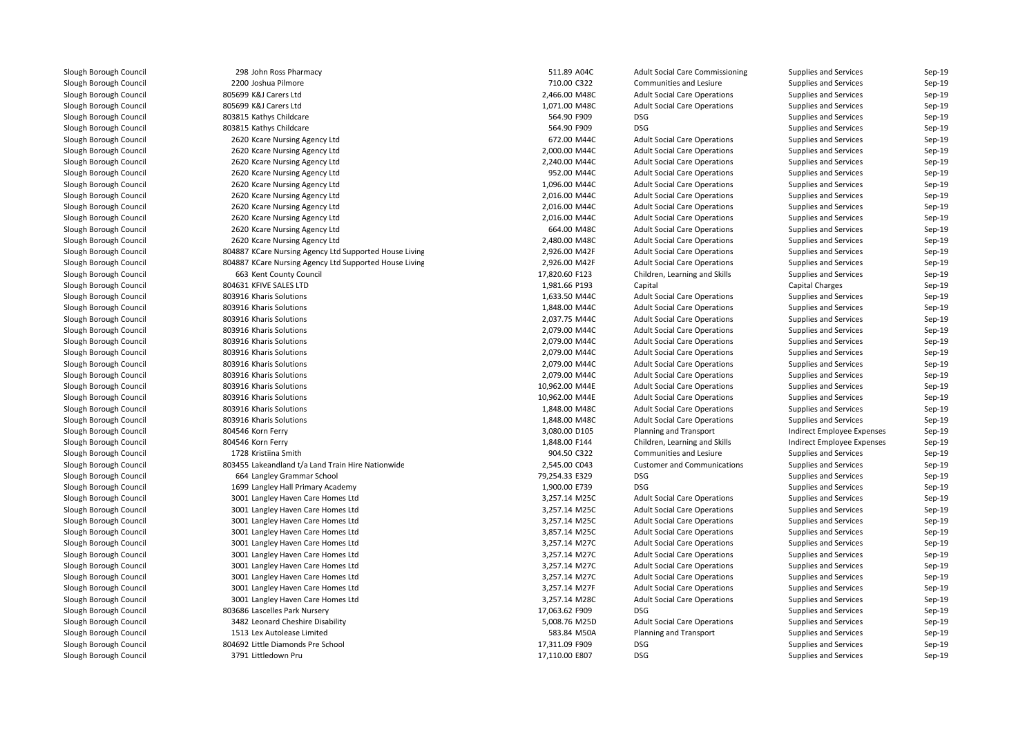| 298 John Ross Pharmacy                                 | 511.89 A04C                    | <b>Adult Social Care Commissioning</b>                                     | Supplies and Services                          | Sep-19 |
|--------------------------------------------------------|--------------------------------|----------------------------------------------------------------------------|------------------------------------------------|--------|
| 2200 Joshua Pilmore                                    | 710.00 C322                    | Communities and Lesiure                                                    | Supplies and Services                          | Sep-19 |
| 805699 K&J Carers Ltd                                  | 2,466.00 M48C                  | <b>Adult Social Care Operations</b>                                        | Supplies and Services                          | Sep-19 |
| 805699 K&J Carers Ltd                                  | 1,071.00 M48C                  | <b>Adult Social Care Operations</b>                                        | Supplies and Services                          | Sep-19 |
| 803815 Kathys Childcare                                | 564.90 F909                    | <b>DSG</b>                                                                 | Supplies and Services                          | Sep-19 |
| 803815 Kathys Childcare                                | 564.90 F909                    | <b>DSG</b>                                                                 | Supplies and Services                          | Sep-19 |
| 2620 Kcare Nursing Agency Ltd                          | 672.00 M44C                    | <b>Adult Social Care Operations</b>                                        | Supplies and Services                          | Sep-19 |
| 2620 Kcare Nursing Agency Ltd                          | 2,000.00 M44C                  | <b>Adult Social Care Operations</b>                                        | Supplies and Services                          | Sep-19 |
| 2620 Kcare Nursing Agency Ltd                          | 2,240.00 M44C                  | <b>Adult Social Care Operations</b>                                        | Supplies and Services                          | Sep-19 |
| 2620 Kcare Nursing Agency Ltd                          | 952.00 M44C                    | <b>Adult Social Care Operations</b>                                        | Supplies and Services                          | Sep-19 |
| 2620 Kcare Nursing Agency Ltd                          | 1,096.00 M44C                  | <b>Adult Social Care Operations</b>                                        | Supplies and Services                          | Sep-19 |
| 2620 Kcare Nursing Agency Ltd                          | 2,016.00 M44C                  | <b>Adult Social Care Operations</b>                                        | Supplies and Services                          | Sep-19 |
| 2620 Kcare Nursing Agency Ltd                          | 2,016.00 M44C                  | <b>Adult Social Care Operations</b>                                        | Supplies and Services                          | Sep-19 |
| 2620 Kcare Nursing Agency Ltd                          | 2,016.00 M44C                  | <b>Adult Social Care Operations</b>                                        | Supplies and Services                          | Sep-19 |
| 2620 Kcare Nursing Agency Ltd                          | 664.00 M48C                    | <b>Adult Social Care Operations</b>                                        | Supplies and Services                          | Sep-19 |
| 2620 Kcare Nursing Agency Ltd                          | 2,480.00 M48C                  | <b>Adult Social Care Operations</b>                                        | Supplies and Services                          | Sep-19 |
| 804887 KCare Nursing Agency Ltd Supported House Living | 2,926.00 M42F                  | <b>Adult Social Care Operations</b>                                        | Supplies and Services                          | Sep-19 |
| 804887 KCare Nursing Agency Ltd Supported House Living | 2,926.00 M42F                  | <b>Adult Social Care Operations</b>                                        | Supplies and Services                          | Sep-19 |
| 663 Kent County Council                                | 17,820.60 F123                 | Children, Learning and Skills                                              | Supplies and Services                          | Sep-19 |
| 804631 KFIVE SALES LTD                                 | 1,981.66 P193                  | Capital                                                                    | <b>Capital Charges</b>                         | Sep-19 |
| 803916 Kharis Solutions                                | 1,633.50 M44C                  | <b>Adult Social Care Operations</b>                                        | Supplies and Services                          | Sep-19 |
| 803916 Kharis Solutions                                | 1,848.00 M44C                  | <b>Adult Social Care Operations</b>                                        | Supplies and Services                          | Sep-19 |
| 803916 Kharis Solutions                                | 2,037.75 M44C                  | <b>Adult Social Care Operations</b>                                        | Supplies and Services                          | Sep-19 |
| 803916 Kharis Solutions                                | 2,079.00 M44C                  | <b>Adult Social Care Operations</b>                                        | Supplies and Services                          | Sep-19 |
| 803916 Kharis Solutions                                | 2,079.00 M44C                  | <b>Adult Social Care Operations</b>                                        | Supplies and Services                          | Sep-19 |
| 803916 Kharis Solutions                                | 2,079.00 M44C                  | <b>Adult Social Care Operations</b>                                        | Supplies and Services                          | Sep-19 |
| 803916 Kharis Solutions                                | 2,079.00 M44C                  | <b>Adult Social Care Operations</b>                                        | Supplies and Services                          | Sep-19 |
| 803916 Kharis Solutions                                | 2,079.00 M44C                  | <b>Adult Social Care Operations</b>                                        | Supplies and Services                          | Sep-19 |
| 803916 Kharis Solutions                                | 10,962.00 M44E                 | <b>Adult Social Care Operations</b>                                        | Supplies and Services                          | Sep-19 |
| 803916 Kharis Solutions                                | 10,962.00 M44E                 | <b>Adult Social Care Operations</b>                                        | Supplies and Services                          | Sep-19 |
| 803916 Kharis Solutions                                | 1,848.00 M48C                  | <b>Adult Social Care Operations</b>                                        | Supplies and Services                          | Sep-19 |
| 803916 Kharis Solutions                                | 1,848.00 M48C                  | <b>Adult Social Care Operations</b>                                        | Supplies and Services                          | Sep-19 |
| 804546 Korn Ferry                                      | 3,080.00 D105                  | <b>Planning and Transport</b>                                              | Indirect Employee Expenses                     | Sep-19 |
| 804546 Korn Ferry                                      | 1,848.00 F144                  | Children, Learning and Skills                                              | Indirect Employee Expenses                     | Sep-19 |
| 1728 Kristiina Smith                                   | 904.50 C322                    | Communities and Lesiure                                                    | Supplies and Services                          | Sep-19 |
| 803455 Lakeandland t/a Land Train Hire Nationwide      | 2,545.00 C043                  | <b>Customer and Communications</b>                                         | Supplies and Services                          | Sep-19 |
| 664 Langley Grammar School                             | 79,254.33 E329                 | <b>DSG</b>                                                                 | Supplies and Services                          | Sep-19 |
| 1699 Langley Hall Primary Academy                      | 1,900.00 E739                  | <b>DSG</b>                                                                 | Supplies and Services                          | Sep-19 |
| 3001 Langley Haven Care Homes Ltd                      | 3,257.14 M25C                  | <b>Adult Social Care Operations</b>                                        | Supplies and Services                          | Sep-19 |
| 3001 Langley Haven Care Homes Ltd                      | 3,257.14 M25C                  | <b>Adult Social Care Operations</b>                                        | Supplies and Services                          | Sep-19 |
|                                                        |                                |                                                                            |                                                | Sep-19 |
| 3001 Langley Haven Care Homes Ltd                      | 3,257.14 M25C<br>3,857.14 M25C | <b>Adult Social Care Operations</b>                                        | Supplies and Services                          | Sep-19 |
| 3001 Langley Haven Care Homes Ltd                      | 3,257.14 M27C                  | <b>Adult Social Care Operations</b><br><b>Adult Social Care Operations</b> | Supplies and Services<br>Supplies and Services | Sep-19 |
| 3001 Langley Haven Care Homes Ltd                      |                                |                                                                            |                                                |        |
| 3001 Langley Haven Care Homes Ltd                      | 3,257.14 M27C                  | <b>Adult Social Care Operations</b>                                        | Supplies and Services                          | Sep-19 |
| 3001 Langley Haven Care Homes Ltd                      | 3,257.14 M27C                  | <b>Adult Social Care Operations</b>                                        | Supplies and Services                          | Sep-19 |
| 3001 Langley Haven Care Homes Ltd                      | 3,257.14 M27C                  | <b>Adult Social Care Operations</b>                                        | Supplies and Services                          | Sep-19 |
| 3001 Langley Haven Care Homes Ltd                      | 3,257.14 M27F                  | <b>Adult Social Care Operations</b>                                        | Supplies and Services                          | Sep-19 |
| 3001 Langley Haven Care Homes Ltd                      | 3,257.14 M28C                  | <b>Adult Social Care Operations</b>                                        | Supplies and Services                          | Sep-19 |
| 803686 Lascelles Park Nursery                          | 17,063.62 F909                 | <b>DSG</b>                                                                 | Supplies and Services                          | Sep-19 |
| 3482 Leonard Cheshire Disability                       | 5,008.76 M25D                  | <b>Adult Social Care Operations</b>                                        | Supplies and Services                          | Sep-19 |
| 1513 Lex Autolease Limited                             | 583.84 M50A                    | <b>Planning and Transport</b>                                              | Supplies and Services                          | Sep-19 |
| 804692 Little Diamonds Pre School                      | 17,311.09 F909                 | <b>DSG</b>                                                                 | Supplies and Services                          | Sep-19 |
| 3791 Littledown Pru                                    | 17,110.00 E807                 | DSG                                                                        | Supplies and Services                          | Sep-19 |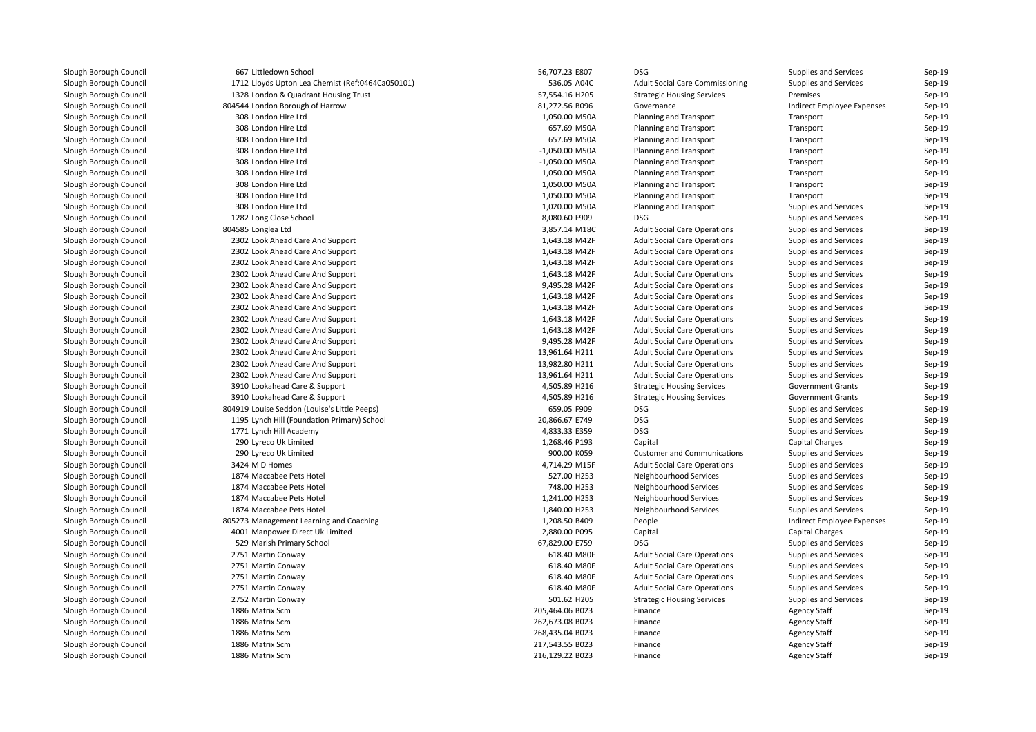| 667 Littledown School                            | 56,707.23 E807   | DSG                                    | Supplies and Services        | Sep-19 |
|--------------------------------------------------|------------------|----------------------------------------|------------------------------|--------|
| 1712 Lloyds Upton Lea Chemist (Ref:0464Ca050101) | 536.05 A04C      | <b>Adult Social Care Commissioning</b> | Supplies and Services        | Sep-19 |
| 1328 London & Quadrant Housing Trust             | 57,554.16 H205   | <b>Strategic Housing Services</b>      | Premises                     | Sep-19 |
| 804544 London Borough of Harrow                  | 81,272.56 B096   | Governance                             | Indirect Employee Expenses   | Sep-19 |
| 308 London Hire Ltd                              | 1,050.00 M50A    | Planning and Transport                 | Transport                    | Sep-19 |
| 308 London Hire Ltd                              | 657.69 M50A      | <b>Planning and Transport</b>          | Transport                    | Sep-19 |
| 308 London Hire Ltd                              | 657.69 M50A      | <b>Planning and Transport</b>          | Transport                    | Sep-19 |
| 308 London Hire Ltd                              | $-1,050.00$ M50A | <b>Planning and Transport</b>          | Transport                    | Sep-19 |
| 308 London Hire Ltd                              | $-1,050.00$ M50A | <b>Planning and Transport</b>          | Transport                    | Sep-19 |
| 308 London Hire Ltd                              | 1,050.00 M50A    | <b>Planning and Transport</b>          | Transport                    | Sep-19 |
| 308 London Hire Ltd                              | 1,050.00 M50A    | <b>Planning and Transport</b>          | Transport                    | Sep-19 |
| 308 London Hire Ltd                              | 1,050.00 M50A    | <b>Planning and Transport</b>          | Transport                    | Sep-19 |
| 308 London Hire Ltd                              | 1,020.00 M50A    | <b>Planning and Transport</b>          | Supplies and Services        | Sep-19 |
| 1282 Long Close School                           | 8,080.60 F909    | <b>DSG</b>                             | Supplies and Services        | Sep-19 |
| 804585 Longlea Ltd                               | 3,857.14 M18C    | <b>Adult Social Care Operations</b>    | Supplies and Services        | Sep-19 |
| 2302 Look Ahead Care And Support                 | 1,643.18 M42F    | <b>Adult Social Care Operations</b>    | Supplies and Services        | Sep-19 |
| 2302 Look Ahead Care And Support                 | 1,643.18 M42F    | <b>Adult Social Care Operations</b>    | Supplies and Services        | Sep-19 |
| 2302 Look Ahead Care And Support                 | 1,643.18 M42F    | <b>Adult Social Care Operations</b>    | Supplies and Services        | Sep-19 |
| 2302 Look Ahead Care And Support                 | 1,643.18 M42F    | <b>Adult Social Care Operations</b>    | Supplies and Services        | Sep-19 |
| 2302 Look Ahead Care And Support                 | 9,495.28 M42F    | <b>Adult Social Care Operations</b>    | Supplies and Services        | Sep-19 |
| 2302 Look Ahead Care And Support                 | 1,643.18 M42F    | <b>Adult Social Care Operations</b>    | Supplies and Services        | Sep-19 |
| 2302 Look Ahead Care And Support                 | 1,643.18 M42F    | <b>Adult Social Care Operations</b>    | Supplies and Services        | Sep-19 |
| 2302 Look Ahead Care And Support                 | 1,643.18 M42F    | <b>Adult Social Care Operations</b>    | Supplies and Services        | Sep-19 |
| 2302 Look Ahead Care And Support                 | 1,643.18 M42F    | <b>Adult Social Care Operations</b>    | Supplies and Services        | Sep-19 |
| 2302 Look Ahead Care And Support                 | 9,495.28 M42F    | <b>Adult Social Care Operations</b>    | Supplies and Services        | Sep-19 |
| 2302 Look Ahead Care And Support                 | 13,961.64 H211   | <b>Adult Social Care Operations</b>    | Supplies and Services        | Sep-19 |
| 2302 Look Ahead Care And Support                 | 13,982.80 H211   | <b>Adult Social Care Operations</b>    | Supplies and Services        | Sep-19 |
| 2302 Look Ahead Care And Support                 | 13,961.64 H211   | <b>Adult Social Care Operations</b>    | Supplies and Services        | Sep-19 |
| 3910 Lookahead Care & Support                    | 4,505.89 H216    | <b>Strategic Housing Services</b>      | <b>Government Grants</b>     | Sep-19 |
| 3910 Lookahead Care & Support                    | 4,505.89 H216    | <b>Strategic Housing Services</b>      | <b>Government Grants</b>     | Sep-19 |
| 804919 Louise Seddon (Louise's Little Peeps)     | 659.05 F909      | <b>DSG</b>                             | Supplies and Services        | Sep-19 |
| 1195 Lynch Hill (Foundation Primary) School      | 20,866.67 E749   | <b>DSG</b>                             | Supplies and Services        | Sep-19 |
| 1771 Lynch Hill Academy                          | 4,833.33 E359    | <b>DSG</b>                             | Supplies and Services        | Sep-19 |
| 290 Lyreco Uk Limited                            | 1,268.46 P193    | Capital                                | <b>Capital Charges</b>       | Sep-19 |
| 290 Lyreco Uk Limited                            | 900.00 K059      | <b>Customer and Communications</b>     | Supplies and Services        | Sep-19 |
| 3424 M D Homes                                   | 4,714.29 M15F    | <b>Adult Social Care Operations</b>    | Supplies and Services        | Sep-19 |
| 1874 Maccabee Pets Hotel                         | 527.00 H253      | Neighbourhood Services                 | Supplies and Services        | Sep-19 |
| 1874 Maccabee Pets Hotel                         | 748.00 H253      | Neighbourhood Services                 | Supplies and Services        | Sep-19 |
| 1874 Maccabee Pets Hotel                         | 1,241.00 H253    | Neighbourhood Services                 | Supplies and Services        | Sep-19 |
| 1874 Maccabee Pets Hotel                         | 1,840.00 H253    | Neighbourhood Services                 | Supplies and Services        | Sep-19 |
| 805273 Management Learning and Coaching          | 1,208.50 B409    | People                                 | Indirect Employee Expenses   | Sep-19 |
| 4001 Manpower Direct Uk Limited                  | 2,880.00 P095    | Capital                                | <b>Capital Charges</b>       | Sep-19 |
| 529 Marish Primary School                        | 67,829.00 E759   | <b>DSG</b>                             | Supplies and Services        | Sep-19 |
| 2751 Martin Conway                               | 618.40 M80F      | <b>Adult Social Care Operations</b>    | Supplies and Services        | Sep-19 |
| 2751 Martin Conway                               | 618.40 M80F      | <b>Adult Social Care Operations</b>    | Supplies and Services        | Sep-19 |
| 2751 Martin Conway                               | 618.40 M80F      | <b>Adult Social Care Operations</b>    | <b>Supplies and Services</b> | Sep-19 |
| 2751 Martin Conway                               | 618.40 M80F      | <b>Adult Social Care Operations</b>    | <b>Supplies and Services</b> | Sep-19 |
| 2752 Martin Conway                               | 501.62 H205      | <b>Strategic Housing Services</b>      | Supplies and Services        | Sep-19 |
| 1886 Matrix Scm                                  | 205,464.06 B023  | Finance                                | <b>Agency Staff</b>          | Sep-19 |
| 1886 Matrix Scm                                  | 262,673.08 B023  | Finance                                | <b>Agency Staff</b>          | Sep-19 |
| 1886 Matrix Scm                                  | 268,435.04 B023  | Finance                                | <b>Agency Staff</b>          | Sep-19 |
| 1886 Matrix Scm                                  | 217,543.55 B023  | Finance                                | <b>Agency Staff</b>          | Sep-19 |
| 1886 Matrix Scm                                  | 216,129.22 B023  | Finance                                | <b>Agency Staff</b>          | Sep-19 |
|                                                  |                  |                                        |                              |        |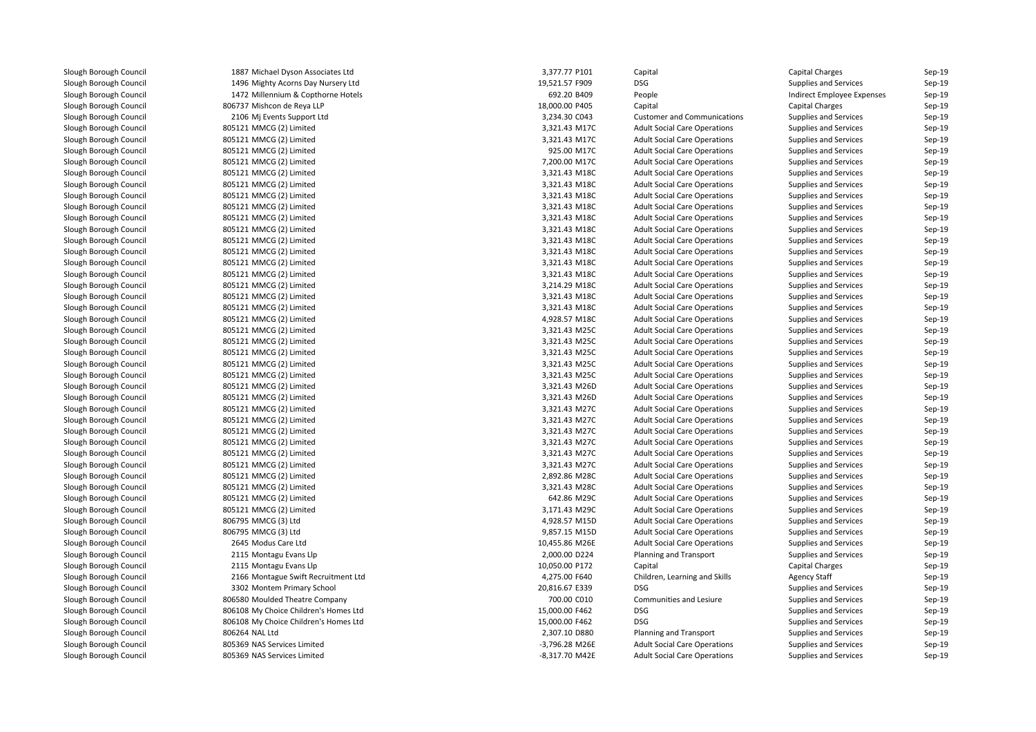| 1887 Michael Dyson Associates Ltd     | 3,377.77 P101  | Capital                             | <b>Capital Charges</b>       | Sep-19 |
|---------------------------------------|----------------|-------------------------------------|------------------------------|--------|
| 1496 Mighty Acorns Day Nursery Ltd    | 19,521.57 F909 | DSG                                 | Supplies and Services        | Sep-19 |
| 1472 Millennium & Copthorne Hotels    | 692.20 B409    | People                              | Indirect Employee Expenses   | Sep-19 |
| 806737 Mishcon de Reya LLP            | 18,000.00 P405 | Capital                             | <b>Capital Charges</b>       | Sep-19 |
| 2106 Mj Events Support Ltd            | 3,234.30 C043  | <b>Customer and Communications</b>  | Supplies and Services        | Sep-19 |
| 805121 MMCG (2) Limited               | 3,321.43 M17C  | <b>Adult Social Care Operations</b> | Supplies and Services        | Sep-19 |
| 805121 MMCG (2) Limited               | 3,321.43 M17C  | <b>Adult Social Care Operations</b> | Supplies and Services        | Sep-19 |
| 805121 MMCG (2) Limited               | 925.00 M17C    | <b>Adult Social Care Operations</b> | Supplies and Services        | Sep-19 |
| 805121 MMCG (2) Limited               | 7,200.00 M17C  | <b>Adult Social Care Operations</b> | Supplies and Services        | Sep-19 |
| 805121 MMCG (2) Limited               | 3,321.43 M18C  | <b>Adult Social Care Operations</b> | Supplies and Services        | Sep-19 |
| 805121 MMCG (2) Limited               | 3,321.43 M18C  | <b>Adult Social Care Operations</b> | Supplies and Services        | Sep-19 |
| 805121 MMCG (2) Limited               | 3,321.43 M18C  | <b>Adult Social Care Operations</b> | Supplies and Services        | Sep-19 |
| 805121 MMCG (2) Limited               | 3,321.43 M18C  | <b>Adult Social Care Operations</b> | Supplies and Services        | Sep-19 |
| 805121 MMCG (2) Limited               | 3,321.43 M18C  | <b>Adult Social Care Operations</b> | Supplies and Services        | Sep-19 |
| 805121 MMCG (2) Limited               | 3,321.43 M18C  | <b>Adult Social Care Operations</b> | Supplies and Services        | Sep-19 |
| 805121 MMCG (2) Limited               | 3,321.43 M18C  | <b>Adult Social Care Operations</b> | Supplies and Services        | Sep-19 |
| 805121 MMCG (2) Limited               | 3,321.43 M18C  | <b>Adult Social Care Operations</b> | Supplies and Services        | Sep-19 |
| 805121 MMCG (2) Limited               | 3,321.43 M18C  | <b>Adult Social Care Operations</b> | Supplies and Services        | Sep-19 |
| 805121 MMCG (2) Limited               | 3,321.43 M18C  | <b>Adult Social Care Operations</b> | Supplies and Services        | Sep-19 |
| 805121 MMCG (2) Limited               | 3,214.29 M18C  | <b>Adult Social Care Operations</b> | Supplies and Services        | Sep-19 |
| 805121 MMCG (2) Limited               | 3,321.43 M18C  | <b>Adult Social Care Operations</b> | Supplies and Services        | Sep-19 |
| 805121 MMCG (2) Limited               | 3,321.43 M18C  | <b>Adult Social Care Operations</b> | Supplies and Services        | Sep-19 |
| 805121 MMCG (2) Limited               | 4,928.57 M18C  | <b>Adult Social Care Operations</b> | Supplies and Services        | Sep-19 |
| 805121 MMCG (2) Limited               | 3,321.43 M25C  | <b>Adult Social Care Operations</b> | Supplies and Services        | Sep-19 |
| 805121 MMCG (2) Limited               | 3,321.43 M25C  | <b>Adult Social Care Operations</b> | Supplies and Services        | Sep-19 |
| 805121 MMCG (2) Limited               | 3,321.43 M25C  | <b>Adult Social Care Operations</b> | Supplies and Services        | Sep-19 |
| 805121 MMCG (2) Limited               | 3,321.43 M25C  | <b>Adult Social Care Operations</b> | Supplies and Services        | Sep-19 |
| 805121 MMCG (2) Limited               | 3,321.43 M25C  | <b>Adult Social Care Operations</b> | Supplies and Services        | Sep-19 |
| 805121 MMCG (2) Limited               | 3,321.43 M26D  | <b>Adult Social Care Operations</b> | Supplies and Services        | Sep-19 |
| 805121 MMCG (2) Limited               | 3,321.43 M26D  | <b>Adult Social Care Operations</b> | Supplies and Services        | Sep-19 |
| 805121 MMCG (2) Limited               | 3,321.43 M27C  | <b>Adult Social Care Operations</b> | Supplies and Services        | Sep-19 |
| 805121 MMCG (2) Limited               | 3,321.43 M27C  | <b>Adult Social Care Operations</b> | <b>Supplies and Services</b> | Sep-19 |
| 805121 MMCG (2) Limited               | 3,321.43 M27C  | <b>Adult Social Care Operations</b> | Supplies and Services        | Sep-19 |
| 805121 MMCG (2) Limited               | 3,321.43 M27C  | <b>Adult Social Care Operations</b> | Supplies and Services        | Sep-19 |
| 805121 MMCG (2) Limited               | 3,321.43 M27C  | <b>Adult Social Care Operations</b> | <b>Supplies and Services</b> | Sep-19 |
|                                       |                |                                     |                              |        |
| 805121 MMCG (2) Limited               | 3,321.43 M27C  | <b>Adult Social Care Operations</b> | Supplies and Services        | Sep-19 |
| 805121 MMCG (2) Limited               | 2,892.86 M28C  | <b>Adult Social Care Operations</b> | Supplies and Services        | Sep-19 |
| 805121 MMCG (2) Limited               | 3,321.43 M28C  | <b>Adult Social Care Operations</b> | Supplies and Services        | Sep-19 |
| 805121 MMCG (2) Limited               | 642.86 M29C    | <b>Adult Social Care Operations</b> | Supplies and Services        | Sep-19 |
| 805121 MMCG (2) Limited               | 3,171.43 M29C  | <b>Adult Social Care Operations</b> | Supplies and Services        | Sep-19 |
| 806795 MMCG (3) Ltd                   | 4,928.57 M15D  | <b>Adult Social Care Operations</b> | Supplies and Services        | Sep-19 |
| 806795 MMCG (3) Ltd                   | 9,857.15 M15D  | <b>Adult Social Care Operations</b> | Supplies and Services        | Sep-19 |
| 2645 Modus Care Ltd                   | 10,455.86 M26E | <b>Adult Social Care Operations</b> | Supplies and Services        | Sep-19 |
| 2115 Montagu Evans Llp                | 2,000.00 D224  | Planning and Transport              | Supplies and Services        | Sep-19 |
| 2115 Montagu Evans Llp                | 10,050.00 P172 | Capital                             | <b>Capital Charges</b>       | Sep-19 |
| 2166 Montague Swift Recruitment Ltd   | 4,275.00 F640  | Children, Learning and Skills       | <b>Agency Staff</b>          | Sep-19 |
| 3302 Montem Primary School            | 20,816.67 E339 | <b>DSG</b>                          | Supplies and Services        | Sep-19 |
| 806580 Moulded Theatre Company        | 700.00 C010    | Communities and Lesiure             | Supplies and Services        | Sep-19 |
| 806108 My Choice Children's Homes Ltd | 15,000.00 F462 | <b>DSG</b>                          | Supplies and Services        | Sep-19 |
| 806108 My Choice Children's Homes Ltd | 15,000.00 F462 | DSG                                 | Supplies and Services        | Sep-19 |
| 806264 NAL Ltd                        | 2,307.10 D880  | <b>Planning and Transport</b>       | Supplies and Services        | Sep-19 |
| 805369 NAS Services Limited           | -3,796.28 M26E | <b>Adult Social Care Operations</b> | Supplies and Services        | Sep-19 |
| 805369 NAS Services Limited           | -8,317.70 M42E | <b>Adult Social Care Operations</b> | Supplies and Services        | Sep-19 |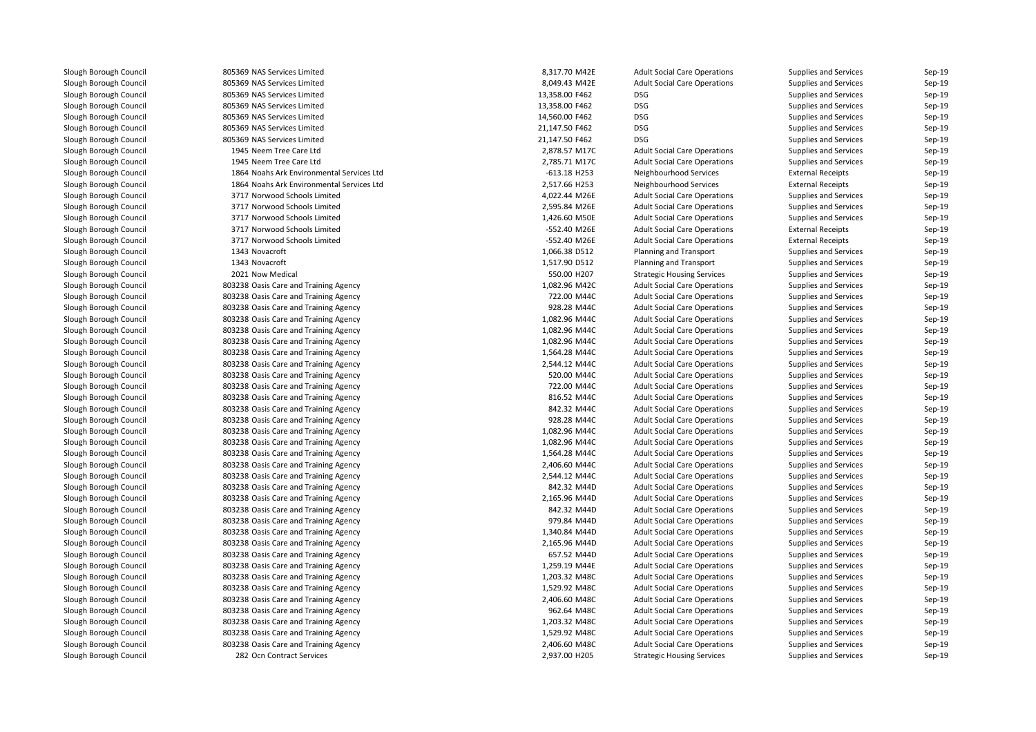805369 NAS Services Limited 805369 NAS Services Limited 805369 NAS Services Limited 805369 NAS Services Limited 805369 NAS Services Limited 805369 NAS Services Limited 805369 NAS Services Limited 1945 Neem Tree Care Ltdd 2,878.57 M17C 1945 Neem Tree Care Ltd 2,785.71 M17C 1864 Noahs Ark Environmental Services Ltd 1864 Noahs Ark Environmental Services Ltd 3717 Norwood Schools Limited 3717 Norwood Schools Limited 3717 Norwood Schools Limited 3717 Norwood Schools Limited 3717 Norwood Schools Limited1343 Novacroft 1343 Novacroft 2021 Now Medical 803238 Oasis Care and Training Agency 1,082.96 M42C 803238 Oasis Care and Training Agency 722.00 M44C 803238 Oasis Care and Training Agency 928.28 M44C 803238 Oasis Care and Training Agency 1,082.96 M44C 803238 Oasis Care and Training Agency 1,082.96 M44C 803238 Oasis Care and Training Agency 1,082.96 M44C803238 Oasis Care and Training Agency 1,564.28 M44C 803238 Oasis Care and Training Agency 2,544.12 M44C 803238 Oasis Care and Training Agency 520.00 M44C 803238 Oasis Care and Training Agency 722.00 M44C 803238 Oasis Care and Training Agency 816.52 M44C 803238 Oasis Care and Training Agency 842.32 M44C 803238 Oasis Care and Training Agency 928.28 M44C 803238 Oasis Care and Training Agency 1,082.96 M44C 803238 Oasis Care and Training Agency 1,082.96 M44C803238 Oasis Care and Training Agency 1,564.28 M44C 803238 Oasis Care and Training Agency 2,406.60 M44C 803238 Oasis Care and Training Agency 2,544.12 M44C 803238 Oasis Care and Training Agency 842.32 M44D 803238 Oasis Care and Training Agency 2,165.96 M44D 803238 Oasis Care and Training Agency 842.32 M44D 803238 Oasis Care and Training Agency 979.84 M44D**1** 803238 Oasis Care and Training Agency 1,340.84 M44D 803238 Oasis Care and Training Agency 2,165.96 M44D 803238 Oasis Care and Training Agency 657.52 M44D803238 Oasis Care and Training Agency 803238 Oasis Care and Training Agency 1,203.32 M48C 1,203.32 M48C 803238 Oasis Care and Training Agency 1,529.92 M48C 1,529.92 M48C 803238 Oasis Care and Training Agency 2,406.60 M48C 803238 Oasis Care and Training Agency 962.64 M48C803238 Oasis Care and Training Agency 1,203.32 M48C 1,203.32 M48C 803238 Oasis Care and Training Agency 1,529.92 M48C 1,529.92 M48C 803238 Oasis Care and Training Agency 2,406.60 M48C282 Ocn Contract Services

| 9 NAS Services Limited                 | 8,317.70 M42E  | <b>Adult Social Care Operations</b> | Supplies and Services        | Sep-19 |
|----------------------------------------|----------------|-------------------------------------|------------------------------|--------|
| 9 NAS Services Limited                 | 8,049.43 M42E  | <b>Adult Social Care Operations</b> | Supplies and Services        | Sep-19 |
| 9 NAS Services Limited                 | 13,358.00 F462 | <b>DSG</b>                          | <b>Supplies and Services</b> | Sep-19 |
| 9 NAS Services Limited                 | 13,358.00 F462 | <b>DSG</b>                          | <b>Supplies and Services</b> | Sep-19 |
| 9 NAS Services Limited                 | 14,560.00 F462 | <b>DSG</b>                          | <b>Supplies and Services</b> | Sep-19 |
| 9 NAS Services Limited                 | 21,147.50 F462 | <b>DSG</b>                          | <b>Supplies and Services</b> | Sep-19 |
| 9 NAS Services Limited                 | 21,147.50 F462 | <b>DSG</b>                          | <b>Supplies and Services</b> | Sep-19 |
| 5 Neem Tree Care Ltd                   | 2,878.57 M17C  | <b>Adult Social Care Operations</b> | <b>Supplies and Services</b> | Sep-19 |
| 5 Neem Tree Care Ltd                   | 2,785.71 M17C  | <b>Adult Social Care Operations</b> | <b>Supplies and Services</b> | Sep-19 |
| 4 Noahs Ark Environmental Services Ltd | $-613.18$ H253 | Neighbourhood Services              | <b>External Receipts</b>     | Sep-19 |
| 4 Noahs Ark Environmental Services Ltd | 2,517.66 H253  | Neighbourhood Services              | <b>External Receipts</b>     | Sep-19 |
| 7 Norwood Schools Limited              | 4,022.44 M26E  | <b>Adult Social Care Operations</b> | <b>Supplies and Services</b> | Sep-19 |
| 7 Norwood Schools Limited              | 2,595.84 M26E  | <b>Adult Social Care Operations</b> | Supplies and Services        | Sep-19 |
| 7 Norwood Schools Limited              | 1,426.60 M50E  | <b>Adult Social Care Operations</b> | <b>Supplies and Services</b> | Sep-19 |
| 7 Norwood Schools Limited              | -552.40 M26E   | <b>Adult Social Care Operations</b> | <b>External Receipts</b>     | Sep-19 |
| 7 Norwood Schools Limited              | -552.40 M26E   | <b>Adult Social Care Operations</b> | <b>External Receipts</b>     | Sep-19 |
| 3 Novacroft                            | 1,066.38 D512  | Planning and Transport              | <b>Supplies and Services</b> | Sep-19 |
| 3 Novacroft                            | 1,517.90 D512  | <b>Planning and Transport</b>       | <b>Supplies and Services</b> | Sep-19 |
| 1 Now Medical                          | 550.00 H207    | <b>Strategic Housing Services</b>   | <b>Supplies and Services</b> | Sep-19 |
| 8 Oasis Care and Training Agency       | 1,082.96 M42C  | <b>Adult Social Care Operations</b> | <b>Supplies and Services</b> | Sep-19 |
| 8 Oasis Care and Training Agency       | 722.00 M44C    | <b>Adult Social Care Operations</b> | <b>Supplies and Services</b> | Sep-19 |
| 8 Oasis Care and Training Agency       | 928.28 M44C    | <b>Adult Social Care Operations</b> | <b>Supplies and Services</b> | Sep-19 |
| 8 Oasis Care and Training Agency       | 1,082.96 M44C  | <b>Adult Social Care Operations</b> | <b>Supplies and Services</b> | Sep-19 |
| 8 Oasis Care and Training Agency       | 1,082.96 M44C  | <b>Adult Social Care Operations</b> | <b>Supplies and Services</b> | Sep-19 |
| 8 Oasis Care and Training Agency       | 1,082.96 M44C  | <b>Adult Social Care Operations</b> | <b>Supplies and Services</b> | Sep-19 |
| 8 Oasis Care and Training Agency       | 1,564.28 M44C  | <b>Adult Social Care Operations</b> | <b>Supplies and Services</b> | Sep-19 |
| 8 Oasis Care and Training Agency       | 2,544.12 M44C  | <b>Adult Social Care Operations</b> | <b>Supplies and Services</b> | Sep-19 |
| 8 Oasis Care and Training Agency       | 520.00 M44C    | <b>Adult Social Care Operations</b> | Supplies and Services        | Sep-19 |
| 8 Oasis Care and Training Agency       | 722.00 M44C    | <b>Adult Social Care Operations</b> | Supplies and Services        | Sep-19 |
| 8 Oasis Care and Training Agency       | 816.52 M44C    | <b>Adult Social Care Operations</b> | Supplies and Services        | Sep-19 |
| 8 Oasis Care and Training Agency       | 842.32 M44C    | <b>Adult Social Care Operations</b> | Supplies and Services        | Sep-19 |
| 8 Oasis Care and Training Agency       | 928.28 M44C    | <b>Adult Social Care Operations</b> | Supplies and Services        | Sep-19 |
| 8 Oasis Care and Training Agency       | 1,082.96 M44C  | <b>Adult Social Care Operations</b> | Supplies and Services        | Sep-19 |
| 8 Oasis Care and Training Agency       | 1,082.96 M44C  | <b>Adult Social Care Operations</b> | Supplies and Services        | Sep-19 |
| 8 Oasis Care and Training Agency       | 1,564.28 M44C  | <b>Adult Social Care Operations</b> | Supplies and Services        | Sep-19 |
| 8 Oasis Care and Training Agency       | 2,406.60 M44C  | <b>Adult Social Care Operations</b> | Supplies and Services        | Sep-19 |
| 8 Oasis Care and Training Agency       | 2,544.12 M44C  | <b>Adult Social Care Operations</b> | Supplies and Services        | Sep-19 |
| 8 Oasis Care and Training Agency       | 842.32 M44D    | <b>Adult Social Care Operations</b> | Supplies and Services        | Sep-19 |
| 8 Oasis Care and Training Agency       | 2,165.96 M44D  | <b>Adult Social Care Operations</b> | Supplies and Services        | Sep-19 |
| 8 Oasis Care and Training Agency       | 842.32 M44D    | <b>Adult Social Care Operations</b> | Supplies and Services        | Sep-19 |
| 8 Oasis Care and Training Agency       | 979.84 M44D    | <b>Adult Social Care Operations</b> | Supplies and Services        | Sep-19 |
| 8 Oasis Care and Training Agency       | 1,340.84 M44D  | <b>Adult Social Care Operations</b> | Supplies and Services        | Sep-19 |
| 8 Oasis Care and Training Agency       | 2,165.96 M44D  | <b>Adult Social Care Operations</b> | Supplies and Services        | Sep-19 |
| 8 Oasis Care and Training Agency       | 657.52 M44D    | <b>Adult Social Care Operations</b> | Supplies and Services        | Sep-19 |
| 8 Oasis Care and Training Agency       | 1,259.19 M44E  | <b>Adult Social Care Operations</b> | Supplies and Services        | Sep-19 |
| 8 Oasis Care and Training Agency       | 1,203.32 M48C  | <b>Adult Social Care Operations</b> | Supplies and Services        | Sep-19 |
| 8 Oasis Care and Training Agency       | 1,529.92 M48C  | <b>Adult Social Care Operations</b> | Supplies and Services        | Sep-19 |
| 8 Oasis Care and Training Agency       | 2,406.60 M48C  | <b>Adult Social Care Operations</b> | Supplies and Services        | Sep-19 |
| 8 Oasis Care and Training Agency       | 962.64 M48C    | <b>Adult Social Care Operations</b> | Supplies and Services        | Sep-19 |
| 8 Oasis Care and Training Agency       | 1,203.32 M48C  | <b>Adult Social Care Operations</b> | Supplies and Services        | Sep-19 |
| 8 Oasis Care and Training Agency       | 1,529.92 M48C  | <b>Adult Social Care Operations</b> | Supplies and Services        | Sep-19 |
| 8 Oasis Care and Training Agency       | 2,406.60 M48C  | <b>Adult Social Care Operations</b> | <b>Supplies and Services</b> | Sep-19 |
| 2 Ocn Contract Services                | 2,937.00 H205  | <b>Strategic Housing Services</b>   | Supplies and Services        | Sep-19 |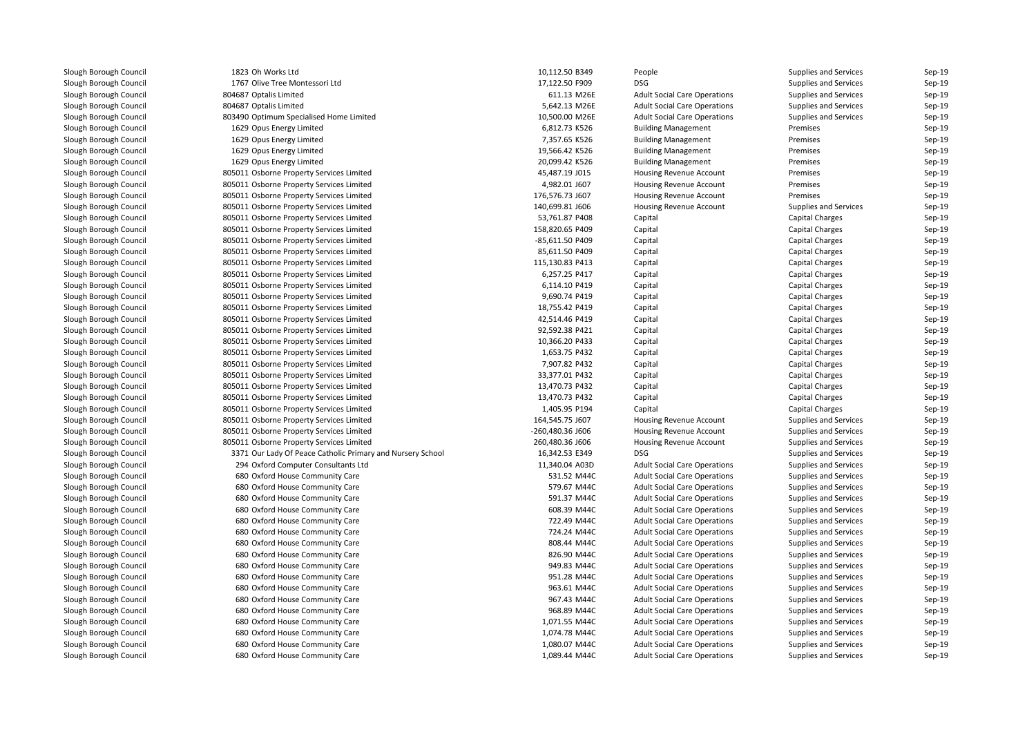| Slough Borough Council |
|------------------------|
| Slough Borough Council |
| Slough Borough Council |
| Slough Borough Council |
| Slough Borough Council |
| Slough Borough Council |
| Slough Borough Council |
|                        |
| Slough Borough Council |
| Slough Borough Council |
| Slough Borough Council |
| Slough Borough Council |
| Slough Borough Council |
| Slough Borough Council |
| Slough Borough Council |
| Slough Borough Council |
| Slough Borough Council |
| Slough Borough Council |
| Slough Borough Council |
| Slough Borough Council |
| Slough Borough Council |
| Slough Borough Council |
| Slough Borough Council |
| Slough Borough Council |
| Slough Borough Council |
| Slough Borough Council |
| Slough Borough Council |
| Slough Borough Council |
| Slough Borough Council |
| Slough Borough Council |
| Slough Borough Council |
|                        |
| Slough Borough Council |
| Slough Borough Council |
| Slough Borough Council |
| Slough Borough Council |
| Slough Borough Council |
| Slough Borough Council |
| Slough Borough Council |
| Slough Borough Council |
| Slough Borough Council |
| Slough Borough Council |
| Slough Borough Council |
| Slough Borough Council |
| Slough Borough Council |
| Slough Borough Council |
| Slough Borough Council |
| Slough Borough Council |
| Slough Borough Council |
| Slough Borough Council |
| Slough Borough Council |
| Slough Borough Council |
| Slough Borough Council |
| Slough Borough Council |
| Slough Borough Council |
|                        |

| 1823 Oh Works Ltd              |                                                                    | 10,112.50 B349                 | Peo        |
|--------------------------------|--------------------------------------------------------------------|--------------------------------|------------|
| 1767 Olive Tree Montessori Ltd |                                                                    | 17,122.50 F909                 | <b>DSG</b> |
| 804687 Optalis Limited         |                                                                    | 611.13 M26E                    | Adu        |
| 804687 Optalis Limited         |                                                                    | 5,642.13 M26E                  | Adu        |
|                                | 803490 Optimum Specialised Home Limited                            | 10,500.00 M26E                 | Adu        |
| 1629 Opus Energy Limited       |                                                                    | 6,812.73 K526                  | Buil       |
| 1629 Opus Energy Limited       |                                                                    | 7,357.65 K526                  | Buil       |
| 1629 Opus Energy Limited       |                                                                    | 19,566.42 K526                 | Buil       |
| 1629 Opus Energy Limited       |                                                                    | 20,099.42 K526                 | Buil       |
|                                | 805011 Osborne Property Services Limited                           | 45,487.19 J015                 | Hou        |
|                                | 805011 Osborne Property Services Limited                           | 4,982.01 J607                  | Hou        |
|                                | 805011 Osborne Property Services Limited                           | 176,576.73 J607                | Hou        |
|                                | 805011 Osborne Property Services Limited                           | 140,699.81 J606                | Hou        |
|                                | 805011 Osborne Property Services Limited                           | 53,761.87 P408                 | Cap        |
|                                | 805011 Osborne Property Services Limited                           | 158,820.65 P409                | Cap        |
|                                | 805011 Osborne Property Services Limited                           | -85,611.50 P409                | Cap        |
|                                | 805011 Osborne Property Services Limited                           | 85,611.50 P409                 | Cap        |
|                                | 805011 Osborne Property Services Limited                           | 115,130.83 P413                | Cap        |
|                                | 805011 Osborne Property Services Limited                           | 6,257.25 P417                  | Cap        |
|                                | 805011 Osborne Property Services Limited                           | 6,114.10 P419                  | Cap        |
|                                | 805011 Osborne Property Services Limited                           | 9,690.74 P419                  | Cap        |
|                                | 805011 Osborne Property Services Limited                           | 18,755.42 P419                 | Cap        |
|                                | 805011 Osborne Property Services Limited                           | 42,514.46 P419                 | Cap        |
|                                | 805011 Osborne Property Services Limited                           | 92,592.38 P421                 | Cap        |
|                                | 805011 Osborne Property Services Limited                           | 10,366.20 P433                 | Cap        |
|                                | 805011 Osborne Property Services Limited                           | 1,653.75 P432                  | Cap        |
|                                | 805011 Osborne Property Services Limited                           | 7,907.82 P432                  | Cap        |
|                                | 805011 Osborne Property Services Limited                           | 33,377.01 P432                 | Cap        |
|                                | 805011 Osborne Property Services Limited                           | 13,470.73 P432                 | Cap        |
|                                | 805011 Osborne Property Services Limited                           | 13,470.73 P432                 | Cap        |
|                                | 805011 Osborne Property Services Limited                           | 1,405.95 P194                  | Cap        |
|                                | 805011 Osborne Property Services Limited                           | 164,545.75 J607                | Hou        |
|                                | 805011 Osborne Property Services Limited                           | -260,480.36 J606               | Hou        |
|                                | 805011 Osborne Property Services Limited                           | 260,480.36 J606                | Hou        |
|                                | 3371 Our Lady Of Peace Catholic Primary and Nursery School         | 16,342.53 E349                 | <b>DSG</b> |
|                                | 294 Oxford Computer Consultants Ltd                                | 11,340.04 A03D                 | Adu        |
|                                | 680 Oxford House Community Care                                    | 531.52 M44C                    | Adu        |
|                                | 680 Oxford House Community Care                                    | 579.67 M44C                    | Adu        |
|                                | 680 Oxford House Community Care                                    | 591.37 M44C                    | Adu        |
|                                | 680 Oxford House Community Care                                    | 608.39 M44C                    | Adu        |
|                                | 680 Oxford House Community Care                                    | 722.49 M44C                    | Adu        |
|                                | 680 Oxford House Community Care                                    | 724.24 M44C                    | Adu        |
|                                |                                                                    | 808.44 M44C                    | Adu        |
|                                | 680 Oxford House Community Care                                    |                                |            |
|                                | 680 Oxford House Community Care                                    | 826.90 M44C<br>949.83 M44C     | Adu        |
|                                | 680 Oxford House Community Care                                    | 951.28 M44C                    | Adu<br>Adu |
|                                | 680 Oxford House Community Care                                    |                                |            |
|                                | 680 Oxford House Community Care                                    | 963.61 M44C                    | Adu        |
|                                | 680 Oxford House Community Care                                    | 967.43 M44C                    | Adu        |
|                                | 680 Oxford House Community Care                                    | 968.89 M44C                    | Adu        |
|                                | 680 Oxford House Community Care                                    | 1,071.55 M44C                  | Adu<br>Adu |
|                                | 680 Oxford House Community Care<br>680 Oxford House Community Care | 1,074.78 M44C<br>1,080.07 M44C |            |
|                                |                                                                    | 1,089.44 M44C                  | Adu<br>Adu |
|                                | 680 Oxford House Community Care                                    |                                |            |

| d                                         | 10,112.50 B349   | People                              | <b>Supplies and Services</b> | Sep-19           |
|-------------------------------------------|------------------|-------------------------------------|------------------------------|------------------|
| Iontessori Ltd                            | 17,122.50 F909   | DSG                                 | <b>Supplies and Services</b> | Sep-19           |
| ed:                                       | 611.13 M26E      | <b>Adult Social Care Operations</b> | <b>Supplies and Services</b> | Sep-19           |
| ed:                                       | 5,642.13 M26E    | <b>Adult Social Care Operations</b> | <b>Supplies and Services</b> | Sep-19           |
| ecialised Home Limited                    | 10,500.00 M26E   | <b>Adult Social Care Operations</b> | <b>Supplies and Services</b> | Sep-19           |
| Limited                                   | 6,812.73 K526    | <b>Building Management</b>          | Premises                     | Sep-19           |
| ' Limited                                 | 7,357.65 K526    | <b>Building Management</b>          | Premises                     | Sep-19           |
| Limited                                   | 19,566.42 K526   | <b>Building Management</b>          | Premises                     | Sep-19           |
| Limited                                   | 20,099.42 K526   | <b>Building Management</b>          | Premises                     | Sep-19           |
| perty Services Limited                    | 45,487.19 J015   | Housing Revenue Account             | Premises                     | Sep-19           |
| perty Services Limited                    | 4,982.01 J607    | Housing Revenue Account             | Premises                     | Sep-19           |
| perty Services Limited                    | 176,576.73 J607  | Housing Revenue Account             | Premises                     | Sep-19           |
| perty Services Limited                    | 140,699.81 J606  | Housing Revenue Account             | Supplies and Services        | Sep-19           |
|                                           |                  |                                     |                              |                  |
| perty Services Limited                    | 53,761.87 P408   | Capital                             | Capital Charges              | Sep-19<br>Sep-19 |
| perty Services Limited                    | 158,820.65 P409  | Capital                             | Capital Charges              |                  |
| perty Services Limited                    | -85,611.50 P409  | Capital                             | Capital Charges              | Sep-19           |
| perty Services Limited                    | 85,611.50 P409   | Capital                             | Capital Charges              | Sep-19           |
| perty Services Limited                    | 115,130.83 P413  | Capital                             | <b>Capital Charges</b>       | Sep-19           |
| perty Services Limited                    | 6,257.25 P417    | Capital                             | Capital Charges              | Sep-19           |
| perty Services Limited                    | 6,114.10 P419    | Capital                             | Capital Charges              | Sep-19           |
| perty Services Limited                    | 9,690.74 P419    | Capital                             | Capital Charges              | Sep-19           |
| perty Services Limited                    | 18,755.42 P419   | Capital                             | Capital Charges              | Sep-19           |
| perty Services Limited                    | 42,514.46 P419   | Capital                             | <b>Capital Charges</b>       | Sep-19           |
| perty Services Limited                    | 92,592.38 P421   | Capital                             | Capital Charges              | Sep-19           |
| perty Services Limited                    | 10,366.20 P433   | Capital                             | Capital Charges              | Sep-19           |
| perty Services Limited                    | 1,653.75 P432    | Capital                             | Capital Charges              | Sep-19           |
| perty Services Limited                    | 7,907.82 P432    | Capital                             | Capital Charges              | Sep-19           |
| perty Services Limited                    | 33,377.01 P432   | Capital                             | Capital Charges              | Sep-19           |
| perty Services Limited                    | 13,470.73 P432   | Capital                             | Capital Charges              | Sep-19           |
| perty Services Limited                    | 13,470.73 P432   | Capital                             | Capital Charges              | Sep-19           |
| perty Services Limited                    | 1,405.95 P194    | Capital                             | Capital Charges              | Sep-19           |
| perty Services Limited                    | 164,545.75 J607  | Housing Revenue Account             | <b>Supplies and Services</b> | Sep-19           |
| perty Services Limited                    | -260,480.36 J606 | Housing Revenue Account             | <b>Supplies and Services</b> | Sep-19           |
| perty Services Limited                    | 260,480.36 J606  | Housing Revenue Account             | <b>Supplies and Services</b> | Sep-19           |
| Peace Catholic Primary and Nursery School | 16,342.53 E349   | <b>DSG</b>                          | <b>Supplies and Services</b> | Sep-19           |
| puter Consultants Ltd                     | 11,340.04 A03D   | <b>Adult Social Care Operations</b> | <b>Supplies and Services</b> | Sep-19           |
| e Community Care                          | 531.52 M44C      | <b>Adult Social Care Operations</b> | <b>Supplies and Services</b> | Sep-19           |
| e Community Care                          | 579.67 M44C      | <b>Adult Social Care Operations</b> | <b>Supplies and Services</b> | Sep-19           |
| e Community Care                          | 591.37 M44C      | <b>Adult Social Care Operations</b> | <b>Supplies and Services</b> | Sep-19           |
| e Community Care                          | 608.39 M44C      | <b>Adult Social Care Operations</b> | <b>Supplies and Services</b> | Sep-19           |
| e Community Care                          | 722.49 M44C      | <b>Adult Social Care Operations</b> | <b>Supplies and Services</b> | Sep-19           |
| e Community Care                          | 724.24 M44C      | <b>Adult Social Care Operations</b> | <b>Supplies and Services</b> | Sep-19           |
| e Community Care                          | 808.44 M44C      | <b>Adult Social Care Operations</b> | <b>Supplies and Services</b> | Sep-19           |
| e Community Care                          | 826.90 M44C      | <b>Adult Social Care Operations</b> | <b>Supplies and Services</b> | Sep-19           |
| e Community Care                          | 949.83 M44C      | <b>Adult Social Care Operations</b> | <b>Supplies and Services</b> | Sep-19           |
| e Community Care                          | 951.28 M44C      | <b>Adult Social Care Operations</b> | <b>Supplies and Services</b> | Sep-19           |
| e Community Care                          | 963.61 M44C      | <b>Adult Social Care Operations</b> | <b>Supplies and Services</b> | Sep-19           |
|                                           |                  |                                     |                              |                  |
| e Community Care                          | 967.43 M44C      | <b>Adult Social Care Operations</b> | <b>Supplies and Services</b> | Sep-19           |
| e Community Care                          | 968.89 M44C      | <b>Adult Social Care Operations</b> | <b>Supplies and Services</b> | Sep-19           |
| e Community Care                          | 1,071.55 M44C    | <b>Adult Social Care Operations</b> | <b>Supplies and Services</b> | Sep-19           |
| e Community Care                          | 1,074.78 M44C    | <b>Adult Social Care Operations</b> | <b>Supplies and Services</b> | Sep-19           |
| e Community Care                          | 1,080.07 M44C    | <b>Adult Social Care Operations</b> | <b>Supplies and Services</b> | Sep-19           |
| e Community Care                          | 1,089.44 M44C    | <b>Adult Social Care Operations</b> | <b>Supplies and Services</b> | Sep-19           |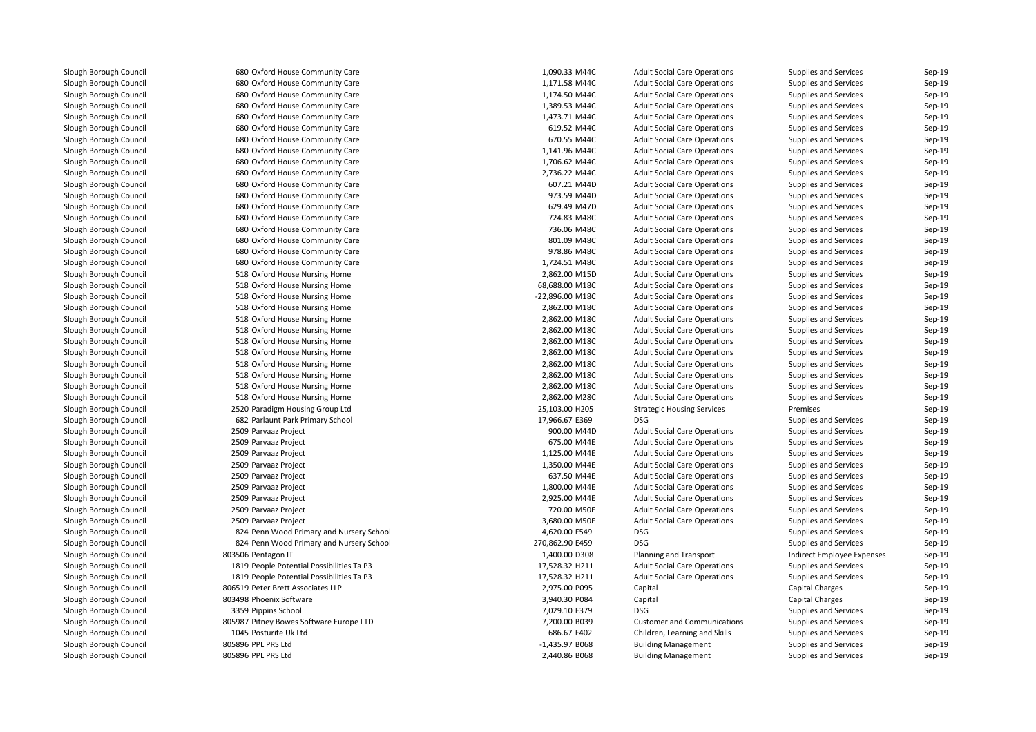| 680 Oxford House Community Care                                  | 1,090.33 M44C                  | <b>Adult Social Care Operations</b>               | Supplies and Services        | Sep-19           |
|------------------------------------------------------------------|--------------------------------|---------------------------------------------------|------------------------------|------------------|
| 680 Oxford House Community Care                                  | 1,171.58 M44C                  | <b>Adult Social Care Operations</b>               | Supplies and Services        | Sep-19           |
| 680 Oxford House Community Care                                  | 1,174.50 M44C                  | <b>Adult Social Care Operations</b>               | Supplies and Services        | Sep-19           |
| 680 Oxford House Community Care                                  | 1,389.53 M44C                  | <b>Adult Social Care Operations</b>               | Supplies and Services        | Sep-19           |
| 680 Oxford House Community Care                                  | 1,473.71 M44C                  | <b>Adult Social Care Operations</b>               | Supplies and Services        | Sep-19           |
| 680 Oxford House Community Care                                  | 619.52 M44C                    | <b>Adult Social Care Operations</b>               | Supplies and Services        | Sep-19           |
| 680 Oxford House Community Care                                  | 670.55 M44C                    | <b>Adult Social Care Operations</b>               | Supplies and Services        | Sep-19           |
| 680 Oxford House Community Care                                  | 1,141.96 M44C                  | <b>Adult Social Care Operations</b>               | Supplies and Services        | Sep-19           |
| 680 Oxford House Community Care                                  | 1,706.62 M44C                  | <b>Adult Social Care Operations</b>               | Supplies and Services        | Sep-19           |
| 680 Oxford House Community Care                                  | 2,736.22 M44C                  | <b>Adult Social Care Operations</b>               | Supplies and Services        | Sep-19           |
| 680 Oxford House Community Care                                  | 607.21 M44D                    | <b>Adult Social Care Operations</b>               | Supplies and Services        | Sep-19           |
| 680 Oxford House Community Care                                  | 973.59 M44D                    | <b>Adult Social Care Operations</b>               | Supplies and Services        | Sep-19           |
| 680 Oxford House Community Care                                  | 629.49 M47D                    | <b>Adult Social Care Operations</b>               | Supplies and Services        | Sep-19           |
| 680 Oxford House Community Care                                  | 724.83 M48C                    | <b>Adult Social Care Operations</b>               | Supplies and Services        | Sep-19           |
| 680 Oxford House Community Care                                  | 736.06 M48C                    | <b>Adult Social Care Operations</b>               | Supplies and Services        | Sep-19           |
| 680 Oxford House Community Care                                  | 801.09 M48C                    | <b>Adult Social Care Operations</b>               | Supplies and Services        | Sep-19           |
| 680 Oxford House Community Care                                  | 978.86 M48C                    | <b>Adult Social Care Operations</b>               | Supplies and Services        | Sep-19           |
| 680 Oxford House Community Care                                  | 1,724.51 M48C                  | <b>Adult Social Care Operations</b>               | Supplies and Services        | Sep-19           |
| 518 Oxford House Nursing Home                                    | 2,862.00 M15D                  | <b>Adult Social Care Operations</b>               | Supplies and Services        | Sep-19           |
| 518 Oxford House Nursing Home                                    | 68,688.00 M18C                 | <b>Adult Social Care Operations</b>               | Supplies and Services        | Sep-19           |
| 518 Oxford House Nursing Home                                    | -22,896.00 M18C                | <b>Adult Social Care Operations</b>               | Supplies and Services        | Sep-19           |
| 518 Oxford House Nursing Home                                    | 2,862.00 M18C                  | <b>Adult Social Care Operations</b>               | Supplies and Services        | Sep-19           |
| 518 Oxford House Nursing Home                                    | 2,862.00 M18C                  | <b>Adult Social Care Operations</b>               | Supplies and Services        | Sep-19           |
| 518 Oxford House Nursing Home                                    | 2,862.00 M18C                  | <b>Adult Social Care Operations</b>               | Supplies and Services        | Sep-19           |
| 518 Oxford House Nursing Home                                    | 2,862.00 M18C                  | <b>Adult Social Care Operations</b>               | Supplies and Services        | Sep-19           |
| 518 Oxford House Nursing Home                                    | 2,862.00 M18C                  | <b>Adult Social Care Operations</b>               | Supplies and Services        | Sep-19           |
| 518 Oxford House Nursing Home                                    | 2,862.00 M18C                  | <b>Adult Social Care Operations</b>               | Supplies and Services        | Sep-19           |
| 518 Oxford House Nursing Home                                    | 2,862.00 M18C                  | <b>Adult Social Care Operations</b>               | Supplies and Services        | Sep-19           |
| 518 Oxford House Nursing Home                                    | 2,862.00 M18C                  | <b>Adult Social Care Operations</b>               | Supplies and Services        | Sep-19           |
| 518 Oxford House Nursing Home                                    | 2,862.00 M28C                  | <b>Adult Social Care Operations</b>               | <b>Supplies and Services</b> | Sep-19           |
| 2520 Paradigm Housing Group Ltd                                  | 25,103.00 H205                 | <b>Strategic Housing Services</b>                 | Premises                     | Sep-19           |
| 682 Parlaunt Park Primary School                                 | 17,966.67 E369                 | <b>DSG</b>                                        | Supplies and Services        | Sep-19           |
| 2509 Parvaaz Project                                             | 900.00 M44D                    | <b>Adult Social Care Operations</b>               | Supplies and Services        | Sep-19           |
| 2509 Parvaaz Project                                             | 675.00 M44E                    | <b>Adult Social Care Operations</b>               | Supplies and Services        | Sep-19           |
| 2509 Parvaaz Project                                             | 1,125.00 M44E                  | <b>Adult Social Care Operations</b>               | Supplies and Services        | Sep-19           |
| 2509 Parvaaz Project                                             | 1,350.00 M44E                  | <b>Adult Social Care Operations</b>               | <b>Supplies and Services</b> | Sep-19           |
| 2509 Parvaaz Project                                             | 637.50 M44E                    | <b>Adult Social Care Operations</b>               | Supplies and Services        | Sep-19           |
| 2509 Parvaaz Project                                             | 1,800.00 M44E                  | <b>Adult Social Care Operations</b>               | Supplies and Services        | Sep-19           |
| 2509 Parvaaz Project                                             | 2,925.00 M44E                  | <b>Adult Social Care Operations</b>               | Supplies and Services        | Sep-19           |
| 2509 Parvaaz Project                                             | 720.00 M50E                    | <b>Adult Social Care Operations</b>               | Supplies and Services        | Sep-19           |
|                                                                  |                                |                                                   |                              |                  |
| 2509 Parvaaz Project<br>824 Penn Wood Primary and Nursery School | 3,680.00 M50E<br>4,620.00 F549 | <b>Adult Social Care Operations</b><br><b>DSG</b> | Supplies and Services        | Sep-19<br>Sep-19 |
|                                                                  |                                |                                                   | Supplies and Services        |                  |
| 824 Penn Wood Primary and Nursery School                         | 270,862.90 E459                | <b>DSG</b>                                        | Supplies and Services        | Sep-19           |
| 803506 Pentagon IT                                               | 1,400.00 D308                  | <b>Planning and Transport</b>                     | Indirect Employee Expenses   | Sep-19           |
| 1819 People Potential Possibilities Ta P3                        | 17,528.32 H211                 | <b>Adult Social Care Operations</b>               | Supplies and Services        | Sep-19           |
| 1819 People Potential Possibilities Ta P3                        | 17,528.32 H211                 | <b>Adult Social Care Operations</b>               | Supplies and Services        | Sep-19           |
| 806519 Peter Brett Associates LLP                                | 2,975.00 P095                  | Capital                                           | <b>Capital Charges</b>       | Sep-19           |
| 803498 Phoenix Software                                          | 3,940.30 P084                  | Capital                                           | <b>Capital Charges</b>       | Sep-19           |
| 3359 Pippins School                                              | 7,029.10 E379                  | <b>DSG</b>                                        | Supplies and Services        | Sep-19           |
| 805987 Pitney Bowes Software Europe LTD                          | 7,200.00 B039                  | <b>Customer and Communications</b>                | Supplies and Services        | Sep-19           |
| 1045 Posturite Uk Ltd                                            | 686.67 F402                    | Children, Learning and Skills                     | <b>Supplies and Services</b> | Sep-19           |
| 805896 PPL PRS Ltd                                               | $-1,435.97B068$                | <b>Building Management</b>                        | Supplies and Services        | Sep-19           |
| 805896 PPL PRS Ltd                                               | 2,440.86 B068                  | <b>Building Management</b>                        | Supplies and Services        | Sep-19           |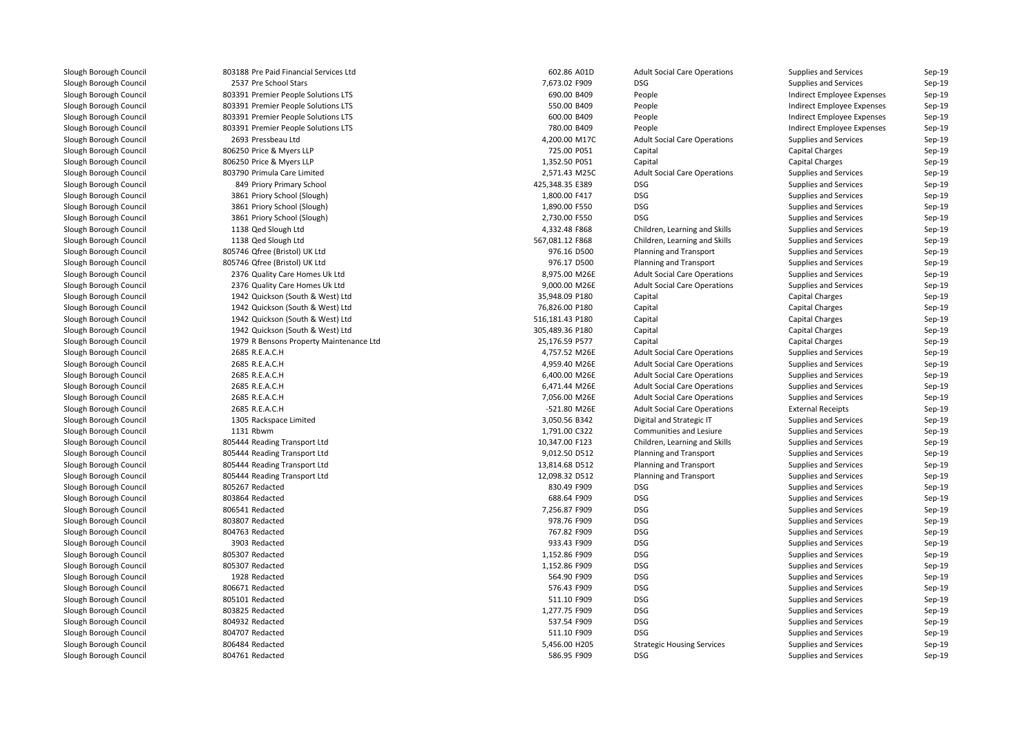| 803188 Pre Paid Financial Services Ltd  | 602.86 A01D     | <b>Adult Social Care Operations</b> | Supplies and Services        | Sep-19 |
|-----------------------------------------|-----------------|-------------------------------------|------------------------------|--------|
| 2537 Pre School Stars                   | 7,673.02 F909   | <b>DSG</b>                          | Supplies and Services        | Sep-19 |
| 803391 Premier People Solutions LTS     | 690.00 B409     | People                              | Indirect Employee Expenses   | Sep-19 |
| 803391 Premier People Solutions LTS     | 550.00 B409     | People                              | Indirect Employee Expenses   | Sep-19 |
| 803391 Premier People Solutions LTS     | 600.00 B409     | People                              | Indirect Employee Expenses   | Sep-19 |
| 803391 Premier People Solutions LTS     | 780.00 B409     | People                              | Indirect Employee Expenses   | Sep-19 |
| 2693 Pressbeau Ltd                      | 4,200.00 M17C   | <b>Adult Social Care Operations</b> | Supplies and Services        | Sep-19 |
| 806250 Price & Myers LLP                | 725.00 P051     | Capital                             | <b>Capital Charges</b>       | Sep-19 |
| 806250 Price & Myers LLP                | 1,352.50 P051   | Capital                             | <b>Capital Charges</b>       | Sep-19 |
| 803790 Primula Care Limited             | 2,571.43 M25C   | <b>Adult Social Care Operations</b> | Supplies and Services        | Sep-19 |
| 849 Priory Primary School               | 425,348.35 E389 | <b>DSG</b>                          | Supplies and Services        | Sep-19 |
| 3861 Priory School (Slough)             | 1,800.00 F417   | <b>DSG</b>                          | Supplies and Services        | Sep-19 |
| 3861 Priory School (Slough)             | 1,890.00 F550   | <b>DSG</b>                          | Supplies and Services        | Sep-19 |
| 3861 Priory School (Slough)             | 2,730.00 F550   | <b>DSG</b>                          | <b>Supplies and Services</b> | Sep-19 |
| 1138 Qed Slough Ltd                     | 4,332.48 F868   | Children, Learning and Skills       | Supplies and Services        | Sep-19 |
| 1138 Qed Slough Ltd                     | 567,081.12 F868 | Children, Learning and Skills       | Supplies and Services        | Sep-19 |
| 805746 Qfree (Bristol) UK Ltd           | 976.16 D500     | <b>Planning and Transport</b>       | Supplies and Services        | Sep-19 |
| 805746 Qfree (Bristol) UK Ltd           | 976.17 D500     | Planning and Transport              | Supplies and Services        | Sep-19 |
| 2376 Quality Care Homes Uk Ltd          | 8,975.00 M26E   | <b>Adult Social Care Operations</b> | Supplies and Services        | Sep-19 |
| 2376 Quality Care Homes Uk Ltd          | 9,000.00 M26E   | <b>Adult Social Care Operations</b> | Supplies and Services        | Sep-19 |
| 1942 Quickson (South & West) Ltd        | 35,948.09 P180  | Capital                             | <b>Capital Charges</b>       | Sep-19 |
| 1942 Quickson (South & West) Ltd        | 76,826.00 P180  | Capital                             | <b>Capital Charges</b>       | Sep-19 |
| 1942 Quickson (South & West) Ltd        | 516,181.43 P180 | Capital                             | <b>Capital Charges</b>       | Sep-19 |
| 1942 Quickson (South & West) Ltd        | 305,489.36 P180 | Capital                             | <b>Capital Charges</b>       | Sep-19 |
| 1979 R Bensons Property Maintenance Ltd | 25,176.59 P577  | Capital                             | <b>Capital Charges</b>       | Sep-19 |
| 2685 R.E.A.C.H                          | 4,757.52 M26E   | <b>Adult Social Care Operations</b> | Supplies and Services        | Sep-19 |
| 2685 R.E.A.C.H                          | 4,959.40 M26E   | <b>Adult Social Care Operations</b> | Supplies and Services        | Sep-19 |
| 2685 R.E.A.C.H                          | 6,400.00 M26E   | <b>Adult Social Care Operations</b> | Supplies and Services        | Sep-19 |
| 2685 R.E.A.C.H                          | 6,471.44 M26E   | <b>Adult Social Care Operations</b> | Supplies and Services        | Sep-19 |
| 2685 R.E.A.C.H                          | 7,056.00 M26E   | <b>Adult Social Care Operations</b> | Supplies and Services        | Sep-19 |
| 2685 R.E.A.C.H                          | -521.80 M26E    | <b>Adult Social Care Operations</b> | <b>External Receipts</b>     | Sep-19 |
| 1305 Rackspace Limited                  | 3,050.56 B342   | Digital and Strategic IT            | Supplies and Services        | Sep-19 |
| 1131 Rbwm                               | 1,791.00 C322   | Communities and Lesiure             | Supplies and Services        | Sep-19 |
| 805444 Reading Transport Ltd            | 10,347.00 F123  | Children, Learning and Skills       | Supplies and Services        | Sep-19 |
| 805444 Reading Transport Ltd            | 9,012.50 D512   | <b>Planning and Transport</b>       | Supplies and Services        | Sep-19 |
| 805444 Reading Transport Ltd            | 13,814.68 D512  | Planning and Transport              | Supplies and Services        | Sep-19 |
| 805444 Reading Transport Ltd            | 12,098.32 D512  | <b>Planning and Transport</b>       | Supplies and Services        | Sep-19 |
| 805267 Redacted                         | 830.49 F909     | <b>DSG</b>                          | Supplies and Services        | Sep-19 |
| 803864 Redacted                         | 688.64 F909     | DSG                                 | Supplies and Services        | Sep-19 |
| 806541 Redacted                         | 7,256.87 F909   | <b>DSG</b>                          | Supplies and Services        | Sep-19 |
| 803807 Redacted                         | 978.76 F909     | DSG                                 | Supplies and Services        | Sep-19 |
| 804763 Redacted                         | 767.82 F909     | DSG                                 | Supplies and Services        | Sep-19 |
| 3903 Redacted                           | 933.43 F909     | <b>DSG</b>                          | <b>Supplies and Services</b> | Sep-19 |
| 805307 Redacted                         | 1,152.86 F909   | <b>DSG</b>                          | <b>Supplies and Services</b> | Sep-19 |
| 805307 Redacted                         | 1,152.86 F909   | <b>DSG</b>                          | Supplies and Services        | Sep-19 |
| 1928 Redacted                           | 564.90 F909     | DSG                                 | Supplies and Services        | Sep-19 |
| 806671 Redacted                         | 576.43 F909     | DSG                                 | Supplies and Services        | Sep-19 |
| 805101 Redacted                         | 511.10 F909     | DSG                                 | Supplies and Services        | Sep-19 |
| 803825 Redacted                         | 1,277.75 F909   | <b>DSG</b>                          | Supplies and Services        | Sep-19 |
| 804932 Redacted                         | 537.54 F909     | <b>DSG</b>                          | <b>Supplies and Services</b> | Sep-19 |
| 804707 Redacted                         | 511.10 F909     | <b>DSG</b>                          | Supplies and Services        | Sep-19 |
| 806484 Redacted                         | 5,456.00 H205   | <b>Strategic Housing Services</b>   | Supplies and Services        | Sep-19 |
| 804761 Redacted                         | 586.95 F909     | <b>DSG</b>                          | Supplies and Services        | Sep-19 |
|                                         |                 |                                     |                              |        |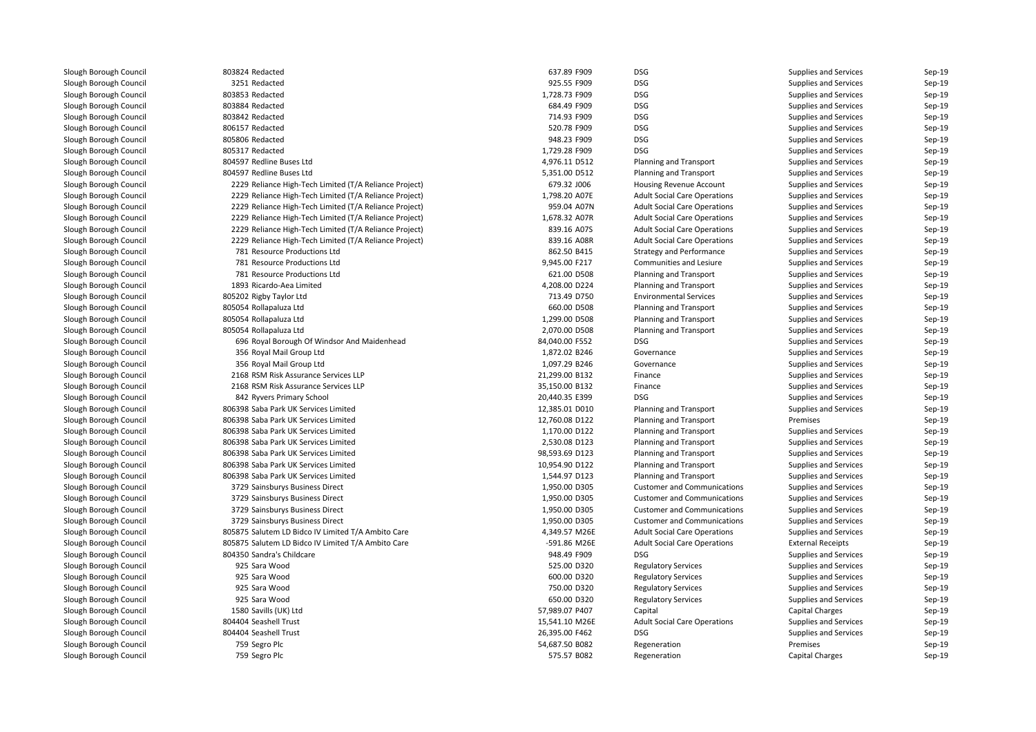| 803824 Redacted                                        | 637.89 F909    | <b>DSG</b>                          | Supplies and Services        | Sep-19   |
|--------------------------------------------------------|----------------|-------------------------------------|------------------------------|----------|
| 3251 Redacted                                          | 925.55 F909    | DSG                                 | Supplies and Services        | Sep-19   |
| 803853 Redacted                                        | 1,728.73 F909  | <b>DSG</b>                          | Supplies and Services        | Sep-19   |
| 803884 Redacted                                        | 684.49 F909    | <b>DSG</b>                          | <b>Supplies and Services</b> | Sep-19   |
| 803842 Redacted                                        | 714.93 F909    | <b>DSG</b>                          | Supplies and Services        | Sep-19   |
| 806157 Redacted                                        | 520.78 F909    | <b>DSG</b>                          | Supplies and Services        | Sep-19   |
| 805806 Redacted                                        | 948.23 F909    | DSG                                 | Supplies and Services        | $Sep-19$ |
| 805317 Redacted                                        | 1,729.28 F909  | <b>DSG</b>                          | Supplies and Services        | Sep-19   |
| 804597 Redline Buses Ltd                               | 4,976.11 D512  | Planning and Transport              | Supplies and Services        | Sep-19   |
| 804597 Redline Buses Ltd                               | 5,351.00 D512  | <b>Planning and Transport</b>       | Supplies and Services        | Sep-19   |
| 2229 Reliance High-Tech Limited (T/A Reliance Project) | 679.32 J006    | Housing Revenue Account             | Supplies and Services        | Sep-19   |
| 2229 Reliance High-Tech Limited (T/A Reliance Project) | 1,798.20 A07E  | <b>Adult Social Care Operations</b> | Supplies and Services        | Sep-19   |
| 2229 Reliance High-Tech Limited (T/A Reliance Project) | 959.04 A07N    | <b>Adult Social Care Operations</b> | Supplies and Services        | Sep-19   |
| 2229 Reliance High-Tech Limited (T/A Reliance Project) | 1,678.32 A07R  | <b>Adult Social Care Operations</b> | <b>Supplies and Services</b> | Sep-19   |
| 2229 Reliance High-Tech Limited (T/A Reliance Project) | 839.16 A07S    | <b>Adult Social Care Operations</b> | Supplies and Services        | Sep-19   |
| 2229 Reliance High-Tech Limited (T/A Reliance Project) | 839.16 A08R    | <b>Adult Social Care Operations</b> | Supplies and Services        | Sep-19   |
| 781 Resource Productions Ltd                           | 862.50 B415    | <b>Strategy and Performance</b>     | Supplies and Services        | Sep-19   |
| 781 Resource Productions Ltd                           | 9,945.00 F217  | Communities and Lesiure             | Supplies and Services        | Sep-19   |
| 781 Resource Productions Ltd                           | 621.00 D508    | Planning and Transport              | Supplies and Services        | Sep-19   |
| 1893 Ricardo-Aea Limited                               | 4,208.00 D224  | <b>Planning and Transport</b>       | <b>Supplies and Services</b> | Sep-19   |
| 805202 Rigby Taylor Ltd                                | 713.49 D750    | <b>Environmental Services</b>       | Supplies and Services        | Sep-19   |
| 805054 Rollapaluza Ltd                                 | 660.00 D508    | <b>Planning and Transport</b>       | Supplies and Services        | Sep-19   |
| 805054 Rollapaluza Ltd                                 | 1,299.00 D508  | <b>Planning and Transport</b>       | Supplies and Services        | Sep-19   |
| 805054 Rollapaluza Ltd                                 | 2,070.00 D508  | <b>Planning and Transport</b>       | Supplies and Services        | Sep-19   |
| 696 Royal Borough Of Windsor And Maidenhead            | 84,040.00 F552 | <b>DSG</b>                          | Supplies and Services        | Sep-19   |
| 356 Royal Mail Group Ltd                               | 1,872.02 B246  | Governance                          | Supplies and Services        | Sep-19   |
| 356 Royal Mail Group Ltd                               | 1,097.29 B246  | Governance                          | Supplies and Services        | Sep-19   |
| 2168 RSM Risk Assurance Services LLP                   | 21,299.00 B132 | Finance                             | Supplies and Services        | Sep-19   |
| 2168 RSM Risk Assurance Services LLP                   | 35,150.00 B132 | Finance                             | Supplies and Services        | Sep-19   |
| 842 Ryvers Primary School                              | 20,440.35 E399 | <b>DSG</b>                          | Supplies and Services        | Sep-19   |
| 806398 Saba Park UK Services Limited                   | 12,385.01 D010 | <b>Planning and Transport</b>       | Supplies and Services        | Sep-19   |
| 806398 Saba Park UK Services Limited                   | 12,760.08 D122 | <b>Planning and Transport</b>       | Premises                     | Sep-19   |
| 806398 Saba Park UK Services Limited                   | 1,170.00 D122  | <b>Planning and Transport</b>       | Supplies and Services        | Sep-19   |
| 806398 Saba Park UK Services Limited                   | 2,530.08 D123  | <b>Planning and Transport</b>       | Supplies and Services        | Sep-19   |
| 806398 Saba Park UK Services Limited                   | 98,593.69 D123 | <b>Planning and Transport</b>       | Supplies and Services        | Sep-19   |
| 806398 Saba Park UK Services Limited                   | 10,954.90 D122 | Planning and Transport              | <b>Supplies and Services</b> | Sep-19   |
| 806398 Saba Park UK Services Limited                   | 1,544.97 D123  | <b>Planning and Transport</b>       | Supplies and Services        | Sep-19   |
| 3729 Sainsburys Business Direct                        | 1,950.00 D305  | <b>Customer and Communications</b>  | Supplies and Services        | Sep-19   |
| 3729 Sainsburys Business Direct                        | 1,950.00 D305  | <b>Customer and Communications</b>  | Supplies and Services        | Sep-19   |
| 3729 Sainsburys Business Direct                        | 1,950.00 D305  | <b>Customer and Communications</b>  | Supplies and Services        | Sep-19   |
| 3729 Sainsburys Business Direct                        | 1,950.00 D305  | <b>Customer and Communications</b>  | Supplies and Services        | Sep-19   |
| 805875 Salutem LD Bidco IV Limited T/A Ambito Care     | 4,349.57 M26E  | <b>Adult Social Care Operations</b> | Supplies and Services        | Sep-19   |
| 805875 Salutem LD Bidco IV Limited T/A Ambito Care     | -591.86 M26E   | <b>Adult Social Care Operations</b> | <b>External Receipts</b>     | Sep-19   |
| 804350 Sandra's Childcare                              | 948.49 F909    | <b>DSG</b>                          | Supplies and Services        | Sep-19   |
| 925 Sara Wood                                          | 525.00 D320    | <b>Regulatory Services</b>          | Supplies and Services        | Sep-19   |
| 925 Sara Wood                                          | 600.00 D320    | <b>Regulatory Services</b>          | Supplies and Services        | Sep-19   |
| 925 Sara Wood                                          | 750.00 D320    | <b>Regulatory Services</b>          | Supplies and Services        | Sep-19   |
| 925 Sara Wood                                          | 650.00 D320    | <b>Regulatory Services</b>          | Supplies and Services        | Sep-19   |
| 1580 Savills (UK) Ltd                                  | 57,989.07 P407 | Capital                             | <b>Capital Charges</b>       | Sep-19   |
| 804404 Seashell Trust                                  | 15,541.10 M26E | <b>Adult Social Care Operations</b> | Supplies and Services        | Sep-19   |
| 804404 Seashell Trust                                  | 26,395.00 F462 | <b>DSG</b>                          | Supplies and Services        | Sep-19   |
| 759 Segro Plc                                          | 54,687.50 B082 | Regeneration                        | Premises                     | Sep-19   |
| 759 Segro Plc                                          | 575.57 B082    | Regeneration                        | <b>Capital Charges</b>       | Sep-19   |
|                                                        |                |                                     |                              |          |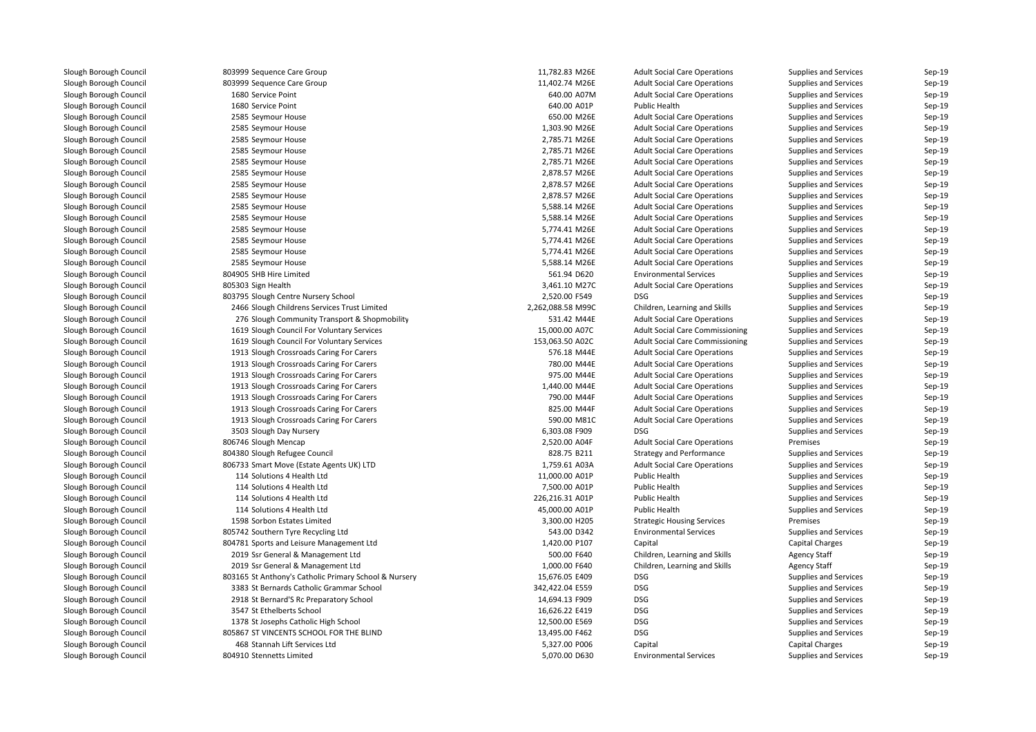| 803999 Sequence Care Group                            | 11,782.83 M26E    | <b>Adult Social Care Operations</b>                                    | <b>Supplies and Services</b> | Sep-19           |
|-------------------------------------------------------|-------------------|------------------------------------------------------------------------|------------------------------|------------------|
| 803999 Sequence Care Group                            | 11,402.74 M26E    | <b>Adult Social Care Operations</b>                                    | Supplies and Services        | Sep-19           |
| 1680 Service Point                                    | 640.00 A07M       | <b>Adult Social Care Operations</b>                                    | Supplies and Services        | Sep-19           |
| 1680 Service Point                                    | 640.00 A01P       | <b>Public Health</b>                                                   | Supplies and Services        | Sep-19           |
| 2585 Seymour House                                    | 650.00 M26E       | <b>Adult Social Care Operations</b>                                    | Supplies and Services        | Sep-19           |
| 2585 Seymour House                                    | 1,303.90 M26E     | <b>Adult Social Care Operations</b>                                    | Supplies and Services        | Sep-19           |
| 2585 Seymour House                                    | 2,785.71 M26E     | <b>Adult Social Care Operations</b>                                    | Supplies and Services        | Sep-19           |
| 2585 Seymour House                                    | 2,785.71 M26E     | <b>Adult Social Care Operations</b>                                    | Supplies and Services        | Sep-19           |
| 2585 Seymour House                                    | 2,785.71 M26E     | <b>Adult Social Care Operations</b>                                    | Supplies and Services        | Sep-19           |
| 2585 Seymour House                                    | 2,878.57 M26E     | <b>Adult Social Care Operations</b>                                    | Supplies and Services        | Sep-19           |
| 2585 Seymour House                                    | 2,878.57 M26E     | <b>Adult Social Care Operations</b>                                    | Supplies and Services        | Sep-19           |
| 2585 Seymour House                                    | 2,878.57 M26E     | <b>Adult Social Care Operations</b>                                    | Supplies and Services        | Sep-19           |
| 2585 Seymour House                                    | 5,588.14 M26E     | <b>Adult Social Care Operations</b>                                    | Supplies and Services        | Sep-19           |
| 2585 Seymour House                                    | 5,588.14 M26E     | <b>Adult Social Care Operations</b>                                    | Supplies and Services        | Sep-19           |
| 2585 Seymour House                                    | 5,774.41 M26E     | <b>Adult Social Care Operations</b>                                    | <b>Supplies and Services</b> | Sep-19           |
| 2585 Seymour House                                    | 5,774.41 M26E     | <b>Adult Social Care Operations</b>                                    | Supplies and Services        | Sep-19           |
| 2585 Seymour House                                    | 5,774.41 M26E     | <b>Adult Social Care Operations</b>                                    | Supplies and Services        | Sep-19           |
| 2585 Seymour House                                    | 5,588.14 M26E     | <b>Adult Social Care Operations</b>                                    | Supplies and Services        | Sep-19           |
| 804905 SHB Hire Limited                               | 561.94 D620       | <b>Environmental Services</b>                                          | Supplies and Services        | Sep-19           |
| 805303 Sign Health                                    | 3,461.10 M27C     | <b>Adult Social Care Operations</b>                                    | Supplies and Services        | Sep-19           |
| 803795 Slough Centre Nursery School                   | 2,520.00 F549     | <b>DSG</b>                                                             | Supplies and Services        | Sep-19           |
| 2466 Slough Childrens Services Trust Limited          | 2,262,088.58 M99C | Children, Learning and Skills                                          | Supplies and Services        | Sep-19           |
| 276 Slough Community Transport & Shopmobility         | 531.42 M44E       | <b>Adult Social Care Operations</b>                                    | Supplies and Services        | Sep-19           |
| 1619 Slough Council For Voluntary Services            | 15,000.00 A07C    | <b>Adult Social Care Commissioning</b>                                 | Supplies and Services        | Sep-19           |
|                                                       | 153,063.50 A02C   |                                                                        | Supplies and Services        | Sep-19           |
| 1619 Slough Council For Voluntary Services            | 576.18 M44E       | Adult Social Care Commissioning<br><b>Adult Social Care Operations</b> | Supplies and Services        |                  |
| 1913 Slough Crossroads Caring For Carers              | 780.00 M44E       |                                                                        |                              | Sep-19<br>Sep-19 |
| 1913 Slough Crossroads Caring For Carers              |                   | <b>Adult Social Care Operations</b>                                    | Supplies and Services        |                  |
| 1913 Slough Crossroads Caring For Carers              | 975.00 M44E       | <b>Adult Social Care Operations</b>                                    | Supplies and Services        | Sep-19           |
| 1913 Slough Crossroads Caring For Carers              | 1,440.00 M44E     | <b>Adult Social Care Operations</b>                                    | Supplies and Services        | Sep-19           |
| 1913 Slough Crossroads Caring For Carers              | 790.00 M44F       | <b>Adult Social Care Operations</b>                                    | Supplies and Services        | Sep-19           |
| 1913 Slough Crossroads Caring For Carers              | 825.00 M44F       | <b>Adult Social Care Operations</b>                                    | Supplies and Services        | Sep-19           |
| 1913 Slough Crossroads Caring For Carers              | 590.00 M81C       | <b>Adult Social Care Operations</b>                                    | Supplies and Services        | Sep-19           |
| 3503 Slough Day Nursery                               | 6,303.08 F909     | <b>DSG</b>                                                             | Supplies and Services        | Sep-19           |
| 806746 Slough Mencap                                  | 2,520.00 A04F     | <b>Adult Social Care Operations</b>                                    | Premises                     | Sep-19           |
| 804380 Slough Refugee Council                         | 828.75 B211       | <b>Strategy and Performance</b>                                        | Supplies and Services        | Sep-19           |
| 806733 Smart Move (Estate Agents UK) LTD              | 1,759.61 A03A     | <b>Adult Social Care Operations</b>                                    | Supplies and Services        | Sep-19           |
| 114 Solutions 4 Health Ltd                            | 11,000.00 A01P    | Public Health                                                          | Supplies and Services        | Sep-19           |
| 114 Solutions 4 Health Ltd                            | 7,500.00 A01P     | <b>Public Health</b>                                                   | Supplies and Services        | Sep-19           |
| 114 Solutions 4 Health Ltd                            | 226,216.31 A01P   | Public Health                                                          | Supplies and Services        | Sep-19           |
| 114 Solutions 4 Health Ltd                            | 45,000.00 A01P    | Public Health                                                          | Supplies and Services        | Sep-19           |
| 1598 Sorbon Estates Limited                           | 3,300.00 H205     | <b>Strategic Housing Services</b>                                      | Premises                     | Sep-19           |
| 805742 Southern Tyre Recycling Ltd                    | 543.00 D342       | <b>Environmental Services</b>                                          | Supplies and Services        | Sep-19           |
| 804781 Sports and Leisure Management Ltd              | 1,420.00 P107     | Capital                                                                | <b>Capital Charges</b>       | Sep-19           |
| 2019 Ssr General & Management Ltd                     | 500.00 F640       | Children, Learning and Skills                                          | <b>Agency Staff</b>          | Sep-19           |
| 2019 Ssr General & Management Ltd                     | 1,000.00 F640     | Children, Learning and Skills                                          | <b>Agency Staff</b>          | Sep-19           |
| 803165 St Anthony's Catholic Primary School & Nursery | 15,676.05 E409    | <b>DSG</b>                                                             | Supplies and Services        | Sep-19           |
| 3383 St Bernards Catholic Grammar School              | 342,422.04 E559   | <b>DSG</b>                                                             | Supplies and Services        | Sep-19           |
| 2918 St Bernard'S Rc Preparatory School               | 14,694.13 F909    | <b>DSG</b>                                                             | Supplies and Services        | Sep-19           |
| 3547 St Ethelberts School                             | 16,626.22 E419    | <b>DSG</b>                                                             | Supplies and Services        | Sep-19           |
| 1378 St Josephs Catholic High School                  | 12,500.00 E569    | DSG                                                                    | Supplies and Services        | Sep-19           |
| 805867 ST VINCENTS SCHOOL FOR THE BLIND               | 13,495.00 F462    | <b>DSG</b>                                                             | Supplies and Services        | Sep-19           |
| 468 Stannah Lift Services Ltd                         | 5,327.00 P006     | Capital                                                                | <b>Capital Charges</b>       | Sep-19           |
| 804910 Stennetts Limited                              | 5,070.00 D630     | <b>Environmental Services</b>                                          | Supplies and Services        | Sep-19           |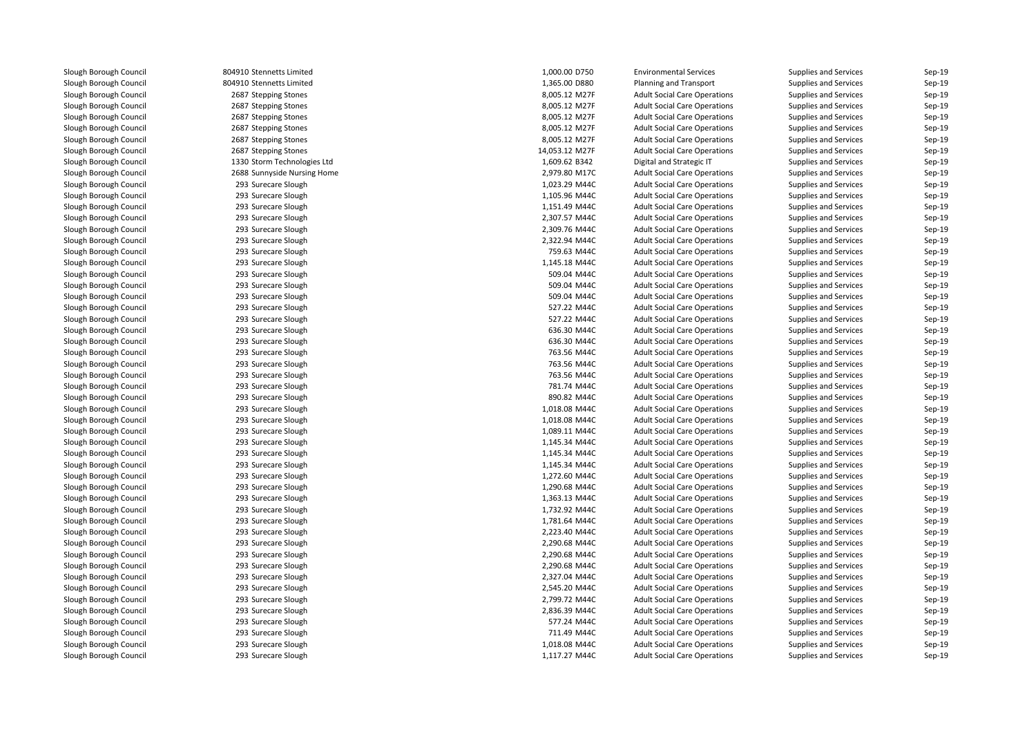804910 Stennetts Limited 804910 Stennetts Limited2687 Stepping Stones 2687 Stepping Stones 2687 Stepping Stones 2687 Stepping Stones 2687 Stepping Stones 2687 Stepping Stones 1330 Storm Technologies Ltd 2688 Sunnyside Nursing Home 2,979.80 M17C 293 Surecare Slough 293 Surecare Slough 293 Surecare Slough 293 Surecare Slough 293 Surecare Slough 293 Surecare Slough 293 Surecare Slough 293 Surecare Slough 293 Surecare Slough 293 Surecare Slough 293 Surecare Slough 293 Surecare Slough 293 Surecare Slough 293 Surecare Slough 293 Surecare Slough 293 Surecare Slough 293 Surecare Slough 293 Surecare Slough 293 Surecare Slough 293 Surecare Slough 293 Surecare Slough 293 Surecare Slough 293 Surecare Slough 293 Surecare Slough 293 Surecare Slough 293 Surecare Slough 293 Surecare Slough 293 Surecare Slough 293 Surecare Slough 293 Surecare Slough 293 Surecare Slough 293293 Surecare Slough 293 Surecare Slough 293 Surecare Slough 293 Surecare Slough 293 Surecare Slough 293 Surecare Slough 293 Surecare Slough 293 Surecare Slough 293 Surecare Slough 293 Surecare Slough 293 Surecare Slough293 Surecare Slough

| 0 Stennetts Limited      | 1,000.00 D750  | <b>Environmental Services</b>       | <b>Supplies and Services</b> | Sep-19           |
|--------------------------|----------------|-------------------------------------|------------------------------|------------------|
| 0 Stennetts Limited      | 1,365.00 D880  | <b>Planning and Transport</b>       | <b>Supplies and Services</b> | Sep-19           |
| 7 Stepping Stones        | 8,005.12 M27F  | <b>Adult Social Care Operations</b> | <b>Supplies and Services</b> | Sep-19           |
| 7 Stepping Stones        | 8,005.12 M27F  | <b>Adult Social Care Operations</b> | <b>Supplies and Services</b> | Sep-19           |
| 7 Stepping Stones        | 8,005.12 M27F  | <b>Adult Social Care Operations</b> | <b>Supplies and Services</b> | Sep-19           |
| 7 Stepping Stones        | 8,005.12 M27F  | <b>Adult Social Care Operations</b> | Supplies and Services        | Sep-19           |
| 7 Stepping Stones        | 8,005.12 M27F  | <b>Adult Social Care Operations</b> | <b>Supplies and Services</b> | Sep-19           |
| 7 Stepping Stones        | 14,053.12 M27F | <b>Adult Social Care Operations</b> | <b>Supplies and Services</b> | Sep-19           |
| 0 Storm Technologies Ltd | 1,609.62 B342  | Digital and Strategic IT            | Supplies and Services        | Sep-19           |
| 8 Sunnyside Nursing Home | 2,979.80 M17C  | <b>Adult Social Care Operations</b> | <b>Supplies and Services</b> | Sep-19           |
| 3 Surecare Slough        | 1,023.29 M44C  | <b>Adult Social Care Operations</b> | <b>Supplies and Services</b> | Sep-19           |
| 3 Surecare Slough        | 1,105.96 M44C  | <b>Adult Social Care Operations</b> | <b>Supplies and Services</b> | Sep-19           |
| 3 Surecare Slough        | 1,151.49 M44C  | <b>Adult Social Care Operations</b> | Supplies and Services        | Sep-19           |
| 3 Surecare Slough        | 2,307.57 M44C  | <b>Adult Social Care Operations</b> | <b>Supplies and Services</b> | Sep-19           |
| 3 Surecare Slough        | 2,309.76 M44C  | <b>Adult Social Care Operations</b> | <b>Supplies and Services</b> | Sep-19           |
| 3 Surecare Slough        | 2,322.94 M44C  | <b>Adult Social Care Operations</b> | <b>Supplies and Services</b> | Sep-19           |
| 3 Surecare Slough        | 759.63 M44C    | <b>Adult Social Care Operations</b> | <b>Supplies and Services</b> | Sep-19           |
| 3 Surecare Slough        | 1,145.18 M44C  | <b>Adult Social Care Operations</b> | <b>Supplies and Services</b> | Sep-19           |
| 3 Surecare Slough        | 509.04 M44C    | <b>Adult Social Care Operations</b> | <b>Supplies and Services</b> | Sep-19           |
| 3 Surecare Slough        | 509.04 M44C    | <b>Adult Social Care Operations</b> | <b>Supplies and Services</b> | Sep-19           |
| 3 Surecare Slough        | 509.04 M44C    | <b>Adult Social Care Operations</b> | <b>Supplies and Services</b> | Sep-19           |
| 3 Surecare Slough        | 527.22 M44C    | <b>Adult Social Care Operations</b> | <b>Supplies and Services</b> | Sep-19           |
| 3 Surecare Slough        | 527.22 M44C    | <b>Adult Social Care Operations</b> | <b>Supplies and Services</b> | Sep-19           |
| 3 Surecare Slough        | 636.30 M44C    | <b>Adult Social Care Operations</b> | <b>Supplies and Services</b> | Sep-19           |
| 3 Surecare Slough        | 636.30 M44C    | <b>Adult Social Care Operations</b> | Supplies and Services        | Sep-19           |
| 3 Surecare Slough        | 763.56 M44C    | <b>Adult Social Care Operations</b> | <b>Supplies and Services</b> | Sep-19           |
| 3 Surecare Slough        | 763.56 M44C    | <b>Adult Social Care Operations</b> | <b>Supplies and Services</b> | Sep-19           |
| 3 Surecare Slough        | 763.56 M44C    | <b>Adult Social Care Operations</b> | Supplies and Services        | Sep-19           |
| 3 Surecare Slough        | 781.74 M44C    | <b>Adult Social Care Operations</b> | <b>Supplies and Services</b> | Sep-19           |
| 3 Surecare Slough        | 890.82 M44C    | <b>Adult Social Care Operations</b> | Supplies and Services        | Sep-19           |
| 3 Surecare Slough        | 1,018.08 M44C  | <b>Adult Social Care Operations</b> | Supplies and Services        | Sep-19           |
| 3 Surecare Slough        | 1,018.08 M44C  | <b>Adult Social Care Operations</b> | Supplies and Services        | Sep-19           |
| 3 Surecare Slough        | 1,089.11 M44C  | <b>Adult Social Care Operations</b> | Supplies and Services        | Sep-19           |
| 3 Surecare Slough        | 1,145.34 M44C  | <b>Adult Social Care Operations</b> | Supplies and Services        | Sep-19           |
| 3 Surecare Slough        | 1,145.34 M44C  | <b>Adult Social Care Operations</b> | Supplies and Services        | Sep-19           |
| 3 Surecare Slough        | 1,145.34 M44C  | <b>Adult Social Care Operations</b> | Supplies and Services        | Sep-19           |
| 3 Surecare Slough        | 1,272.60 M44C  | <b>Adult Social Care Operations</b> | Supplies and Services        | Sep-19           |
| 3 Surecare Slough        |                |                                     |                              | Sep-19           |
|                          | 1,290.68 M44C  | <b>Adult Social Care Operations</b> | Supplies and Services        |                  |
| 3 Surecare Slough        | 1,363.13 M44C  | <b>Adult Social Care Operations</b> | Supplies and Services        | Sep-19<br>Sep-19 |
| 3 Surecare Slough        | 1,732.92 M44C  | <b>Adult Social Care Operations</b> | Supplies and Services        |                  |
| 3 Surecare Slough        | 1,781.64 M44C  | <b>Adult Social Care Operations</b> | Supplies and Services        | Sep-19           |
| 3 Surecare Slough        | 2,223.40 M44C  | <b>Adult Social Care Operations</b> | Supplies and Services        | Sep-19           |
| 3 Surecare Slough        | 2,290.68 M44C  | <b>Adult Social Care Operations</b> | Supplies and Services        | Sep-19           |
| 3 Surecare Slough        | 2,290.68 M44C  | <b>Adult Social Care Operations</b> | <b>Supplies and Services</b> | Sep-19           |
| 3 Surecare Slough        | 2,290.68 M44C  | <b>Adult Social Care Operations</b> | Supplies and Services        | Sep-19           |
| 3 Surecare Slough        | 2,327.04 M44C  | <b>Adult Social Care Operations</b> | Supplies and Services        | Sep-19           |
| 3 Surecare Slough        | 2,545.20 M44C  | <b>Adult Social Care Operations</b> | Supplies and Services        | Sep-19           |
| 3 Surecare Slough        | 2,799.72 M44C  | <b>Adult Social Care Operations</b> | Supplies and Services        | Sep-19           |
| 3 Surecare Slough        | 2,836.39 M44C  | <b>Adult Social Care Operations</b> | Supplies and Services        | Sep-19           |
| 3 Surecare Slough        | 577.24 M44C    | <b>Adult Social Care Operations</b> | Supplies and Services        | Sep-19           |
| 3 Surecare Slough        | 711.49 M44C    | <b>Adult Social Care Operations</b> | Supplies and Services        | Sep-19           |
| 3 Surecare Slough        | 1,018.08 M44C  | <b>Adult Social Care Operations</b> | <b>Supplies and Services</b> | Sep-19           |
| 3 Surecare Slough        | 1,117.27 M44C  | <b>Adult Social Care Operations</b> | Supplies and Services        | Sep-19           |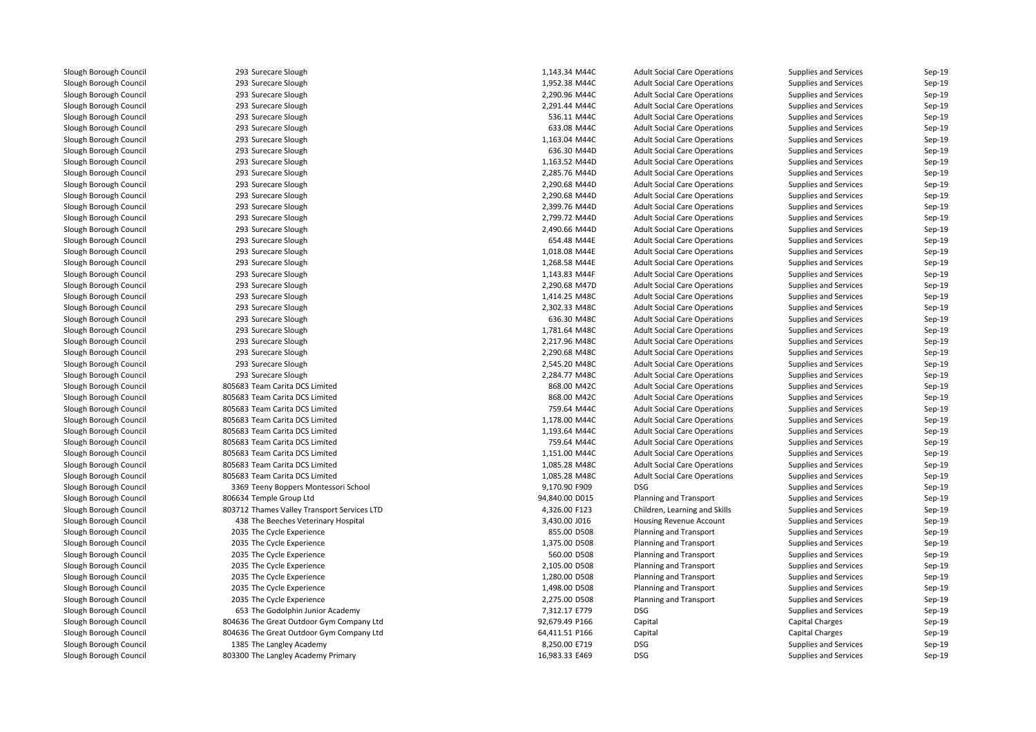| 293 Surecare Slough                         | 1,143.34 M44C  | <b>Adult Social Care Operations</b> | Supplies and Services                          | Sep-19 |
|---------------------------------------------|----------------|-------------------------------------|------------------------------------------------|--------|
| 293 Surecare Slough                         | 1,952.38 M44C  | <b>Adult Social Care Operations</b> | Supplies and Services                          | Sep-19 |
| 293 Surecare Slough                         | 2,290.96 M44C  | <b>Adult Social Care Operations</b> | Supplies and Services                          | Sep-19 |
| 293 Surecare Slough                         | 2,291.44 M44C  | <b>Adult Social Care Operations</b> | Supplies and Services                          | Sep-19 |
| 293 Surecare Slough                         | 536.11 M44C    | <b>Adult Social Care Operations</b> | Supplies and Services                          | Sep-19 |
| 293 Surecare Slough                         | 633.08 M44C    | <b>Adult Social Care Operations</b> | Supplies and Services                          | Sep-19 |
| 293 Surecare Slough                         | 1,163.04 M44C  | <b>Adult Social Care Operations</b> | Supplies and Services                          | Sep-19 |
| 293 Surecare Slough                         | 636.30 M44D    | <b>Adult Social Care Operations</b> | Supplies and Services                          | Sep-19 |
| 293 Surecare Slough                         | 1,163.52 M44D  | <b>Adult Social Care Operations</b> | Supplies and Services                          | Sep-19 |
| 293 Surecare Slough                         | 2,285.76 M44D  | <b>Adult Social Care Operations</b> | Supplies and Services                          | Sep-19 |
| 293 Surecare Slough                         | 2,290.68 M44D  | <b>Adult Social Care Operations</b> | Supplies and Services                          | Sep-19 |
| 293 Surecare Slough                         | 2,290.68 M44D  | <b>Adult Social Care Operations</b> | Supplies and Services                          | Sep-19 |
| 293 Surecare Slough                         | 2,399.76 M44D  | <b>Adult Social Care Operations</b> | Supplies and Services                          | Sep-19 |
| 293 Surecare Slough                         | 2,799.72 M44D  | <b>Adult Social Care Operations</b> | Supplies and Services                          | Sep-19 |
| 293 Surecare Slough                         | 2,490.66 M44D  | <b>Adult Social Care Operations</b> | Supplies and Services                          | Sep-19 |
| 293 Surecare Slough                         | 654.48 M44E    | <b>Adult Social Care Operations</b> | Supplies and Services                          | Sep-19 |
| 293 Surecare Slough                         | 1,018.08 M44E  | <b>Adult Social Care Operations</b> | Supplies and Services                          | Sep-19 |
| 293 Surecare Slough                         | 1,268.58 M44E  | <b>Adult Social Care Operations</b> | Supplies and Services                          | Sep-19 |
| 293 Surecare Slough                         | 1,143.83 M44F  | <b>Adult Social Care Operations</b> | Supplies and Services                          | Sep-19 |
| 293 Surecare Slough                         | 2,290.68 M47D  | <b>Adult Social Care Operations</b> | Supplies and Services                          | Sep-19 |
| 293 Surecare Slough                         | 1,414.25 M48C  | <b>Adult Social Care Operations</b> | Supplies and Services                          | Sep-19 |
| 293 Surecare Slough                         | 2,302.33 M48C  | <b>Adult Social Care Operations</b> | Supplies and Services                          | Sep-19 |
| 293 Surecare Slough                         | 636.30 M48C    | <b>Adult Social Care Operations</b> | Supplies and Services                          | Sep-19 |
| 293 Surecare Slough                         | 1,781.64 M48C  | <b>Adult Social Care Operations</b> | Supplies and Services                          | Sep-19 |
| 293 Surecare Slough                         | 2,217.96 M48C  | <b>Adult Social Care Operations</b> | Supplies and Services                          | Sep-19 |
| 293 Surecare Slough                         | 2,290.68 M48C  | <b>Adult Social Care Operations</b> | Supplies and Services                          | Sep-19 |
| 293 Surecare Slough                         | 2,545.20 M48C  | <b>Adult Social Care Operations</b> | Supplies and Services                          | Sep-19 |
| 293 Surecare Slough                         | 2,284.77 M48C  | <b>Adult Social Care Operations</b> | Supplies and Services                          | Sep-19 |
| 805683 Team Carita DCS Limited              | 868.00 M42C    | <b>Adult Social Care Operations</b> | Supplies and Services                          | Sep-19 |
| 805683 Team Carita DCS Limited              | 868.00 M42C    | <b>Adult Social Care Operations</b> | Supplies and Services                          | Sep-19 |
| 805683 Team Carita DCS Limited              | 759.64 M44C    | <b>Adult Social Care Operations</b> | Supplies and Services                          | Sep-19 |
| 805683 Team Carita DCS Limited              | 1,178.00 M44C  | <b>Adult Social Care Operations</b> | Supplies and Services                          | Sep-19 |
| 805683 Team Carita DCS Limited              | 1,193.64 M44C  | <b>Adult Social Care Operations</b> | Supplies and Services                          | Sep-19 |
| 805683 Team Carita DCS Limited              | 759.64 M44C    | <b>Adult Social Care Operations</b> | Supplies and Services                          | Sep-19 |
| 805683 Team Carita DCS Limited              | 1,151.00 M44C  | <b>Adult Social Care Operations</b> | Supplies and Services                          | Sep-19 |
| 805683 Team Carita DCS Limited              | 1,085.28 M48C  |                                     |                                                | Sep-19 |
| 805683 Team Carita DCS Limited              | 1,085.28 M48C  | <b>Adult Social Care Operations</b> | Supplies and Services<br>Supplies and Services | Sep-19 |
|                                             |                | <b>Adult Social Care Operations</b> |                                                | Sep-19 |
| 3369 Teeny Boppers Montessori School        | 9,170.90 F909  | <b>DSG</b>                          | Supplies and Services                          | Sep-19 |
| 806634 Temple Group Ltd                     | 94,840.00 D015 | <b>Planning and Transport</b>       | Supplies and Services                          |        |
| 803712 Thames Valley Transport Services LTD | 4,326.00 F123  | Children, Learning and Skills       | Supplies and Services                          | Sep-19 |
| 438 The Beeches Veterinary Hospital         | 3,430.00 J016  | Housing Revenue Account             | Supplies and Services                          | Sep-19 |
| 2035 The Cycle Experience                   | 855.00 D508    | Planning and Transport              | Supplies and Services                          | Sep-19 |
| 2035 The Cycle Experience                   | 1,375.00 D508  | <b>Planning and Transport</b>       | Supplies and Services                          | Sep-19 |
| 2035 The Cycle Experience                   | 560.00 D508    | <b>Planning and Transport</b>       | Supplies and Services                          | Sep-19 |
| 2035 The Cycle Experience                   | 2,105.00 D508  | <b>Planning and Transport</b>       | Supplies and Services                          | Sep-19 |
| 2035 The Cycle Experience                   | 1,280.00 D508  | Planning and Transport              | Supplies and Services                          | Sep-19 |
| 2035 The Cycle Experience                   | 1,498.00 D508  | Planning and Transport              | Supplies and Services                          | Sep-19 |
| 2035 The Cycle Experience                   | 2,275.00 D508  | Planning and Transport              | Supplies and Services                          | Sep-19 |
| 653 The Godolphin Junior Academy            | 7,312.17 E779  | <b>DSG</b>                          | Supplies and Services                          | Sep-19 |
| 804636 The Great Outdoor Gym Company Ltd    | 92,679.49 P166 | Capital                             | <b>Capital Charges</b>                         | Sep-19 |
| 804636 The Great Outdoor Gym Company Ltd    | 64,411.51 P166 | Capital                             | <b>Capital Charges</b>                         | Sep-19 |
| 1385 The Langley Academy                    | 8,250.00 E719  | DSG                                 | Supplies and Services                          | Sep-19 |
| 803300 The Langley Academy Primary          | 16,983.33 E469 | DSG                                 | Supplies and Services                          | Sep-19 |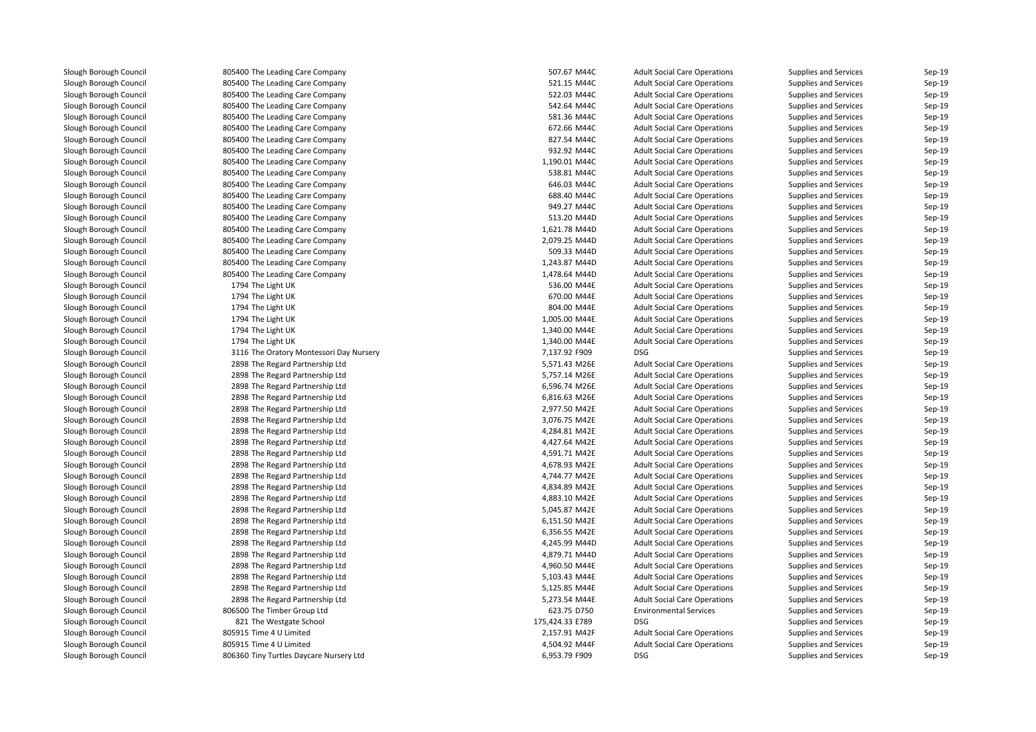805400 The Leading Care Company 507.67 M44C**1** 805400 The Leading Care Company **1.12 September 2016** 521.15 M44C 805400 The Leading Care Company 522.03 M44C 805400 The Leading Care Company 542.64 M44C**1** S81.36 M44C and S805400 The Leading Care Company S81.36 M44C **1** 805400 The Leading Care Company **672.66 M44C**  805400 The Leading Care Company 827.54 M44C 805400 The Leading Care Company 932.92 M44Cand the South of the Leading Care Company 1,190.01 M44C and the South of the South of the South of the South o 805400 The Leading Care Company 538.81 M44C**1** 805400 The Leading Care Company **646.03 M44C**  805400 The Leading Care Company 688.40 M44C**1** 805400 The Leading Care Company **120 a. 20 a. 20 a. 20 a. 20 a. 20 a. 20 a. 20 a. 20 a. 20 a. 20 a. 20 a. 20 a. 20 a. 20 a. 20 a. 20 a. 20 a. 20 a. 20 a. 20 a. 20 a. 20 a. 20 a. 20 a. 20 a. 20 a. 20 a. 20 a. 20 a. 20 a**  805400 The Leading Care Company 513.20 M44Dand the South of the Leading Care Company 1,621.78 M44D and the South of the South of the South of the South o 805400 The Leading Care Company 2,079.25 M44D 805400 The Leading Care Company 509.33 M44Dand the South of the Leading Care Company 1,243.87 M44D and the South of the South of the South of the South o 1 805400 The Leading Care Company 1,478.64 M44D 1794 The Light UK 1794 The Light UK 1794 The Light UK 1794 The Light UK 1794 The Light UK 1794 The Light UK1 The Oratory Montessori Day Nursery 7,137.92 F909 DSG 2011 11:05 2014 2898 The Regard Partnership Ltd 2898 The Regard Partnership Ltd 2898 The Regard Partnership Ltd 2898 The Regard Partnership Ltd 2898 The Regard Partnership Ltd 2898 The Regard Partnership Ltd 2898 The Regard Partnership Ltd 2898 The Regard Partnership Ltd 2898 The Regard Partnership Ltd 2898 The Regard Partnership Ltd 2898 The Regard Partnership Ltd 2898 The Regard Partnership Ltd 2898 The Regard Partnership Ltd 2898 The Regard Partnership Ltd 2898 The Regard Partnership Ltd 2898 The Regard Partnership Ltd 2898 The Regard Partnership Ltd 2898 The Regard Partnership Ltd 2898 The Regard Partnership Ltd 2898 The Regard Partnership Ltd 2898 The Regard Partnership Ltd 2898 The Regard Partnership Ltd 806500 The Timber Group Ltdand the Same School 175,424.33 E789 DSG 175,424.33 E789 DSG 175,424.33 E789 DSG 175,424.33 E789 DSG 805915 Time 4 U Limited 805915 Time 4 U Limited806360 Tiny Turtles Daycare Nursery Ltd

| g Care Company             | 507.67 M44C     | <b>Adult Social Care Operations</b> | <b>Supplies and Services</b> | Sep-19 |
|----------------------------|-----------------|-------------------------------------|------------------------------|--------|
| g Care Company             | 521.15 M44C     | <b>Adult Social Care Operations</b> | Supplies and Services        | Sep-19 |
| <b>Care Company</b>        | 522.03 M44C     | <b>Adult Social Care Operations</b> | Supplies and Services        | Sep-19 |
| <b>Care Company</b>        | 542.64 M44C     | <b>Adult Social Care Operations</b> | Supplies and Services        | Sep-19 |
| g Care Company             | 581.36 M44C     | <b>Adult Social Care Operations</b> | Supplies and Services        | Sep-19 |
| g Care Company             | 672.66 M44C     | <b>Adult Social Care Operations</b> | Supplies and Services        | Sep-19 |
| <b>Care Company</b>        | 827.54 M44C     | <b>Adult Social Care Operations</b> | <b>Supplies and Services</b> | Sep-19 |
| g Care Company             | 932.92 M44C     | <b>Adult Social Care Operations</b> | <b>Supplies and Services</b> | Sep-19 |
| g Care Company             | 1,190.01 M44C   | <b>Adult Social Care Operations</b> | Supplies and Services        | Sep-19 |
| g Care Company             | 538.81 M44C     | <b>Adult Social Care Operations</b> | Supplies and Services        | Sep-19 |
| <b>Care Company</b>        | 646.03 M44C     | <b>Adult Social Care Operations</b> | <b>Supplies and Services</b> | Sep-19 |
| g Care Company             | 688.40 M44C     | <b>Adult Social Care Operations</b> | <b>Supplies and Services</b> | Sep-19 |
| g Care Company             | 949.27 M44C     | <b>Adult Social Care Operations</b> | Supplies and Services        | Sep-19 |
| g Care Company             | 513.20 M44D     | <b>Adult Social Care Operations</b> | Supplies and Services        | Sep-19 |
| <b>Care Company</b>        | 1,621.78 M44D   | <b>Adult Social Care Operations</b> | <b>Supplies and Services</b> | Sep-19 |
| g Care Company             | 2,079.25 M44D   | <b>Adult Social Care Operations</b> | <b>Supplies and Services</b> | Sep-19 |
| g Care Company             | 509.33 M44D     | <b>Adult Social Care Operations</b> | <b>Supplies and Services</b> | Sep-19 |
| g Care Company             | 1,243.87 M44D   | <b>Adult Social Care Operations</b> | Supplies and Services        | Sep-19 |
| g Care Company             | 1,478.64 M44D   | <b>Adult Social Care Operations</b> | <b>Supplies and Services</b> | Sep-19 |
|                            | 536.00 M44E     | <b>Adult Social Care Operations</b> | <b>Supplies and Services</b> | Sep-19 |
|                            | 670.00 M44E     | <b>Adult Social Care Operations</b> | <b>Supplies and Services</b> | Sep-19 |
| K                          | 804.00 M44E     | <b>Adult Social Care Operations</b> | Supplies and Services        | Sep-19 |
|                            | 1,005.00 M44E   | <b>Adult Social Care Operations</b> | <b>Supplies and Services</b> | Sep-19 |
|                            | 1,340.00 M44E   | <b>Adult Social Care Operations</b> | <b>Supplies and Services</b> | Sep-19 |
|                            | 1,340.00 M44E   | <b>Adult Social Care Operations</b> | Supplies and Services        | Sep-19 |
| / Montessori Day Nursery   | 7,137.92 F909   | <b>DSG</b>                          | Supplies and Services        | Sep-19 |
| Partnership Ltd            | 5,571.43 M26E   | <b>Adult Social Care Operations</b> | <b>Supplies and Services</b> | Sep-19 |
| Partnership Ltd            | 5,757.14 M26E   | <b>Adult Social Care Operations</b> | Supplies and Services        | Sep-19 |
| Partnership Ltd            | 6,596.74 M26E   | <b>Adult Social Care Operations</b> | <b>Supplies and Services</b> | Sep-19 |
| Partnership Ltd            | 6,816.63 M26E   | <b>Adult Social Care Operations</b> | Supplies and Services        | Sep-19 |
| Partnership Ltd            | 2,977.50 M42E   | <b>Adult Social Care Operations</b> | <b>Supplies and Services</b> | Sep-19 |
| Partnership Ltd            | 3,076.75 M42E   | <b>Adult Social Care Operations</b> | <b>Supplies and Services</b> | Sep-19 |
| Partnership Ltd            | 4,284.81 M42E   | <b>Adult Social Care Operations</b> | Supplies and Services        | Sep-19 |
| Partnership Ltd            | 4,427.64 M42E   | <b>Adult Social Care Operations</b> | Supplies and Services        | Sep-19 |
| Partnership Ltd            | 4,591.71 M42E   | <b>Adult Social Care Operations</b> | <b>Supplies and Services</b> | Sep-19 |
| Partnership Ltd            | 4,678.93 M42E   | <b>Adult Social Care Operations</b> | <b>Supplies and Services</b> | Sep-19 |
| Partnership Ltd            | 4,744.77 M42E   | <b>Adult Social Care Operations</b> | Supplies and Services        | Sep-19 |
| Partnership Ltd            | 4,834.89 M42E   | <b>Adult Social Care Operations</b> | <b>Supplies and Services</b> | Sep-19 |
| Partnership Ltd            | 4,883.10 M42E   | <b>Adult Social Care Operations</b> | <b>Supplies and Services</b> | Sep-19 |
| Partnership Ltd            | 5,045.87 M42E   |                                     | <b>Supplies and Services</b> | Sep-19 |
|                            |                 | <b>Adult Social Care Operations</b> |                              |        |
| Partnership Ltd            | 6,151.50 M42E   | <b>Adult Social Care Operations</b> | Supplies and Services        | Sep-19 |
| Partnership Ltd            | 6,356.55 M42E   | <b>Adult Social Care Operations</b> | Supplies and Services        | Sep-19 |
| Partnership Ltd            | 4,245.99 M44D   | <b>Adult Social Care Operations</b> | Supplies and Services        | Sep-19 |
| Partnership Ltd            | 4,879.71 M44D   | <b>Adult Social Care Operations</b> | Supplies and Services        | Sep-19 |
| Partnership Ltd            | 4,960.50 M44E   | <b>Adult Social Care Operations</b> | Supplies and Services        | Sep-19 |
| Partnership Ltd            | 5,103.43 M44E   | <b>Adult Social Care Operations</b> | Supplies and Services        | Sep-19 |
| Partnership Ltd            | 5,125.85 M44E   | <b>Adult Social Care Operations</b> | Supplies and Services        | Sep-19 |
| Partnership Ltd            | 5,273.54 M44E   | <b>Adult Social Care Operations</b> | Supplies and Services        | Sep-19 |
| Group Ltd                  | 623.75 D750     | <b>Environmental Services</b>       | Supplies and Services        | Sep-19 |
| ite School                 | 175,424.33 E789 | <b>DSG</b>                          | Supplies and Services        | Sep-19 |
| mited                      | 2,157.91 M42F   | <b>Adult Social Care Operations</b> | Supplies and Services        | Sep-19 |
| mited                      | 4,504.92 M44F   | <b>Adult Social Care Operations</b> | Supplies and Services        | Sep-19 |
| <b>Daycare Nursery Ltd</b> | 6,953.79 F909   | <b>DSG</b>                          | <b>Supplies and Services</b> | Sep-19 |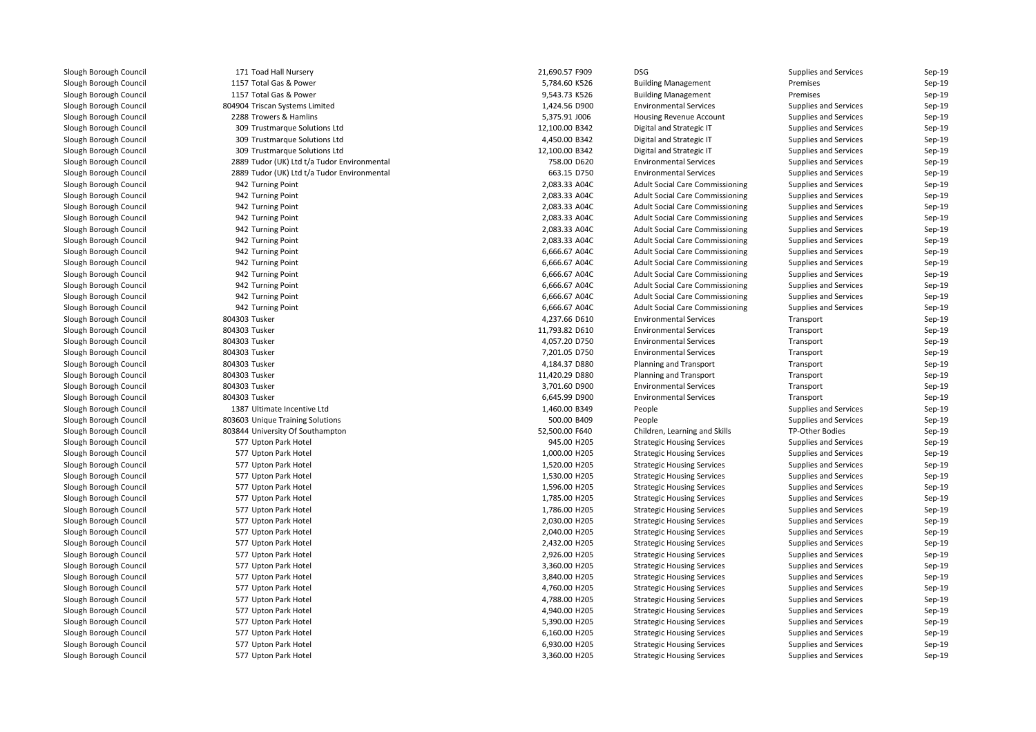| 171 Toad Hall Nursery                       | 21,690.57 F909                 | <b>DSG</b>                             | Supplies and Services                          | Sep-19           |
|---------------------------------------------|--------------------------------|----------------------------------------|------------------------------------------------|------------------|
| 1157 Total Gas & Power                      | 5,784.60 K526                  | <b>Building Management</b>             | Premises                                       | Sep-19           |
| 1157 Total Gas & Power                      | 9,543.73 K526                  | <b>Building Management</b>             | Premises                                       | Sep-19           |
| 804904 Triscan Systems Limited              | 1,424.56 D900                  | <b>Environmental Services</b>          | Supplies and Services                          | Sep-19           |
| 2288 Trowers & Hamlins                      | 5,375.91 J006                  | Housing Revenue Account                | Supplies and Services                          | Sep-19           |
| 309 Trustmarque Solutions Ltd               | 12,100.00 B342                 | Digital and Strategic IT               | Supplies and Services                          | Sep-19           |
| 309 Trustmarque Solutions Ltd               | 4,450.00 B342                  | Digital and Strategic IT               | Supplies and Services                          | Sep-19           |
| 309 Trustmarque Solutions Ltd               | 12,100.00 B342                 | Digital and Strategic IT               | Supplies and Services                          | Sep-19           |
| 2889 Tudor (UK) Ltd t/a Tudor Environmental | 758.00 D620                    | <b>Environmental Services</b>          | Supplies and Services                          | Sep-19           |
| 2889 Tudor (UK) Ltd t/a Tudor Environmental | 663.15 D750                    | <b>Environmental Services</b>          | Supplies and Services                          | Sep-19           |
| 942 Turning Point                           | 2,083.33 A04C                  | <b>Adult Social Care Commissioning</b> | Supplies and Services                          | Sep-19           |
| 942 Turning Point                           | 2,083.33 A04C                  | <b>Adult Social Care Commissioning</b> | <b>Supplies and Services</b>                   | Sep-19           |
| 942 Turning Point                           | 2,083.33 A04C                  | <b>Adult Social Care Commissioning</b> | Supplies and Services                          | Sep-19           |
| 942 Turning Point                           | 2,083.33 A04C                  | <b>Adult Social Care Commissioning</b> | Supplies and Services                          | Sep-19           |
| 942 Turning Point                           | 2,083.33 A04C                  | <b>Adult Social Care Commissioning</b> | Supplies and Services                          | Sep-19           |
| 942 Turning Point                           | 2,083.33 A04C                  | <b>Adult Social Care Commissioning</b> | Supplies and Services                          | Sep-19           |
| 942 Turning Point                           | 6,666.67 A04C                  | <b>Adult Social Care Commissioning</b> | Supplies and Services                          | Sep-19           |
| 942 Turning Point                           | 6,666.67 A04C                  | <b>Adult Social Care Commissioning</b> | Supplies and Services                          | Sep-19           |
| 942 Turning Point                           | 6,666.67 A04C                  | <b>Adult Social Care Commissioning</b> | Supplies and Services                          | Sep-19           |
| 942 Turning Point                           | 6,666.67 A04C                  | <b>Adult Social Care Commissioning</b> | Supplies and Services                          | Sep-19           |
| 942 Turning Point                           | 6,666.67 A04C                  | <b>Adult Social Care Commissioning</b> | <b>Supplies and Services</b>                   | Sep-19           |
| 942 Turning Point                           | 6,666.67 A04C                  | <b>Adult Social Care Commissioning</b> | Supplies and Services                          | Sep-19           |
| 804303 Tusker                               | 4,237.66 D610                  | <b>Environmental Services</b>          | Transport                                      | Sep-19           |
| 804303 Tusker                               | 11,793.82 D610                 | <b>Environmental Services</b>          | Transport                                      | Sep-19           |
| 804303 Tusker                               | 4,057.20 D750                  | <b>Environmental Services</b>          | Transport                                      | Sep-19           |
| 804303 Tusker                               | 7,201.05 D750                  | <b>Environmental Services</b>          | Transport                                      | Sep-19           |
| 804303 Tusker                               | 4,184.37 D880                  | <b>Planning and Transport</b>          | Transport                                      | Sep-19           |
| 804303 Tusker                               | 11,420.29 D880                 | <b>Planning and Transport</b>          | Transport                                      | Sep-19           |
| 804303 Tusker                               | 3,701.60 D900                  | <b>Environmental Services</b>          | Transport                                      | Sep-19           |
| 804303 Tusker                               | 6,645.99 D900                  | <b>Environmental Services</b>          | Transport                                      | Sep-19           |
| 1387 Ultimate Incentive Ltd                 | 1,460.00 B349                  | People                                 | Supplies and Services                          | Sep-19           |
| 803603 Unique Training Solutions            | 500.00 B409                    | People                                 | Supplies and Services                          | Sep-19           |
| 803844 University Of Southampton            | 52,500.00 F640                 | Children, Learning and Skills          | TP-Other Bodies                                | Sep-19           |
| 577 Upton Park Hotel                        | 945.00 H205                    | <b>Strategic Housing Services</b>      | Supplies and Services                          | Sep-19           |
| 577 Upton Park Hotel                        | 1,000.00 H205                  | <b>Strategic Housing Services</b>      | Supplies and Services                          | Sep-19           |
| 577 Upton Park Hotel                        | 1,520.00 H205                  | <b>Strategic Housing Services</b>      | Supplies and Services                          | Sep-19           |
| 577 Upton Park Hotel                        | 1,530.00 H205                  | <b>Strategic Housing Services</b>      | Supplies and Services                          | Sep-19           |
| 577 Upton Park Hotel                        | 1,596.00 H205                  | <b>Strategic Housing Services</b>      | Supplies and Services                          | Sep-19           |
| 577 Upton Park Hotel                        | 1,785.00 H205                  | <b>Strategic Housing Services</b>      | Supplies and Services                          | Sep-19           |
| 577 Upton Park Hotel                        | 1,786.00 H205                  | <b>Strategic Housing Services</b>      | Supplies and Services                          | Sep-19           |
| 577 Upton Park Hotel                        |                                |                                        |                                                |                  |
| 577 Upton Park Hotel                        | 2,030.00 H205<br>2,040.00 H205 | <b>Strategic Housing Services</b>      | Supplies and Services<br>Supplies and Services | Sep-19<br>Sep-19 |
|                                             | 2,432.00 H205                  | <b>Strategic Housing Services</b>      |                                                | Sep-19           |
| 577 Upton Park Hotel                        |                                | <b>Strategic Housing Services</b>      | Supplies and Services                          |                  |
| 577 Upton Park Hotel                        | 2,926.00 H205                  | <b>Strategic Housing Services</b>      | Supplies and Services                          | Sep-19           |
| 577 Upton Park Hotel                        | 3,360.00 H205                  | <b>Strategic Housing Services</b>      | Supplies and Services                          | Sep-19           |
| 577 Upton Park Hotel                        | 3,840.00 H205                  | <b>Strategic Housing Services</b>      | Supplies and Services                          | Sep-19           |
| 577 Upton Park Hotel                        | 4,760.00 H205                  | <b>Strategic Housing Services</b>      | Supplies and Services                          | Sep-19           |
| 577 Upton Park Hotel                        | 4,788.00 H205                  | <b>Strategic Housing Services</b>      | Supplies and Services                          | Sep-19           |
| 577 Upton Park Hotel                        | 4,940.00 H205                  | <b>Strategic Housing Services</b>      | Supplies and Services                          | Sep-19           |
| 577 Upton Park Hotel                        | 5,390.00 H205                  | <b>Strategic Housing Services</b>      | Supplies and Services                          | Sep-19           |
| 577 Upton Park Hotel                        | 6,160.00 H205                  | <b>Strategic Housing Services</b>      | <b>Supplies and Services</b>                   | Sep-19           |
| 577 Upton Park Hotel                        | 6,930.00 H205                  | <b>Strategic Housing Services</b>      | Supplies and Services                          | Sep-19           |
| 577 Upton Park Hotel                        | 3,360.00 H205                  | <b>Strategic Housing Services</b>      | Supplies and Services                          | Sep-19           |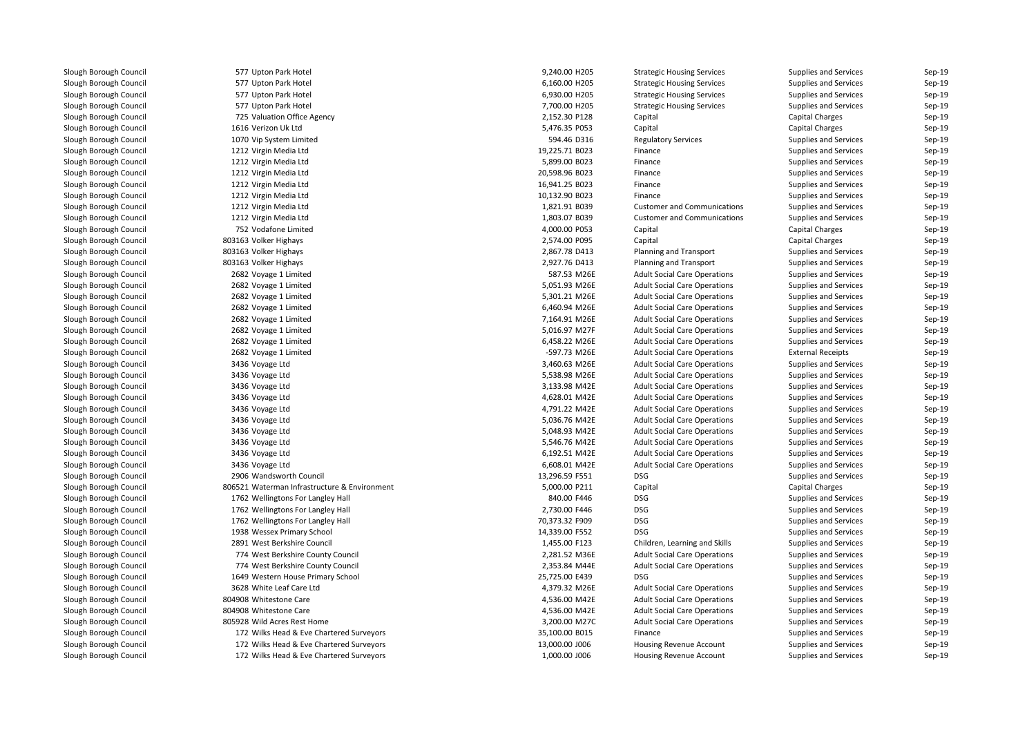| 577 Upton Park Hotel                         | 9,240.00 H205  | <b>Strategic Housing Services</b>   | Supplies and Services        | Sep-19 |
|----------------------------------------------|----------------|-------------------------------------|------------------------------|--------|
| 577 Upton Park Hotel                         | 6,160.00 H205  | <b>Strategic Housing Services</b>   | Supplies and Services        | Sep-19 |
| 577 Upton Park Hotel                         | 6,930.00 H205  | <b>Strategic Housing Services</b>   | Supplies and Services        | Sep-19 |
| 577 Upton Park Hotel                         | 7,700.00 H205  | <b>Strategic Housing Services</b>   | Supplies and Services        | Sep-19 |
| 725 Valuation Office Agency                  | 2,152.30 P128  | Capital                             | <b>Capital Charges</b>       | Sep-19 |
| 1616 Verizon Uk Ltd                          | 5,476.35 P053  | Capital                             | <b>Capital Charges</b>       | Sep-19 |
| 1070 Vip System Limited                      | 594.46 D316    | <b>Regulatory Services</b>          | Supplies and Services        | Sep-19 |
| 1212 Virgin Media Ltd                        | 19,225.71 B023 | Finance                             | Supplies and Services        | Sep-19 |
| 1212 Virgin Media Ltd                        | 5,899.00 B023  | Finance                             | Supplies and Services        | Sep-19 |
| 1212 Virgin Media Ltd                        | 20,598.96 B023 | Finance                             | <b>Supplies and Services</b> | Sep-19 |
| 1212 Virgin Media Ltd                        | 16,941.25 B023 | Finance                             | Supplies and Services        | Sep-19 |
| 1212 Virgin Media Ltd                        | 10,132.90 B023 | Finance                             | Supplies and Services        | Sep-19 |
| 1212 Virgin Media Ltd                        | 1,821.91 B039  | <b>Customer and Communications</b>  | Supplies and Services        | Sep-19 |
| 1212 Virgin Media Ltd                        | 1,803.07 B039  | <b>Customer and Communications</b>  | Supplies and Services        | Sep-19 |
| 752 Vodafone Limited                         | 4,000.00 P053  | Capital                             | <b>Capital Charges</b>       | Sep-19 |
| 803163 Volker Highays                        | 2,574.00 P095  | Capital                             | <b>Capital Charges</b>       | Sep-19 |
| 803163 Volker Highays                        | 2,867.78 D413  | <b>Planning and Transport</b>       | Supplies and Services        | Sep-19 |
| 803163 Volker Highays                        | 2,927.76 D413  | <b>Planning and Transport</b>       | Supplies and Services        | Sep-19 |
| 2682 Voyage 1 Limited                        | 587.53 M26E    | <b>Adult Social Care Operations</b> | Supplies and Services        | Sep-19 |
| 2682 Voyage 1 Limited                        | 5,051.93 M26E  | <b>Adult Social Care Operations</b> | Supplies and Services        | Sep-19 |
| 2682 Voyage 1 Limited                        | 5,301.21 M26E  | <b>Adult Social Care Operations</b> | Supplies and Services        | Sep-19 |
| 2682 Voyage 1 Limited                        | 6,460.94 M26E  | <b>Adult Social Care Operations</b> | Supplies and Services        | Sep-19 |
| 2682 Voyage 1 Limited                        | 7,164.91 M26E  | <b>Adult Social Care Operations</b> | Supplies and Services        | Sep-19 |
| 2682 Voyage 1 Limited                        | 5,016.97 M27F  | <b>Adult Social Care Operations</b> | Supplies and Services        | Sep-19 |
| 2682 Voyage 1 Limited                        | 6,458.22 M26E  | <b>Adult Social Care Operations</b> | Supplies and Services        | Sep-19 |
| 2682 Voyage 1 Limited                        | -597.73 M26E   | <b>Adult Social Care Operations</b> | <b>External Receipts</b>     | Sep-19 |
| 3436 Voyage Ltd                              | 3,460.63 M26E  | <b>Adult Social Care Operations</b> | Supplies and Services        | Sep-19 |
| 3436 Voyage Ltd                              | 5,538.98 M26E  | <b>Adult Social Care Operations</b> | Supplies and Services        | Sep-19 |
| 3436 Voyage Ltd                              | 3,133.98 M42E  | <b>Adult Social Care Operations</b> | Supplies and Services        | Sep-19 |
| 3436 Voyage Ltd                              | 4,628.01 M42E  | <b>Adult Social Care Operations</b> | Supplies and Services        | Sep-19 |
| 3436 Voyage Ltd                              | 4,791.22 M42E  | <b>Adult Social Care Operations</b> | Supplies and Services        | Sep-19 |
| 3436 Voyage Ltd                              | 5,036.76 M42E  | <b>Adult Social Care Operations</b> | Supplies and Services        | Sep-19 |
| 3436 Voyage Ltd                              | 5,048.93 M42E  | <b>Adult Social Care Operations</b> | Supplies and Services        | Sep-19 |
| 3436 Voyage Ltd                              | 5,546.76 M42E  | <b>Adult Social Care Operations</b> | Supplies and Services        | Sep-19 |
| 3436 Voyage Ltd                              | 6,192.51 M42E  | <b>Adult Social Care Operations</b> | Supplies and Services        | Sep-19 |
| 3436 Voyage Ltd                              | 6,608.01 M42E  | <b>Adult Social Care Operations</b> | Supplies and Services        | Sep-19 |
| 2906 Wandsworth Council                      | 13,296.59 F551 | <b>DSG</b>                          | Supplies and Services        | Sep-19 |
| 806521 Waterman Infrastructure & Environment | 5,000.00 P211  | Capital                             | <b>Capital Charges</b>       | Sep-19 |
| 1762 Wellingtons For Langley Hall            | 840.00 F446    | <b>DSG</b>                          | Supplies and Services        | Sep-19 |
| 1762 Wellingtons For Langley Hall            | 2,730.00 F446  | <b>DSG</b>                          | Supplies and Services        | Sep-19 |
| 1762 Wellingtons For Langley Hall            | 70,373.32 F909 | <b>DSG</b>                          | Supplies and Services        | Sep-19 |
| 1938 Wessex Primary School                   | 14,339.00 F552 | <b>DSG</b>                          | Supplies and Services        | Sep-19 |
| 2891 West Berkshire Council                  | 1,455.00 F123  | Children, Learning and Skills       | Supplies and Services        | Sep-19 |
| 774 West Berkshire County Council            | 2,281.52 M36E  | <b>Adult Social Care Operations</b> | Supplies and Services        | Sep-19 |
| 774 West Berkshire County Council            | 2,353.84 M44E  | <b>Adult Social Care Operations</b> | Supplies and Services        | Sep-19 |
| 1649 Western House Primary School            | 25,725.00 E439 | <b>DSG</b>                          | Supplies and Services        | Sep-19 |
| 3628 White Leaf Care Ltd                     | 4,379.32 M26E  | <b>Adult Social Care Operations</b> | Supplies and Services        | Sep-19 |
| 804908 Whitestone Care                       | 4,536.00 M42E  | <b>Adult Social Care Operations</b> | Supplies and Services        | Sep-19 |
| 804908 Whitestone Care                       | 4,536.00 M42E  | <b>Adult Social Care Operations</b> | Supplies and Services        | Sep-19 |
| 805928 Wild Acres Rest Home                  | 3,200.00 M27C  | <b>Adult Social Care Operations</b> | Supplies and Services        | Sep-19 |
| 172 Wilks Head & Eve Chartered Surveyors     | 35,100.00 B015 | Finance                             | Supplies and Services        | Sep-19 |
| 172 Wilks Head & Eve Chartered Surveyors     | 13,000.00 J006 | Housing Revenue Account             | Supplies and Services        | Sep-19 |
| 172 Wilks Head & Eve Chartered Surveyors     | 1,000.00 J006  | Housing Revenue Account             | Supplies and Services        | Sep-19 |
|                                              |                |                                     |                              |        |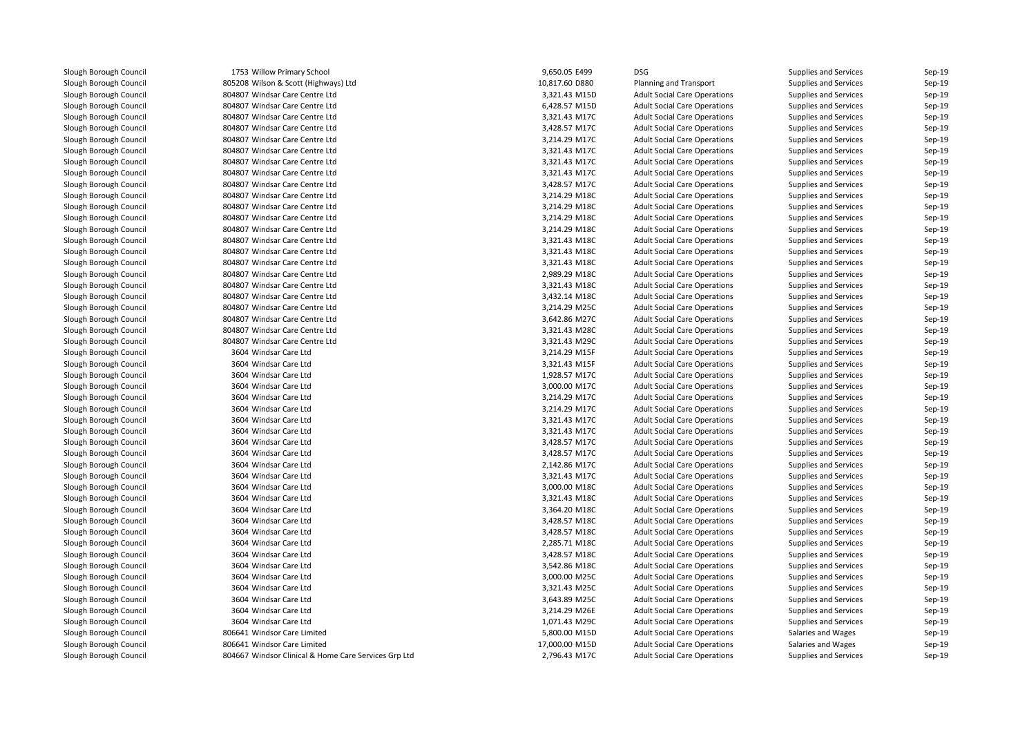| 1753 Willow Primary School                           | 9,650.05 E499                  | <b>DSG</b>                          | Supplies and Services        | Sep-19 |
|------------------------------------------------------|--------------------------------|-------------------------------------|------------------------------|--------|
| 805208 Wilson & Scott (Highways) Ltd                 | 10,817.60 D880                 | <b>Planning and Transport</b>       | Supplies and Services        | Sep-19 |
| 804807 Windsar Care Centre Ltd                       | 3,321.43 M15D                  | <b>Adult Social Care Operations</b> | Supplies and Services        | Sep-19 |
| 804807 Windsar Care Centre Ltd                       | 6,428.57 M15D                  | <b>Adult Social Care Operations</b> | <b>Supplies and Services</b> | Sep-19 |
| 804807 Windsar Care Centre Ltd                       | 3,321.43 M17C                  | <b>Adult Social Care Operations</b> | Supplies and Services        | Sep-19 |
| 804807 Windsar Care Centre Ltd                       | 3,428.57 M17C                  | <b>Adult Social Care Operations</b> | Supplies and Services        | Sep-19 |
| 804807 Windsar Care Centre Ltd                       | 3,214.29 M17C                  | <b>Adult Social Care Operations</b> | Supplies and Services        | Sep-19 |
| 804807 Windsar Care Centre Ltd                       | 3,321.43 M17C                  | <b>Adult Social Care Operations</b> | Supplies and Services        | Sep-19 |
| 804807 Windsar Care Centre Ltd                       | 3,321.43 M17C                  | <b>Adult Social Care Operations</b> | Supplies and Services        | Sep-19 |
| 804807 Windsar Care Centre Ltd                       | 3,321.43 M17C                  | <b>Adult Social Care Operations</b> | Supplies and Services        | Sep-19 |
| 804807 Windsar Care Centre Ltd                       | 3,428.57 M17C                  | <b>Adult Social Care Operations</b> | Supplies and Services        | Sep-19 |
| 804807 Windsar Care Centre Ltd                       | 3,214.29 M18C                  | <b>Adult Social Care Operations</b> | Supplies and Services        | Sep-19 |
| 804807 Windsar Care Centre Ltd                       | 3,214.29 M18C                  | <b>Adult Social Care Operations</b> | Supplies and Services        | Sep-19 |
| 804807 Windsar Care Centre Ltd                       | 3,214.29 M18C                  | <b>Adult Social Care Operations</b> | Supplies and Services        | Sep-19 |
| 804807 Windsar Care Centre Ltd                       | 3,214.29 M18C                  | <b>Adult Social Care Operations</b> | Supplies and Services        | Sep-19 |
| 804807 Windsar Care Centre Ltd                       | 3,321.43 M18C                  | <b>Adult Social Care Operations</b> | Supplies and Services        | Sep-19 |
| 804807 Windsar Care Centre Ltd                       | 3,321.43 M18C                  | <b>Adult Social Care Operations</b> | Supplies and Services        | Sep-19 |
| 804807 Windsar Care Centre Ltd                       | 3,321.43 M18C                  | <b>Adult Social Care Operations</b> | Supplies and Services        | Sep-19 |
| 804807 Windsar Care Centre Ltd                       | 2,989.29 M18C                  | <b>Adult Social Care Operations</b> | Supplies and Services        | Sep-19 |
| 804807 Windsar Care Centre Ltd                       | 3,321.43 M18C                  | <b>Adult Social Care Operations</b> | Supplies and Services        | Sep-19 |
| 804807 Windsar Care Centre Ltd                       | 3,432.14 M18C                  | <b>Adult Social Care Operations</b> | Supplies and Services        | Sep-19 |
| 804807 Windsar Care Centre Ltd                       | 3,214.29 M25C                  | <b>Adult Social Care Operations</b> | Supplies and Services        | Sep-19 |
| 804807 Windsar Care Centre Ltd                       | 3,642.86 M27C                  | <b>Adult Social Care Operations</b> | Supplies and Services        | Sep-19 |
| 804807 Windsar Care Centre Ltd                       | 3,321.43 M28C                  | <b>Adult Social Care Operations</b> | Supplies and Services        | Sep-19 |
| 804807 Windsar Care Centre Ltd                       | 3,321.43 M29C                  | <b>Adult Social Care Operations</b> | Supplies and Services        | Sep-19 |
| 3604 Windsar Care Ltd                                | 3,214.29 M15F                  | <b>Adult Social Care Operations</b> | Supplies and Services        | Sep-19 |
| 3604 Windsar Care Ltd                                | 3,321.43 M15F                  | <b>Adult Social Care Operations</b> | Supplies and Services        | Sep-19 |
| 3604 Windsar Care Ltd                                | 1,928.57 M17C                  | <b>Adult Social Care Operations</b> | Supplies and Services        | Sep-19 |
| 3604 Windsar Care Ltd                                | 3,000.00 M17C                  | <b>Adult Social Care Operations</b> | Supplies and Services        | Sep-19 |
| 3604 Windsar Care Ltd                                | 3,214.29 M17C                  | <b>Adult Social Care Operations</b> | Supplies and Services        | Sep-19 |
| 3604 Windsar Care Ltd                                | 3,214.29 M17C                  | <b>Adult Social Care Operations</b> | Supplies and Services        | Sep-19 |
| 3604 Windsar Care Ltd                                | 3,321.43 M17C                  | <b>Adult Social Care Operations</b> | <b>Supplies and Services</b> | Sep-19 |
| 3604 Windsar Care Ltd                                | 3,321.43 M17C                  | <b>Adult Social Care Operations</b> | Supplies and Services        | Sep-19 |
| 3604 Windsar Care Ltd                                | 3,428.57 M17C                  | <b>Adult Social Care Operations</b> | Supplies and Services        | Sep-19 |
| 3604 Windsar Care Ltd                                | 3,428.57 M17C                  | <b>Adult Social Care Operations</b> | Supplies and Services        | Sep-19 |
| 3604 Windsar Care Ltd                                | 2,142.86 M17C                  | <b>Adult Social Care Operations</b> | Supplies and Services        | Sep-19 |
| 3604 Windsar Care Ltd                                | 3,321.43 M17C                  | <b>Adult Social Care Operations</b> | Supplies and Services        | Sep-19 |
| 3604 Windsar Care Ltd                                | 3,000.00 M18C                  | <b>Adult Social Care Operations</b> | Supplies and Services        | Sep-19 |
| 3604 Windsar Care Ltd                                | 3,321.43 M18C                  | <b>Adult Social Care Operations</b> | Supplies and Services        | Sep-19 |
| 3604 Windsar Care Ltd                                | 3,364.20 M18C                  | <b>Adult Social Care Operations</b> | Supplies and Services        | Sep-19 |
| 3604 Windsar Care Ltd                                | 3,428.57 M18C                  | <b>Adult Social Care Operations</b> | Supplies and Services        | Sep-19 |
| 3604 Windsar Care Ltd                                | 3,428.57 M18C                  | <b>Adult Social Care Operations</b> | Supplies and Services        | Sep-19 |
| 3604 Windsar Care Ltd                                | 2,285.71 M18C                  | <b>Adult Social Care Operations</b> | Supplies and Services        | Sep-19 |
| 3604 Windsar Care Ltd                                |                                |                                     |                              | Sep-19 |
| 3604 Windsar Care Ltd                                | 3,428.57 M18C                  | <b>Adult Social Care Operations</b> | Supplies and Services        | Sep-19 |
| 3604 Windsar Care Ltd                                | 3,542.86 M18C<br>3,000.00 M25C | <b>Adult Social Care Operations</b> | Supplies and Services        |        |
|                                                      |                                | <b>Adult Social Care Operations</b> | Supplies and Services        | Sep-19 |
| 3604 Windsar Care Ltd                                | 3,321.43 M25C                  | <b>Adult Social Care Operations</b> | Supplies and Services        | Sep-19 |
| 3604 Windsar Care Ltd                                | 3,643.89 M25C                  | <b>Adult Social Care Operations</b> | Supplies and Services        | Sep-19 |
| 3604 Windsar Care Ltd                                | 3,214.29 M26E                  | <b>Adult Social Care Operations</b> | Supplies and Services        | Sep-19 |
| 3604 Windsar Care Ltd                                | 1,071.43 M29C                  | <b>Adult Social Care Operations</b> | <b>Supplies and Services</b> | Sep-19 |
| 806641 Windsor Care Limited                          | 5,800.00 M15D                  | <b>Adult Social Care Operations</b> | Salaries and Wages           | Sep-19 |
| 806641 Windsor Care Limited                          | 17,000.00 M15D                 | <b>Adult Social Care Operations</b> | Salaries and Wages           | Sep-19 |
| 804667 Windsor Clinical & Home Care Services Grp Ltd | 2,796.43 M17C                  | <b>Adult Social Care Operations</b> | Supplies and Services        | Sep-19 |